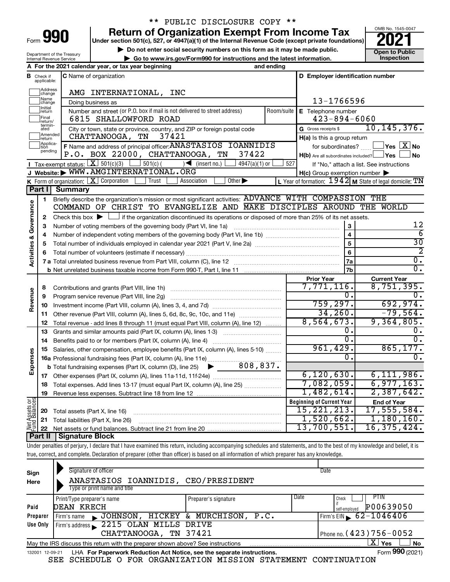| -orm |  |  |
|------|--|--|

Department of the Treasury

# \*\* PUBLIC DISCLOSURE COPY \*\*

**Under section 501(c), 527, or 4947(a)(1) of the Internal Revenue Code (except private foundations) Return of Organization Exempt From Income Tax** 

▶ Do not enter social security numbers on this form as it may be made public. **Open to Public** 



|                                |                               | Department or the ricasur<br>Internal Revenue Service | ▶ Go to www.irs.gov/Form990 for instructions and the latest information.                                                                                                  |                 |                                                         | Inspection                                                |
|--------------------------------|-------------------------------|-------------------------------------------------------|---------------------------------------------------------------------------------------------------------------------------------------------------------------------------|-----------------|---------------------------------------------------------|-----------------------------------------------------------|
|                                |                               |                                                       | A For the 2021 calendar year, or tax year beginning                                                                                                                       | and ending      |                                                         |                                                           |
|                                | <b>B</b> Check if applicable: |                                                       | C Name of organization                                                                                                                                                    |                 | D Employer identification number                        |                                                           |
|                                | Address<br>change             |                                                       | AMG INTERNATIONAL,<br>INC                                                                                                                                                 |                 |                                                         |                                                           |
|                                | Name<br>change                |                                                       | Doing business as                                                                                                                                                         |                 | 13-1766596                                              |                                                           |
|                                | Initial<br>return             |                                                       | Number and street (or P.O. box if mail is not delivered to street address)                                                                                                | Room/suite      | E Telephone number                                      |                                                           |
|                                | Final<br>return/<br>termin-   |                                                       | 6815 SHALLOWFORD ROAD                                                                                                                                                     |                 | $423 - 894 - 6060$                                      |                                                           |
|                                | ated<br>Amended               |                                                       | City or town, state or province, country, and ZIP or foreign postal code                                                                                                  |                 | G Gross receipts \$                                     | 10, 145, 376.                                             |
|                                | return<br>Applica-            |                                                       | 37421<br>CHATTANOOGA, TN                                                                                                                                                  |                 | H(a) Is this a group return                             |                                                           |
|                                | tion<br>pending               |                                                       | F Name and address of principal officer: ANASTASIOS IOANNIDIS<br>P.O. BOX 22000, CHATTANOOGA, TN<br>37422                                                                 |                 |                                                         | for subordinates? $\Box$ Yes $\boxed{X}$ No               |
|                                |                               |                                                       |                                                                                                                                                                           |                 | $H(b)$ Are all subordinates included? $\Box$ Yes $\Box$ | ⊿No                                                       |
|                                |                               | <b>I</b> Tax-exempt status: $X \over 301(c)(3)$       | $\boxed{\phantom{0}}$ 501(c) ( ) (insert no.)<br>$4947(a)(1)$ or<br>J Website: WWW.AMGINTERNATIONAL.ORG                                                                   | 527             |                                                         | If "No," attach a list. See instructions                  |
|                                |                               |                                                       | K Form of organization: X Corporation<br>Other $\blacktriangleright$<br>Trust<br>Association                                                                              |                 | $H(c)$ Group exemption number $\blacktriangleright$     | L Year of formation: $1942$ M State of legal domicile: TN |
|                                | Part I                        | <b>Summary</b>                                        |                                                                                                                                                                           |                 |                                                         |                                                           |
|                                | 1                             |                                                       | Briefly describe the organization's mission or most significant activities: ADVANCE WITH COMPASSION THE                                                                   |                 |                                                         |                                                           |
| Activities & Governance        |                               |                                                       | COMMAND OF CHRIST TO EVANGELIZE AND MAKE DISCIPLES AROUND THE WORLD                                                                                                       |                 |                                                         |                                                           |
|                                | $\mathbf{2}$                  |                                                       | Check this box $\blacktriangleright \Box$ if the organization discontinued its operations or disposed of more than 25% of its net assets.                                 |                 |                                                         |                                                           |
|                                | З                             |                                                       | Number of voting members of the governing body (Part VI, line 1a)                                                                                                         |                 | $\mathbf 3$                                             | 12                                                        |
|                                | 4                             | $\overline{6}$                                        |                                                                                                                                                                           |                 |                                                         |                                                           |
|                                | 5                             |                                                       | $\overline{\mathbf{4}}$                                                                                                                                                   | $\overline{30}$ |                                                         |                                                           |
|                                | 6                             |                                                       |                                                                                                                                                                           |                 | $6\phantom{1}6$                                         | 2                                                         |
|                                |                               |                                                       |                                                                                                                                                                           |                 | <b>7a</b>                                               | $\overline{0}$ .                                          |
|                                |                               |                                                       |                                                                                                                                                                           |                 | 7b                                                      | $\overline{0}$ .                                          |
|                                |                               |                                                       |                                                                                                                                                                           |                 | <b>Prior Year</b>                                       | <b>Current Year</b>                                       |
|                                | 8                             |                                                       |                                                                                                                                                                           |                 | 7,771,116.                                              | 8,751,395.                                                |
| Revenue                        | 9                             |                                                       | Program service revenue (Part VIII, line 2g)                                                                                                                              |                 | 0.                                                      | ο.                                                        |
|                                | 10                            |                                                       |                                                                                                                                                                           |                 | 759, 297.                                               | 692,974.                                                  |
|                                | 11                            |                                                       | Other revenue (Part VIII, column (A), lines 5, 6d, 8c, 9c, 10c, and 11e)                                                                                                  |                 | 34, 260.                                                | $-79,564.$                                                |
|                                | 12                            |                                                       | Total revenue - add lines 8 through 11 (must equal Part VIII, column (A), line 12)                                                                                        |                 | 8,564,673.                                              | 9,364,805.                                                |
|                                | 13                            |                                                       | Grants and similar amounts paid (Part IX, column (A), lines 1-3)                                                                                                          |                 | о.                                                      | 0.                                                        |
|                                | 14                            |                                                       | Benefits paid to or for members (Part IX, column (A), line 4)                                                                                                             |                 | 0.                                                      | 0.                                                        |
|                                | 15                            |                                                       | Salaries, other compensation, employee benefits (Part IX, column (A), lines 5-10)                                                                                         |                 | 961,429.                                                | 865, 177.                                                 |
|                                |                               |                                                       | 16a Professional fundraising fees (Part IX, column (A), line 11e)                                                                                                         |                 | 0.                                                      | $\overline{0}$ .                                          |
| Expenses                       |                               |                                                       | <b>b</b> Total fundraising expenses (Part IX, column (D), line 25) $\bullet$ 808, 837.                                                                                    |                 |                                                         |                                                           |
|                                |                               |                                                       |                                                                                                                                                                           |                 | 6, 120, 630.                                            | 6,111,986.                                                |
|                                |                               |                                                       | 18 Total expenses. Add lines 13-17 (must equal Part IX, column (A), line 25)                                                                                              |                 | 7,082,059.                                              | 6,977,163.                                                |
|                                | 19                            |                                                       |                                                                                                                                                                           |                 | 1,482,614.                                              | 2,387,642.                                                |
| Net Assets or<br>Fund Balances |                               |                                                       |                                                                                                                                                                           |                 | <b>Beginning of Current Year</b><br>15, 221, 213.       | <b>End of Year</b><br>17,555,584.                         |
|                                | 20                            |                                                       | Total assets (Part X, line 16)                                                                                                                                            |                 | 1,520,662.                                              | 1,180,160.                                                |
|                                | 21                            |                                                       | Total liabilities (Part X, line 26)                                                                                                                                       |                 | 13,700,551.                                             | 16, 375, 424.                                             |
|                                | 22<br>Part II                 | <b>Signature Block</b>                                |                                                                                                                                                                           |                 |                                                         |                                                           |
|                                |                               |                                                       | Under penelties of periupu I deelers that I have eveningd this rature, including eseegmenting eshedules and atatometric and to the best of my knowledge and belief, it is |                 |                                                         |                                                           |

Under penalties of perjury, I declare that I have examined this return, including accompanying schedules and statements, and to the best of my knowledge and belief, it is true, correct, and complete. Declaration of preparer (other than officer) is based on all information of which preparer has any knowledge.

| Sign<br>Here | Signature of officer<br>ANASTASIOS IOANNIDIS, CEO/PRESIDENT<br>Type or print name and title                  |                              | Date                           |  |  |  |  |  |  |
|--------------|--------------------------------------------------------------------------------------------------------------|------------------------------|--------------------------------|--|--|--|--|--|--|
|              | Print/Type preparer's name                                                                                   | Date<br>Preparer's signature | <b>PTIN</b><br>Check           |  |  |  |  |  |  |
| Paid         | DEAN KRECH                                                                                                   |                              | P00639050<br>self-emploved     |  |  |  |  |  |  |
| Preparer     | JOHNSON, HICKEY & MURCHISON, P.C.<br>Firm's name                                                             |                              | Firm's EIN $\sqrt{62-1046406}$ |  |  |  |  |  |  |
| Use Only     | Firm's address 2215 OLAN MILLS DRIVE                                                                         |                              |                                |  |  |  |  |  |  |
|              | CHATTANOOGA, TN 37421                                                                                        |                              | Phone no. $(423)$ 756 - 0052   |  |  |  |  |  |  |
|              | $\mathbf{X}$ Yes<br>' No<br>May the IRS discuss this return with the preparer shown above? See instructions  |                              |                                |  |  |  |  |  |  |
|              | Form 990 (2021)<br>LHA For Paperwork Reduction Act Notice, see the separate instructions.<br>132001 12-09-21 |                              |                                |  |  |  |  |  |  |

SEE SCHEDULE O FOR ORGANIZATION MISSION STATEMENT CONTINUATION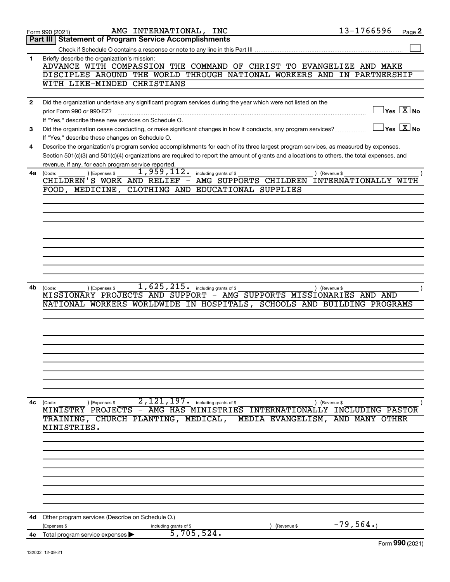|              | 13-1766596<br>AMG INTERNATIONAL, INC<br>Page 2<br>Form 990 (2021)                                                                                       |  |
|--------------|---------------------------------------------------------------------------------------------------------------------------------------------------------|--|
|              | Part III   Statement of Program Service Accomplishments                                                                                                 |  |
|              |                                                                                                                                                         |  |
| 1            | Briefly describe the organization's mission:                                                                                                            |  |
|              | ADVANCE WITH COMPASSION THE COMMAND OF CHRIST TO EVANGELIZE AND MAKE                                                                                    |  |
|              |                                                                                                                                                         |  |
|              | DISCIPLES AROUND THE WORLD THROUGH NATIONAL WORKERS AND IN PARTNERSHIP                                                                                  |  |
|              | WITH LIKE-MINDED CHRISTIANS                                                                                                                             |  |
|              |                                                                                                                                                         |  |
| $\mathbf{2}$ | Did the organization undertake any significant program services during the year which were not listed on the                                            |  |
|              | $\exists$ Yes $\boxed{\text{X}}$ No                                                                                                                     |  |
|              | If "Yes," describe these new services on Schedule O.                                                                                                    |  |
|              |                                                                                                                                                         |  |
| 3            | $\Box$ Yes $[\overline{\mathrm{X}}]$ No<br>Did the organization cease conducting, or make significant changes in how it conducts, any program services? |  |
|              | If "Yes," describe these changes on Schedule O.                                                                                                         |  |
| 4            | Describe the organization's program service accomplishments for each of its three largest program services, as measured by expenses.                    |  |
|              | Section 501(c)(3) and 501(c)(4) organizations are required to report the amount of grants and allocations to others, the total expenses, and            |  |
|              | revenue, if any, for each program service reported.                                                                                                     |  |
|              | 1,959,112.                                                                                                                                              |  |
| 4a           | ) (Expenses \$<br>including grants of \$<br>) (Revenue \$<br>(Code:<br>WTTH                                                                             |  |
|              | CHILDREN'S WORK AND RELIEF - AMG SUPPORTS CHILDREN<br>INTERNATIONALLY                                                                                   |  |
|              | FOOD, MEDICINE, CLOTHING AND EDUCATIONAL SUPPLIES                                                                                                       |  |
|              |                                                                                                                                                         |  |
|              |                                                                                                                                                         |  |
|              |                                                                                                                                                         |  |
|              |                                                                                                                                                         |  |
|              |                                                                                                                                                         |  |
|              |                                                                                                                                                         |  |
|              |                                                                                                                                                         |  |
|              |                                                                                                                                                         |  |
|              |                                                                                                                                                         |  |
|              |                                                                                                                                                         |  |
|              |                                                                                                                                                         |  |
|              |                                                                                                                                                         |  |
| 4b           | $\overline{1,625,215}$ including grants of \$<br>(Code:<br>(Expenses \$<br>) (Revenue \$                                                                |  |
|              | MISSIONARY PROJECTS AND SUPPORT - AMG SUPPORTS MISSIONARIES AND AND                                                                                     |  |
|              | NATIONAL WORKERS WORLDWIDE IN HOSPITALS, SCHOOLS AND BUILDING PROGRAMS                                                                                  |  |
|              |                                                                                                                                                         |  |
|              |                                                                                                                                                         |  |
|              |                                                                                                                                                         |  |
|              |                                                                                                                                                         |  |
|              |                                                                                                                                                         |  |
|              |                                                                                                                                                         |  |
|              |                                                                                                                                                         |  |
|              |                                                                                                                                                         |  |
|              |                                                                                                                                                         |  |
|              |                                                                                                                                                         |  |
|              |                                                                                                                                                         |  |
|              |                                                                                                                                                         |  |
|              |                                                                                                                                                         |  |
| 4с           | 2,121,197.<br>including grants of \$<br>(Expenses \$<br>(Revenue \$<br>(Code:                                                                           |  |
|              | MINISTRY PROJECTS - AMG HAS<br>MINISTRIES<br>INCLUDING PASTOR<br>INTERNATIONALLY                                                                        |  |
|              | TRAINING, CHURCH PLANTING,<br>MEDICAL,<br>AND MANY<br>MEDIA EVANGELISM,<br>OTHER                                                                        |  |
|              | MINISTRIES.                                                                                                                                             |  |
|              |                                                                                                                                                         |  |
|              |                                                                                                                                                         |  |
|              |                                                                                                                                                         |  |
|              |                                                                                                                                                         |  |
|              |                                                                                                                                                         |  |
|              |                                                                                                                                                         |  |
|              |                                                                                                                                                         |  |
|              |                                                                                                                                                         |  |
|              |                                                                                                                                                         |  |
|              |                                                                                                                                                         |  |
|              |                                                                                                                                                         |  |
| 4d           | Other program services (Describe on Schedule O.)                                                                                                        |  |
|              | $-79,564.$<br>(Expenses \$<br>(Revenue \$                                                                                                               |  |
| 4е           | including grants of \$<br>5,705,524.<br>Total program service expenses                                                                                  |  |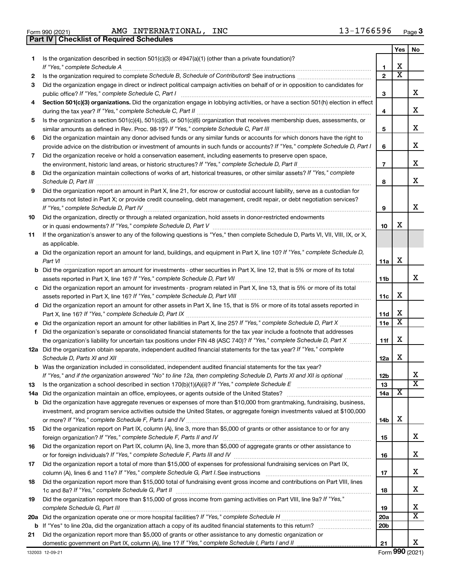Form 990 (2021) Page AMG INTERNATIONAL, INC 13-1766596 **Part IV Checklist of Required Schedules**

|     |                                                                                                                                                                                                                                                           |                 | Yes | No                      |
|-----|-----------------------------------------------------------------------------------------------------------------------------------------------------------------------------------------------------------------------------------------------------------|-----------------|-----|-------------------------|
| 1.  | Is the organization described in section 501(c)(3) or 4947(a)(1) (other than a private foundation)?                                                                                                                                                       |                 |     |                         |
|     |                                                                                                                                                                                                                                                           | 1               | х   |                         |
| 2   |                                                                                                                                                                                                                                                           | $\overline{2}$  | x   |                         |
| 3   | Did the organization engage in direct or indirect political campaign activities on behalf of or in opposition to candidates for                                                                                                                           |                 |     |                         |
|     |                                                                                                                                                                                                                                                           | 3               |     | х                       |
|     | Section 501(c)(3) organizations. Did the organization engage in lobbying activities, or have a section 501(h) election in effect                                                                                                                          |                 |     |                         |
|     |                                                                                                                                                                                                                                                           | 4               |     | х                       |
| 5   | Is the organization a section 501(c)(4), 501(c)(5), or 501(c)(6) organization that receives membership dues, assessments, or                                                                                                                              |                 |     | х                       |
|     |                                                                                                                                                                                                                                                           | 5               |     |                         |
| 6   | Did the organization maintain any donor advised funds or any similar funds or accounts for which donors have the right to<br>provide advice on the distribution or investment of amounts in such funds or accounts? If "Yes," complete Schedule D, Part I | 6               |     | х                       |
|     | Did the organization receive or hold a conservation easement, including easements to preserve open space,                                                                                                                                                 |                 |     |                         |
| 7   |                                                                                                                                                                                                                                                           | $\overline{7}$  |     | х                       |
| 8   | Did the organization maintain collections of works of art, historical treasures, or other similar assets? If "Yes," complete                                                                                                                              |                 |     |                         |
|     |                                                                                                                                                                                                                                                           | 8               |     | x                       |
| 9   | Did the organization report an amount in Part X, line 21, for escrow or custodial account liability, serve as a custodian for                                                                                                                             |                 |     |                         |
|     | amounts not listed in Part X; or provide credit counseling, debt management, credit repair, or debt negotiation services?                                                                                                                                 |                 |     |                         |
|     |                                                                                                                                                                                                                                                           | 9               |     | х                       |
| 10  | Did the organization, directly or through a related organization, hold assets in donor-restricted endowments                                                                                                                                              |                 |     |                         |
|     |                                                                                                                                                                                                                                                           | 10              | х   |                         |
| 11  | If the organization's answer to any of the following questions is "Yes," then complete Schedule D, Parts VI, VII, VIII, IX, or X,                                                                                                                         |                 |     |                         |
|     | as applicable.                                                                                                                                                                                                                                            |                 |     |                         |
|     | a Did the organization report an amount for land, buildings, and equipment in Part X, line 10? If "Yes," complete Schedule D,                                                                                                                             |                 |     |                         |
|     |                                                                                                                                                                                                                                                           | 11a             | X   |                         |
|     | <b>b</b> Did the organization report an amount for investments - other securities in Part X, line 12, that is 5% or more of its total                                                                                                                     |                 |     |                         |
|     |                                                                                                                                                                                                                                                           | 11b             |     | x                       |
|     | c Did the organization report an amount for investments - program related in Part X, line 13, that is 5% or more of its total                                                                                                                             |                 |     |                         |
|     |                                                                                                                                                                                                                                                           | 11c             | X   |                         |
|     | d Did the organization report an amount for other assets in Part X, line 15, that is 5% or more of its total assets reported in                                                                                                                           |                 |     |                         |
|     |                                                                                                                                                                                                                                                           | 11d             | X   |                         |
|     |                                                                                                                                                                                                                                                           | 11e             | x   |                         |
| f   | Did the organization's separate or consolidated financial statements for the tax year include a footnote that addresses                                                                                                                                   |                 |     |                         |
|     | the organization's liability for uncertain tax positions under FIN 48 (ASC 740)? If "Yes," complete Schedule D, Part X                                                                                                                                    | 11f             | х   |                         |
|     | 12a Did the organization obtain separate, independent audited financial statements for the tax year? If "Yes," complete                                                                                                                                   |                 |     |                         |
|     |                                                                                                                                                                                                                                                           | 12a             | X   |                         |
|     | <b>b</b> Was the organization included in consolidated, independent audited financial statements for the tax year?                                                                                                                                        |                 |     |                         |
|     | If "Yes," and if the organization answered "No" to line 12a, then completing Schedule D, Parts XI and XII is optional                                                                                                                                     | 12 <sub>b</sub> |     |                         |
| 13  |                                                                                                                                                                                                                                                           | 13              |     | $\overline{\textbf{X}}$ |
| 14a |                                                                                                                                                                                                                                                           | 14a             | х   |                         |
| b   | Did the organization have aggregate revenues or expenses of more than \$10,000 from grantmaking, fundraising, business,                                                                                                                                   |                 |     |                         |
|     | investment, and program service activities outside the United States, or aggregate foreign investments valued at \$100,000                                                                                                                                | 14b             | X   |                         |
| 15  | Did the organization report on Part IX, column (A), line 3, more than \$5,000 of grants or other assistance to or for any                                                                                                                                 |                 |     |                         |
|     |                                                                                                                                                                                                                                                           | 15              |     | х                       |
| 16  | Did the organization report on Part IX, column (A), line 3, more than \$5,000 of aggregate grants or other assistance to                                                                                                                                  |                 |     |                         |
|     |                                                                                                                                                                                                                                                           | 16              |     | x                       |
| 17  | Did the organization report a total of more than \$15,000 of expenses for professional fundraising services on Part IX,                                                                                                                                   |                 |     |                         |
|     |                                                                                                                                                                                                                                                           | 17              |     | х                       |
| 18  | Did the organization report more than \$15,000 total of fundraising event gross income and contributions on Part VIII, lines                                                                                                                              |                 |     |                         |
|     |                                                                                                                                                                                                                                                           | 18              |     | x                       |
| 19  | Did the organization report more than \$15,000 of gross income from gaming activities on Part VIII, line 9a? If "Yes,"                                                                                                                                    |                 |     |                         |
|     |                                                                                                                                                                                                                                                           | 19              |     | х                       |
| 20a |                                                                                                                                                                                                                                                           | 20a             |     | x                       |
| b   |                                                                                                                                                                                                                                                           | 20 <sub>b</sub> |     |                         |
| 21  | Did the organization report more than \$5,000 of grants or other assistance to any domestic organization or                                                                                                                                               |                 |     |                         |
|     |                                                                                                                                                                                                                                                           | 21              |     | X                       |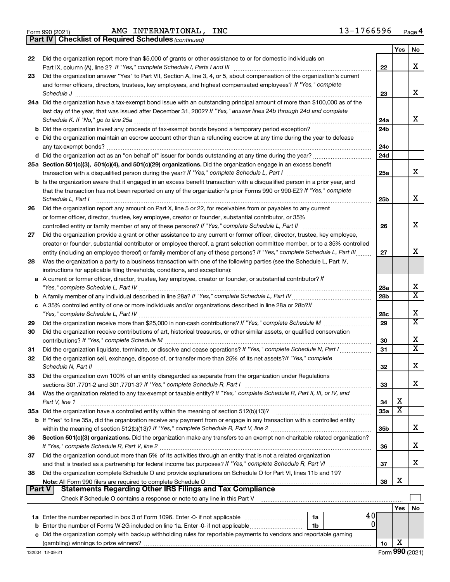|  | Form 990 (2021) |
|--|-----------------|
|  |                 |

*(continued)* **Part IV Checklist of Required Schedules**

|        |                                                                                                                              |                 | Yes | No                      |
|--------|------------------------------------------------------------------------------------------------------------------------------|-----------------|-----|-------------------------|
| 22     | Did the organization report more than \$5,000 of grants or other assistance to or for domestic individuals on                |                 |     |                         |
|        |                                                                                                                              | 22              |     | x                       |
| 23     | Did the organization answer "Yes" to Part VII, Section A, line 3, 4, or 5, about compensation of the organization's current  |                 |     |                         |
|        | and former officers, directors, trustees, key employees, and highest compensated employees? If "Yes," complete               |                 |     |                         |
|        |                                                                                                                              | 23              |     | x                       |
|        | 24a Did the organization have a tax-exempt bond issue with an outstanding principal amount of more than \$100,000 as of the  |                 |     |                         |
|        | last day of the year, that was issued after December 31, 2002? If "Yes," answer lines 24b through 24d and complete           |                 |     | x                       |
|        | Schedule K. If "No," go to line 25a                                                                                          | 24a             |     |                         |
|        |                                                                                                                              | 24 <sub>b</sub> |     |                         |
|        | c Did the organization maintain an escrow account other than a refunding escrow at any time during the year to defease       | 24c             |     |                         |
|        |                                                                                                                              | 24d             |     |                         |
|        | 25a Section 501(c)(3), 501(c)(4), and 501(c)(29) organizations. Did the organization engage in an excess benefit             |                 |     |                         |
|        |                                                                                                                              | 25a             |     | x                       |
|        | b Is the organization aware that it engaged in an excess benefit transaction with a disqualified person in a prior year, and |                 |     |                         |
|        | that the transaction has not been reported on any of the organization's prior Forms 990 or 990-EZ? If "Yes," complete        |                 |     |                         |
|        | Schedule L, Part I                                                                                                           | 25b             |     | х                       |
| 26     | Did the organization report any amount on Part X, line 5 or 22, for receivables from or payables to any current              |                 |     |                         |
|        | or former officer, director, trustee, key employee, creator or founder, substantial contributor, or 35%                      |                 |     |                         |
|        |                                                                                                                              | 26              |     | х                       |
| 27     | Did the organization provide a grant or other assistance to any current or former officer, director, trustee, key employee,  |                 |     |                         |
|        | creator or founder, substantial contributor or employee thereof, a grant selection committee member, or to a 35% controlled  |                 |     |                         |
|        | entity (including an employee thereof) or family member of any of these persons? If "Yes," complete Schedule L, Part III     | 27              |     | х                       |
| 28     | Was the organization a party to a business transaction with one of the following parties (see the Schedule L, Part IV,       |                 |     |                         |
|        | instructions for applicable filing thresholds, conditions, and exceptions):                                                  |                 |     |                         |
|        | a A current or former officer, director, trustee, key employee, creator or founder, or substantial contributor? If           |                 |     |                         |
|        |                                                                                                                              | 28a             |     | х                       |
|        |                                                                                                                              | 28 <sub>b</sub> |     | $\overline{\textbf{X}}$ |
|        | c A 35% controlled entity of one or more individuals and/or organizations described in line 28a or 28b?If                    |                 |     |                         |
|        |                                                                                                                              | 28c             |     | х                       |
| 29     |                                                                                                                              | 29              |     | $\overline{\text{x}}$   |
| 30     | Did the organization receive contributions of art, historical treasures, or other similar assets, or qualified conservation  |                 |     |                         |
|        |                                                                                                                              | 30              |     | х                       |
| 31     | Did the organization liquidate, terminate, or dissolve and cease operations? If "Yes," complete Schedule N, Part I           | 31              |     | $\overline{\textbf{X}}$ |
| 32     | Did the organization sell, exchange, dispose of, or transfer more than 25% of its net assets? If "Yes," complete             |                 |     |                         |
|        | Schedule N, Part II                                                                                                          | 32              |     | х                       |
| 33     | Did the organization own 100% of an entity disregarded as separate from the organization under Regulations                   |                 |     | x                       |
|        |                                                                                                                              | 33              |     |                         |
| 34     | Was the organization related to any tax-exempt or taxable entity? If "Yes," complete Schedule R, Part II, III, or IV, and    | 34              | х   |                         |
|        | Part V, line 1                                                                                                               | 35a             | X   |                         |
|        | b If "Yes" to line 35a, did the organization receive any payment from or engage in any transaction with a controlled entity  |                 |     |                         |
|        |                                                                                                                              | 35 <sub>b</sub> |     | х                       |
| 36     | Section 501(c)(3) organizations. Did the organization make any transfers to an exempt non-charitable related organization?   |                 |     |                         |
|        |                                                                                                                              | 36              |     | х                       |
| 37     | Did the organization conduct more than 5% of its activities through an entity that is not a related organization             |                 |     |                         |
|        | and that is treated as a partnership for federal income tax purposes? If "Yes," complete Schedule R, Part VI                 | 37              |     | х                       |
| 38     | Did the organization complete Schedule O and provide explanations on Schedule O for Part VI, lines 11b and 19?               |                 |     |                         |
|        |                                                                                                                              | 38              | х   |                         |
| Part V | Statements Regarding Other IRS Filings and Tax Compliance                                                                    |                 |     |                         |
|        |                                                                                                                              |                 |     |                         |
|        |                                                                                                                              |                 | Yes | No                      |
|        | 40<br>1a                                                                                                                     |                 |     |                         |
|        | O<br>1b                                                                                                                      |                 |     |                         |
|        | c Did the organization comply with backup withholding rules for reportable payments to vendors and reportable gaming         |                 |     |                         |
|        |                                                                                                                              | 1c              | х   |                         |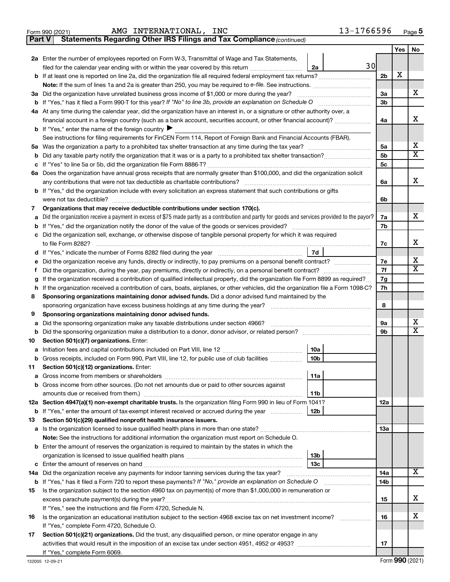|        | 13-1766596<br>AMG INTERNATIONAL, INC<br>Form 990 (2021)                                                                                                                                                       |                      |     | Page 5                  |
|--------|---------------------------------------------------------------------------------------------------------------------------------------------------------------------------------------------------------------|----------------------|-----|-------------------------|
| Part V | Statements Regarding Other IRS Filings and Tax Compliance (continued)                                                                                                                                         |                      |     |                         |
|        |                                                                                                                                                                                                               |                      | Yes | No                      |
|        | 2a Enter the number of employees reported on Form W-3, Transmittal of Wage and Tax Statements,                                                                                                                |                      |     |                         |
|        | 30<br>filed for the calendar year ending with or within the year covered by this return<br>2a                                                                                                                 |                      |     |                         |
|        | <b>b</b> If at least one is reported on line 2a, did the organization file all required federal employment tax returns?                                                                                       | 2 <sub>b</sub>       | х   |                         |
|        |                                                                                                                                                                                                               |                      |     |                         |
|        | 3a Did the organization have unrelated business gross income of \$1,000 or more during the year?                                                                                                              | 3a                   |     | x                       |
| b      | If "Yes," has it filed a Form 990-T for this year? If "No" to line 3b, provide an explanation on Schedule O                                                                                                   | 3 <sub>b</sub>       |     |                         |
|        | 4a At any time during the calendar year, did the organization have an interest in, or a signature or other authority over, a                                                                                  |                      |     | х                       |
|        | financial account in a foreign country (such as a bank account, securities account, or other financial account)?                                                                                              | 4a                   |     |                         |
|        | <b>b</b> If "Yes," enter the name of the foreign country $\blacktriangleright$                                                                                                                                |                      |     |                         |
|        | See instructions for filing requirements for FinCEN Form 114, Report of Foreign Bank and Financial Accounts (FBAR).                                                                                           |                      |     | х                       |
|        | 5a Was the organization a party to a prohibited tax shelter transaction at any time during the tax year?                                                                                                      | 5a<br>5 <sub>b</sub> |     | $\overline{X}$          |
| b      |                                                                                                                                                                                                               | 5 <sub>c</sub>       |     |                         |
| с      |                                                                                                                                                                                                               |                      |     |                         |
|        | 6a Does the organization have annual gross receipts that are normally greater than \$100,000, and did the organization solicit<br>any contributions that were not tax deductible as charitable contributions? | 6a                   |     | x                       |
|        | b If "Yes," did the organization include with every solicitation an express statement that such contributions or gifts                                                                                        |                      |     |                         |
|        | were not tax deductible?                                                                                                                                                                                      | 6b                   |     |                         |
| 7      | Organizations that may receive deductible contributions under section 170(c).                                                                                                                                 |                      |     |                         |
| a      | Did the organization receive a payment in excess of \$75 made partly as a contribution and partly for goods and services provided to the payor?                                                               | 7a                   |     | x                       |
| b      | If "Yes," did the organization notify the donor of the value of the goods or services provided?                                                                                                               | 7b                   |     |                         |
| c      | Did the organization sell, exchange, or otherwise dispose of tangible personal property for which it was required                                                                                             |                      |     |                         |
|        | to file Form 8282?                                                                                                                                                                                            | 7с                   |     | x                       |
| d      | 7d<br>If "Yes," indicate the number of Forms 8282 filed during the year manufacture intervent controller                                                                                                      |                      |     |                         |
| е      | Did the organization receive any funds, directly or indirectly, to pay premiums on a personal benefit contract?                                                                                               | 7e                   |     | х                       |
| f.     | Did the organization, during the year, pay premiums, directly or indirectly, on a personal benefit contract?                                                                                                  | 7f                   |     | $\overline{X}$          |
| g      | If the organization received a contribution of qualified intellectual property, did the organization file Form 8899 as required?                                                                              | 7g                   |     |                         |
| h      | If the organization received a contribution of cars, boats, airplanes, or other vehicles, did the organization file a Form 1098-C?                                                                            | 7h                   |     |                         |
| 8      | Sponsoring organizations maintaining donor advised funds. Did a donor advised fund maintained by the                                                                                                          |                      |     |                         |
|        | sponsoring organization have excess business holdings at any time during the year?                                                                                                                            | 8                    |     |                         |
| 9      | Sponsoring organizations maintaining donor advised funds.                                                                                                                                                     |                      |     |                         |
| a      | Did the sponsoring organization make any taxable distributions under section 4966?                                                                                                                            | 9а                   |     | х                       |
| b      |                                                                                                                                                                                                               | 9b                   |     | $\overline{\mathbf{x}}$ |
| 10     | Section 501(c)(7) organizations. Enter:                                                                                                                                                                       |                      |     |                         |
| а      | 10a                                                                                                                                                                                                           |                      |     |                         |
| b      | Gross receipts, included on Form 990, Part VIII, line 12, for public use of club facilities<br>10 <sub>b</sub>                                                                                                |                      |     |                         |
| 11     | Section 501(c)(12) organizations. Enter:                                                                                                                                                                      |                      |     |                         |
| a      | 11a                                                                                                                                                                                                           |                      |     |                         |
| b      | Gross income from other sources. (Do not net amounts due or paid to other sources against                                                                                                                     |                      |     |                         |
|        | 11 <sub>b</sub>                                                                                                                                                                                               |                      |     |                         |
|        | 12a Section 4947(a)(1) non-exempt charitable trusts. Is the organization filing Form 990 in lieu of Form 1041?                                                                                                | 12a                  |     |                         |
| b      | 12 <sub>b</sub><br>If "Yes," enter the amount of tax-exempt interest received or accrued during the year                                                                                                      |                      |     |                         |
| 13     | Section 501(c)(29) qualified nonprofit health insurance issuers.                                                                                                                                              |                      |     |                         |
| а      | Is the organization licensed to issue qualified health plans in more than one state?                                                                                                                          | 13a                  |     |                         |
|        | Note: See the instructions for additional information the organization must report on Schedule O.                                                                                                             |                      |     |                         |
| b      | Enter the amount of reserves the organization is required to maintain by the states in which the                                                                                                              |                      |     |                         |
|        | 13 <sub>b</sub>                                                                                                                                                                                               |                      |     |                         |
| с      | 13с                                                                                                                                                                                                           |                      |     |                         |
| 14a    | Did the organization receive any payments for indoor tanning services during the tax year?                                                                                                                    | 14a                  |     | $\overline{\mathbf{X}}$ |
| b      |                                                                                                                                                                                                               | 14b                  |     |                         |
| 15     | Is the organization subject to the section 4960 tax on payment(s) of more than \$1,000,000 in remuneration or                                                                                                 |                      |     |                         |
|        |                                                                                                                                                                                                               | 15                   |     | х                       |
|        | If "Yes," see the instructions and file Form 4720, Schedule N.                                                                                                                                                |                      |     |                         |
| 16     | Is the organization an educational institution subject to the section 4968 excise tax on net investment income?                                                                                               | 16                   |     | х                       |
|        | If "Yes," complete Form 4720, Schedule O.                                                                                                                                                                     |                      |     |                         |
| 17     | Section 501(c)(21) organizations. Did the trust, any disqualified person, or mine operator engage in any                                                                                                      |                      |     |                         |
|        | If "Yes," complete Form 6069.                                                                                                                                                                                 | 17                   |     |                         |
|        |                                                                                                                                                                                                               |                      |     |                         |

j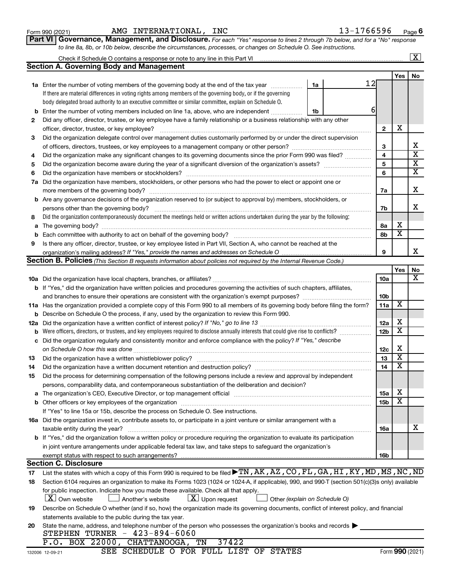| Form 990 (2021) |  |
|-----------------|--|
|-----------------|--|

# Form 990 (2021) Page AMG INTERNATIONAL, INC 13-1766596

**Part VI** Governance, Management, and Disclosure. For each "Yes" response to lines 2 through 7b below, and for a "No" response *to line 8a, 8b, or 10b below, describe the circumstances, processes, or changes on Schedule O. See instructions.*

|          |                                                                                                                                                                                                                                |    |                        |                         | $\mathbf{X}$            |
|----------|--------------------------------------------------------------------------------------------------------------------------------------------------------------------------------------------------------------------------------|----|------------------------|-------------------------|-------------------------|
|          | Section A. Governing Body and Management                                                                                                                                                                                       |    |                        |                         |                         |
|          |                                                                                                                                                                                                                                |    |                        | Yes                     | No                      |
|          | <b>1a</b> Enter the number of voting members of the governing body at the end of the tax year<br>1a                                                                                                                            | 12 |                        |                         |                         |
|          | If there are material differences in voting rights among members of the governing body, or if the governing                                                                                                                    |    |                        |                         |                         |
|          | body delegated broad authority to an executive committee or similar committee, explain on Schedule O.                                                                                                                          |    |                        |                         |                         |
| b        | Enter the number of voting members included on line 1a, above, who are independent<br>1b                                                                                                                                       | 6  |                        |                         |                         |
| 2        | Did any officer, director, trustee, or key employee have a family relationship or a business relationship with any other                                                                                                       |    |                        |                         |                         |
|          | officer, director, trustee, or key employee?                                                                                                                                                                                   |    | $\mathbf{2}$           | х                       |                         |
| 3        | Did the organization delegate control over management duties customarily performed by or under the direct supervision                                                                                                          |    |                        |                         |                         |
|          |                                                                                                                                                                                                                                |    | з                      |                         | х                       |
| 4        | Did the organization make any significant changes to its governing documents since the prior Form 990 was filed?                                                                                                               |    | 4                      |                         | $\overline{\textbf{x}}$ |
| 5        |                                                                                                                                                                                                                                |    | 5                      |                         | $\overline{\textbf{X}}$ |
| 6        | Did the organization have members or stockholders?                                                                                                                                                                             |    | 6                      |                         | $\overline{\textbf{X}}$ |
| 7a       | Did the organization have members, stockholders, or other persons who had the power to elect or appoint one or                                                                                                                 |    |                        |                         |                         |
|          |                                                                                                                                                                                                                                |    | 7a                     |                         | x                       |
|          | <b>b</b> Are any governance decisions of the organization reserved to (or subject to approval by) members, stockholders, or                                                                                                    |    |                        |                         |                         |
|          | persons other than the governing body?                                                                                                                                                                                         |    | 7b                     |                         | x                       |
| 8        | Did the organization contemporaneously document the meetings held or written actions undertaken during the year by the following:                                                                                              |    |                        |                         |                         |
|          |                                                                                                                                                                                                                                |    |                        | х                       |                         |
| a        |                                                                                                                                                                                                                                |    | 8а<br>8b               | $\overline{\textbf{x}}$ |                         |
| b        |                                                                                                                                                                                                                                |    |                        |                         |                         |
| 9        | Is there any officer, director, trustee, or key employee listed in Part VII, Section A, who cannot be reached at the                                                                                                           |    | 9                      |                         | x                       |
|          | Section B. Policies (This Section B requests information about policies not required by the Internal Revenue Code.)                                                                                                            |    |                        |                         |                         |
|          |                                                                                                                                                                                                                                |    |                        |                         |                         |
|          |                                                                                                                                                                                                                                |    |                        | Yes                     | No<br>х                 |
|          |                                                                                                                                                                                                                                |    | 10a                    |                         |                         |
|          | <b>b</b> If "Yes," did the organization have written policies and procedures governing the activities of such chapters, affiliates,                                                                                            |    | 10 <sub>b</sub>        |                         |                         |
|          | and branches to ensure their operations are consistent with the organization's exempt purposes? www.www.www.www.                                                                                                               |    | 11a                    | X                       |                         |
|          | 11a Has the organization provided a complete copy of this Form 990 to all members of its governing body before filing the form?                                                                                                |    |                        |                         |                         |
| b        | Describe on Schedule O the process, if any, used by the organization to review this Form 990.                                                                                                                                  |    |                        | х                       |                         |
| 12a      | Did the organization have a written conflict of interest policy? If "No," go to line 13                                                                                                                                        |    | 12a<br>12 <sub>b</sub> | х                       |                         |
| b        | Were officers, directors, or trustees, and key employees required to disclose annually interests that could give rise to conflicts?                                                                                            |    |                        |                         |                         |
| с        | Did the organization regularly and consistently monitor and enforce compliance with the policy? If "Yes," describe                                                                                                             |    |                        | х                       |                         |
|          | on Schedule O how this was done                                                                                                                                                                                                |    | 12c<br>13              | $\overline{\textbf{x}}$ |                         |
| 13       | Did the organization have a written whistleblower policy?                                                                                                                                                                      |    | 14                     | $\overline{\mathbf{X}}$ |                         |
| 14       |                                                                                                                                                                                                                                |    |                        |                         |                         |
| 15       | Did the process for determining compensation of the following persons include a review and approval by independent                                                                                                             |    |                        |                         |                         |
|          | persons, comparability data, and contemporaneous substantiation of the deliberation and decision?                                                                                                                              |    |                        | х                       |                         |
| а        | The organization's CEO, Executive Director, or top management official manufactured content of the organization's CEO, Executive Director, or top management official manufactured content of the organization's CEO, Executiv |    | 15a                    | X                       |                         |
|          |                                                                                                                                                                                                                                |    | <b>15b</b>             |                         |                         |
|          | If "Yes" to line 15a or 15b, describe the process on Schedule O. See instructions.                                                                                                                                             |    |                        |                         |                         |
|          | 16a Did the organization invest in, contribute assets to, or participate in a joint venture or similar arrangement with a                                                                                                      |    |                        |                         | x                       |
|          | taxable entity during the year?<br><b>b</b> If "Yes," did the organization follow a written policy or procedure requiring the organization to evaluate its participation                                                       |    | 16a                    |                         |                         |
|          |                                                                                                                                                                                                                                |    |                        |                         |                         |
|          | in joint venture arrangements under applicable federal tax law, and take steps to safeguard the organization's<br>exempt status with respect to such arrangements?                                                             |    |                        |                         |                         |
|          | <b>Section C. Disclosure</b>                                                                                                                                                                                                   |    | 16b                    |                         |                         |
|          | List the states with which a copy of this Form 990 is required to be filed $\blacktriangleright$ TN, AK, AZ, CO, FL, GA, HI, KY, MD, MS, NC, ND                                                                                |    |                        |                         |                         |
| 17<br>18 | Section 6104 requires an organization to make its Forms 1023 (1024 or 1024-A, if applicable), 990, and 990-T (section 501(c)(3)s only) available                                                                               |    |                        |                         |                         |
|          | for public inspection. Indicate how you made these available. Check all that apply.                                                                                                                                            |    |                        |                         |                         |
|          | $ \mathbf{X} $ Own website<br>$\lfloor x \rfloor$ Upon request<br>Another's website<br>Other (explain on Schedule O)                                                                                                           |    |                        |                         |                         |
|          | Describe on Schedule O whether (and if so, how) the organization made its governing documents, conflict of interest policy, and financial                                                                                      |    |                        |                         |                         |
| 19       | statements available to the public during the tax year.                                                                                                                                                                        |    |                        |                         |                         |
| 20       | State the name, address, and telephone number of the person who possesses the organization's books and records                                                                                                                 |    |                        |                         |                         |
|          | STEPHEN TURNER - 423-894-6060                                                                                                                                                                                                  |    |                        |                         |                         |
|          | P.O. BOX 22000, CHATTANOOGA, TN<br>37422                                                                                                                                                                                       |    |                        |                         |                         |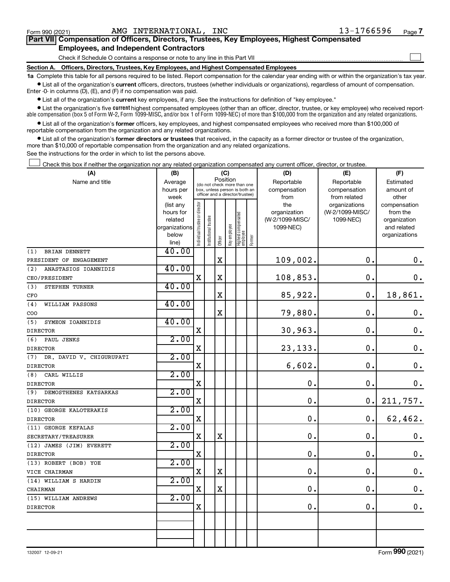$\Box$ 

| Part VII Compensation of Officers, Directors, Trustees, Key Employees, Highest Compensated |
|--------------------------------------------------------------------------------------------|
| <b>Employees, and Independent Contractors</b>                                              |

Check if Schedule O contains a response or note to any line in this Part VII

**Section A. Officers, Directors, Trustees, Key Employees, and Highest Compensated Employees**

**1a**  Complete this table for all persons required to be listed. Report compensation for the calendar year ending with or within the organization's tax year.  $\bullet$  List all of the organization's current officers, directors, trustees (whether individuals or organizations), regardless of amount of compensation.

Enter -0- in columns (D), (E), and (F) if no compensation was paid.

**•** List all of the organization's **current** key employees, if any. See the instructions for definition of "key employee."

• List the organization's five *current* highest compensated employees (other than an officer, director, trustee, or key employee) who received reportable compensation (box 5 of Form W-2, Form 1099-MISC, and/or box 1 of Form 1099-NEC) of more than \$100,000 from the organization and any related organizations.

 $\bullet$  List all of the organization's former officers, key employees, and highest compensated employees who received more than \$100,000 of reportable compensation from the organization and any related organizations.

**•** List all of the organization's former directors or trustees that received, in the capacity as a former director or trustee of the organization, more than \$10,000 of reportable compensation from the organization and any related organizations.

See the instructions for the order in which to list the persons above.

Check this box if neither the organization nor any related organization compensated any current officer, director, or trustee.  $\Box$ 

| (A)                             |                        | (C)<br>(B)                    |                                                                                                 |             |              |                                 |        | (D)             | (E)             | (F)                          |  |  |
|---------------------------------|------------------------|-------------------------------|-------------------------------------------------------------------------------------------------|-------------|--------------|---------------------------------|--------|-----------------|-----------------|------------------------------|--|--|
| Name and title                  | Average                |                               |                                                                                                 |             | Position     |                                 |        | Reportable      | Reportable      | Estimated                    |  |  |
|                                 | hours per              |                               | (do not check more than one<br>box, unless person is both an<br>officer and a director/trustee) |             |              |                                 |        | compensation    | compensation    | amount of                    |  |  |
|                                 | week                   |                               |                                                                                                 |             |              |                                 |        | from            | from related    | other                        |  |  |
|                                 | (list any              |                               |                                                                                                 |             |              |                                 |        | the             | organizations   | compensation                 |  |  |
|                                 | hours for              |                               |                                                                                                 |             |              |                                 |        | organization    | (W-2/1099-MISC/ | from the                     |  |  |
|                                 | related                |                               |                                                                                                 |             |              |                                 |        | (W-2/1099-MISC/ | 1099-NEC)       | organization                 |  |  |
|                                 | organizations<br>below |                               |                                                                                                 |             |              |                                 |        | 1099-NEC)       |                 | and related<br>organizations |  |  |
|                                 | line)                  | ndividual trustee or director | nstitutional trustee                                                                            | Officer     | Key employee | Highest compensated<br>employee | Former |                 |                 |                              |  |  |
| BRIAN DENNETT<br>(1)            | 40.00                  |                               |                                                                                                 |             |              |                                 |        |                 |                 |                              |  |  |
| PRESIDENT OF ENGAGEMENT         |                        |                               |                                                                                                 | $\mathbf x$ |              |                                 |        | 109,002.        | $\mathbf 0$ .   | $\boldsymbol{0}$ .           |  |  |
| ANASTASIOS IOANNIDIS<br>(2)     | 40.00                  |                               |                                                                                                 |             |              |                                 |        |                 |                 |                              |  |  |
| CEO/PRESIDENT                   |                        | X                             |                                                                                                 | X           |              |                                 |        | 108,853.        | $\mathbf 0$ .   | 0.                           |  |  |
| (3)<br>STEPHEN TURNER           | 40.00                  |                               |                                                                                                 |             |              |                                 |        |                 |                 |                              |  |  |
| CFO                             |                        |                               |                                                                                                 | $\mathbf X$ |              |                                 |        | 85,922.         | $\mathbf 0$ .   | 18,861.                      |  |  |
| WILLIAM PASSONS<br>(4)          | 40.00                  |                               |                                                                                                 |             |              |                                 |        |                 |                 |                              |  |  |
| COO                             |                        |                               |                                                                                                 | X           |              |                                 |        | 79,880.         | $\mathbf 0$ .   | $\boldsymbol{0}$ .           |  |  |
| SYMEON IOANNIDIS<br>(5)         | 40.00                  |                               |                                                                                                 |             |              |                                 |        |                 |                 |                              |  |  |
| <b>DIRECTOR</b>                 |                        | $\mathbf X$                   |                                                                                                 |             |              |                                 |        | 30,963.         | О.              | $\mathbf 0$ .                |  |  |
| (6)<br>PAUL JENKS               | 2.00                   |                               |                                                                                                 |             |              |                                 |        |                 |                 |                              |  |  |
| <b>DIRECTOR</b>                 |                        | X                             |                                                                                                 |             |              |                                 |        | 23,133.         | О.              | $\mathbf 0$ .                |  |  |
| DR. DAVID V. CHIGURUPATI<br>(7) | 2.00                   |                               |                                                                                                 |             |              |                                 |        |                 |                 |                              |  |  |
| <b>DIRECTOR</b>                 |                        | $\mathbf X$                   |                                                                                                 |             |              |                                 |        | 6,602.          | $\mathbf 0$ .   | $\mathbf 0$ .                |  |  |
| CARL WILLIS<br>(8)              | 2.00                   |                               |                                                                                                 |             |              |                                 |        |                 |                 |                              |  |  |
| <b>DIRECTOR</b>                 |                        | $\mathbf x$                   |                                                                                                 |             |              |                                 |        | 0.              | $\mathbf 0$ .   | $\mathbf 0$ .                |  |  |
| (9)<br>DEMOSTHENES KATSARKAS    | 2.00                   |                               |                                                                                                 |             |              |                                 |        |                 |                 |                              |  |  |
| <b>DIRECTOR</b>                 |                        | $\mathbf x$                   |                                                                                                 |             |              |                                 |        | 0.              | 0.              | 211,757.                     |  |  |
| (10) GEORGE KALOTERAKIS         | 2.00                   |                               |                                                                                                 |             |              |                                 |        |                 |                 |                              |  |  |
| <b>DIRECTOR</b>                 |                        | $\mathbf X$                   |                                                                                                 |             |              |                                 |        | $\mathbf 0$ .   | $\mathbf 0$ .   | 62,462.                      |  |  |
| (11) GEORGE KEFALAS             | 2.00                   |                               |                                                                                                 |             |              |                                 |        |                 |                 |                              |  |  |
| SECRETARY/TREASURER             |                        | X                             |                                                                                                 | $\mathbf x$ |              |                                 |        | 0.              | $\mathbf 0$ .   | $\mathbf 0$ .                |  |  |
| (12) JAMES (JIM) EVERETT        | 2.00                   |                               |                                                                                                 |             |              |                                 |        |                 |                 |                              |  |  |
| <b>DIRECTOR</b>                 |                        | $\mathbf X$                   |                                                                                                 |             |              |                                 |        | 0.              | $\mathbf 0$ .   | $\mathbf 0$ .                |  |  |
| (13) ROBERT (BOB) YOE           | 2.00                   |                               |                                                                                                 |             |              |                                 |        |                 |                 |                              |  |  |
| VICE CHAIRMAN                   |                        | X                             |                                                                                                 | $\mathbf X$ |              |                                 |        | 0.              | $\mathbf 0$ .   | $\mathbf 0$ .                |  |  |
| (14) WILLIAM S HARDIN           | 2.00                   |                               |                                                                                                 |             |              |                                 |        |                 |                 |                              |  |  |
| CHAIRMAN                        |                        | $\mathbf X$                   |                                                                                                 | $\mathbf X$ |              |                                 |        | $\mathbf 0$ .   | $\mathbf 0$ .   | $\mathbf 0$ .                |  |  |
| (15) WILLIAM ANDREWS            | 2.00                   |                               |                                                                                                 |             |              |                                 |        |                 |                 |                              |  |  |
| <b>DIRECTOR</b>                 |                        | $\mathbf X$                   |                                                                                                 |             |              |                                 |        | 0.              | $\mathbf 0$ .   | $\mathbf 0$ .                |  |  |
|                                 |                        |                               |                                                                                                 |             |              |                                 |        |                 |                 |                              |  |  |
|                                 |                        |                               |                                                                                                 |             |              |                                 |        |                 |                 |                              |  |  |
|                                 |                        |                               |                                                                                                 |             |              |                                 |        |                 |                 |                              |  |  |
|                                 |                        |                               |                                                                                                 |             |              |                                 |        |                 |                 |                              |  |  |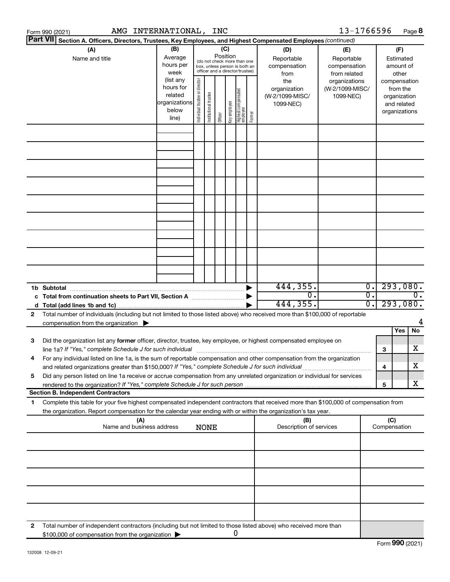|    | AMG INTERNATIONAL, INC<br>Form 990 (2021)                                                                                                                                                                                                                                                                                    |                                                                      |                                |                                                                                                                                                                 |         |              |                                   |        |                                                     | 13-1766596                                        |                                                |                     | Page 8                                                                   |
|----|------------------------------------------------------------------------------------------------------------------------------------------------------------------------------------------------------------------------------------------------------------------------------------------------------------------------------|----------------------------------------------------------------------|--------------------------------|-----------------------------------------------------------------------------------------------------------------------------------------------------------------|---------|--------------|-----------------------------------|--------|-----------------------------------------------------|---------------------------------------------------|------------------------------------------------|---------------------|--------------------------------------------------------------------------|
|    | <b>Part VII</b><br>Section A. Officers, Directors, Trustees, Key Employees, and Highest Compensated Employees (continued)                                                                                                                                                                                                    |                                                                      |                                |                                                                                                                                                                 |         |              |                                   |        |                                                     |                                                   |                                                |                     |                                                                          |
|    | (B)<br>(A)<br>Average<br>Name and title<br>hours per<br>week                                                                                                                                                                                                                                                                 |                                                                      |                                | (C)<br>(D)<br>Position<br>Reportable<br>(do not check more than one<br>compensation<br>box, unless person is both an<br>officer and a director/trustee)<br>from |         |              |                                   |        |                                                     | (E)<br>Reportable<br>compensation<br>from related | (F)<br>Estimated<br>amount of<br>other         |                     |                                                                          |
|    |                                                                                                                                                                                                                                                                                                                              | (list any<br>hours for<br>related<br>organizations<br>below<br>line) | Individual trustee or director | Institutional trustee                                                                                                                                           | Officer | Key employee | Highest compensated<br>  employee | Former | the<br>organization<br>(W-2/1099-MISC/<br>1099-NEC) | organizations<br>(W-2/1099-MISC/<br>1099-NEC)     |                                                |                     | compensation<br>from the<br>organization<br>and related<br>organizations |
|    |                                                                                                                                                                                                                                                                                                                              |                                                                      |                                |                                                                                                                                                                 |         |              |                                   |        |                                                     |                                                   |                                                |                     |                                                                          |
|    |                                                                                                                                                                                                                                                                                                                              |                                                                      |                                |                                                                                                                                                                 |         |              |                                   |        |                                                     |                                                   |                                                |                     |                                                                          |
|    |                                                                                                                                                                                                                                                                                                                              |                                                                      |                                |                                                                                                                                                                 |         |              |                                   |        |                                                     |                                                   |                                                |                     |                                                                          |
|    |                                                                                                                                                                                                                                                                                                                              |                                                                      |                                |                                                                                                                                                                 |         |              |                                   |        |                                                     |                                                   |                                                |                     |                                                                          |
|    |                                                                                                                                                                                                                                                                                                                              |                                                                      |                                |                                                                                                                                                                 |         |              |                                   |        |                                                     |                                                   |                                                |                     |                                                                          |
|    |                                                                                                                                                                                                                                                                                                                              |                                                                      |                                |                                                                                                                                                                 |         |              |                                   |        |                                                     |                                                   |                                                |                     |                                                                          |
|    |                                                                                                                                                                                                                                                                                                                              |                                                                      |                                |                                                                                                                                                                 |         |              |                                   |        |                                                     |                                                   |                                                |                     |                                                                          |
|    |                                                                                                                                                                                                                                                                                                                              |                                                                      |                                |                                                                                                                                                                 |         |              |                                   |        |                                                     |                                                   |                                                |                     |                                                                          |
|    | 1b Subtotal                                                                                                                                                                                                                                                                                                                  |                                                                      |                                |                                                                                                                                                                 |         |              |                                   |        | 444,355.                                            |                                                   | $\overline{0}$ .                               |                     | 293,080.                                                                 |
|    |                                                                                                                                                                                                                                                                                                                              |                                                                      |                                |                                                                                                                                                                 |         |              |                                   |        | $\overline{0}$ .<br>444,355.                        |                                                   | $\overline{0}$ .<br>$\overline{\phantom{0}}$ . |                     | $\overline{0}$ .<br>293,080.                                             |
| 2  | Total number of individuals (including but not limited to those listed above) who received more than \$100,000 of reportable                                                                                                                                                                                                 |                                                                      |                                |                                                                                                                                                                 |         |              |                                   |        |                                                     |                                                   |                                                |                     |                                                                          |
|    | compensation from the organization $\blacktriangleright$                                                                                                                                                                                                                                                                     |                                                                      |                                |                                                                                                                                                                 |         |              |                                   |        |                                                     |                                                   |                                                |                     | 4                                                                        |
|    |                                                                                                                                                                                                                                                                                                                              |                                                                      |                                |                                                                                                                                                                 |         |              |                                   |        |                                                     |                                                   |                                                |                     | Yes<br>No                                                                |
| 3  | Did the organization list any former officer, director, trustee, key employee, or highest compensated employee on<br>line 1a? If "Yes," complete Schedule J for such individual manufacture content to the set of the set of the schedule J for such individual                                                              |                                                                      |                                |                                                                                                                                                                 |         |              |                                   |        |                                                     |                                                   |                                                | 3                   | х                                                                        |
|    | For any individual listed on line 1a, is the sum of reportable compensation and other compensation from the organization<br>and related organizations greater than \$150,000? If "Yes," complete Schedule J for such individual                                                                                              |                                                                      |                                |                                                                                                                                                                 |         |              |                                   |        |                                                     |                                                   |                                                | 4                   | x                                                                        |
| 5  | Did any person listed on line 1a receive or accrue compensation from any unrelated organization or individual for services<br>rendered to the organization? If "Yes," complete Schedule J for such person manufactured to the organization? If "Yes," complete Schedule J for such person manufactured and the organization? |                                                                      |                                |                                                                                                                                                                 |         |              |                                   |        |                                                     |                                                   |                                                | 5                   | x                                                                        |
|    | <b>Section B. Independent Contractors</b>                                                                                                                                                                                                                                                                                    |                                                                      |                                |                                                                                                                                                                 |         |              |                                   |        |                                                     |                                                   |                                                |                     |                                                                          |
| 1. | Complete this table for your five highest compensated independent contractors that received more than \$100,000 of compensation from<br>the organization. Report compensation for the calendar year ending with or within the organization's tax year.                                                                       |                                                                      |                                |                                                                                                                                                                 |         |              |                                   |        |                                                     |                                                   |                                                |                     |                                                                          |
|    | (A)<br>Name and business address                                                                                                                                                                                                                                                                                             |                                                                      |                                | <b>NONE</b>                                                                                                                                                     |         |              |                                   |        | (B)<br>Description of services                      |                                                   |                                                | (C)<br>Compensation |                                                                          |
|    |                                                                                                                                                                                                                                                                                                                              |                                                                      |                                |                                                                                                                                                                 |         |              |                                   |        |                                                     |                                                   |                                                |                     |                                                                          |
|    |                                                                                                                                                                                                                                                                                                                              |                                                                      |                                |                                                                                                                                                                 |         |              |                                   |        |                                                     |                                                   |                                                |                     |                                                                          |
|    |                                                                                                                                                                                                                                                                                                                              |                                                                      |                                |                                                                                                                                                                 |         |              |                                   |        |                                                     |                                                   |                                                |                     |                                                                          |
|    |                                                                                                                                                                                                                                                                                                                              |                                                                      |                                |                                                                                                                                                                 |         |              |                                   |        |                                                     |                                                   |                                                |                     |                                                                          |
| 2  | Total number of independent contractors (including but not limited to those listed above) who received more than<br>\$100,000 of compensation from the organization                                                                                                                                                          |                                                                      |                                |                                                                                                                                                                 |         |              | 0                                 |        |                                                     |                                                   |                                                |                     |                                                                          |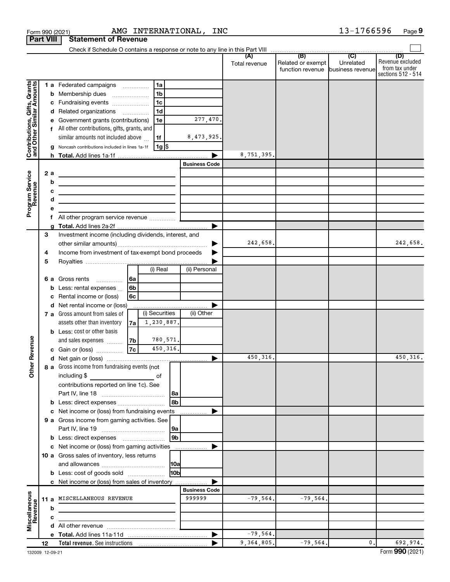|                                                           |                  | AMG INTERNATIONAL, INC<br>Form 990 (2021)                                                                                                                          |                      |               |                                                        | 13-1766596     | Page 9                                                   |
|-----------------------------------------------------------|------------------|--------------------------------------------------------------------------------------------------------------------------------------------------------------------|----------------------|---------------|--------------------------------------------------------|----------------|----------------------------------------------------------|
|                                                           | <b>Part VIII</b> | <b>Statement of Revenue</b>                                                                                                                                        |                      |               |                                                        |                |                                                          |
|                                                           |                  |                                                                                                                                                                    |                      | (A)           | (B)                                                    | (C)            | (D)                                                      |
|                                                           |                  |                                                                                                                                                                    |                      | Total revenue | Related or exempt<br>function revenue business revenue | Unrelated      | Revenue excluded<br>from tax under<br>sections 512 - 514 |
|                                                           |                  | 1 a Federated campaigns<br>1a                                                                                                                                      |                      |               |                                                        |                |                                                          |
|                                                           |                  | 1 <sub>b</sub><br><b>b</b> Membership dues                                                                                                                         |                      |               |                                                        |                |                                                          |
|                                                           |                  | 1 <sub>c</sub><br>c Fundraising events                                                                                                                             |                      |               |                                                        |                |                                                          |
| Contributions, Gifts, Grants<br>and Other Similar Amounts |                  | 1 <sub>d</sub><br>d Related organizations                                                                                                                          |                      |               |                                                        |                |                                                          |
|                                                           |                  | e Government grants (contributions)<br>1e                                                                                                                          | 277,470.             |               |                                                        |                |                                                          |
|                                                           |                  | f All other contributions, gifts, grants, and                                                                                                                      |                      |               |                                                        |                |                                                          |
|                                                           |                  | similar amounts not included above<br>1f                                                                                                                           | 8,473,925.           |               |                                                        |                |                                                          |
|                                                           |                  | g Noncash contributions included in lines 1a-1f<br>  1g  \$                                                                                                        |                      |               |                                                        |                |                                                          |
|                                                           |                  |                                                                                                                                                                    | <b>Business Code</b> | 8,751,395.    |                                                        |                |                                                          |
|                                                           |                  |                                                                                                                                                                    |                      |               |                                                        |                |                                                          |
|                                                           | 2 a<br>b         | the control of the control of the control of the control of the control of                                                                                         |                      |               |                                                        |                |                                                          |
|                                                           | с                | the contract of the contract of the contract of the contract of the contract of                                                                                    |                      |               |                                                        |                |                                                          |
|                                                           | d                | the contract of the contract of the contract of the contract of the contract of<br>the contract of the contract of the contract of the contract of the contract of |                      |               |                                                        |                |                                                          |
| Program Service<br>Revenue                                | е                |                                                                                                                                                                    |                      |               |                                                        |                |                                                          |
|                                                           | 1.               | All other program service revenue                                                                                                                                  |                      |               |                                                        |                |                                                          |
|                                                           |                  |                                                                                                                                                                    |                      |               |                                                        |                |                                                          |
|                                                           | З                | Investment income (including dividends, interest, and                                                                                                              |                      |               |                                                        |                |                                                          |
|                                                           |                  |                                                                                                                                                                    | ▶                    | 242,658.      |                                                        |                | 242,658.                                                 |
|                                                           | 4                | Income from investment of tax-exempt bond proceeds                                                                                                                 |                      |               |                                                        |                |                                                          |
|                                                           | 5                | (i) Real                                                                                                                                                           | (ii) Personal        |               |                                                        |                |                                                          |
|                                                           |                  |                                                                                                                                                                    |                      |               |                                                        |                |                                                          |
|                                                           |                  | 6 a Gross rents<br>  6a<br><b>b</b> Less: rental expenses<br>6b                                                                                                    |                      |               |                                                        |                |                                                          |
|                                                           | c                | Rental income or (loss)<br>6с                                                                                                                                      |                      |               |                                                        |                |                                                          |
|                                                           |                  | d Net rental income or (loss)                                                                                                                                      |                      |               |                                                        |                |                                                          |
|                                                           |                  | (i) Securities<br>7 a Gross amount from sales of                                                                                                                   | (ii) Other           |               |                                                        |                |                                                          |
|                                                           |                  | 1,230,887.<br>assets other than inventory<br>7a l                                                                                                                  |                      |               |                                                        |                |                                                          |
|                                                           |                  | <b>b</b> Less: cost or other basis                                                                                                                                 |                      |               |                                                        |                |                                                          |
| wenue                                                     |                  | 780,571.<br>and sales expenses<br>7b                                                                                                                               |                      |               |                                                        |                |                                                          |
|                                                           |                  | $\overline{7c}$<br>450,316.<br>c Gain or (loss)                                                                                                                    |                      |               |                                                        |                |                                                          |
| č                                                         |                  |                                                                                                                                                                    |                      | 450, 316.     |                                                        |                | 450,316.                                                 |
| Other                                                     |                  | 8 a Gross income from fundraising events (not                                                                                                                      |                      |               |                                                        |                |                                                          |
|                                                           |                  | including \$                                                                                                                                                       |                      |               |                                                        |                |                                                          |
|                                                           |                  | contributions reported on line 1c). See<br>l 8a                                                                                                                    |                      |               |                                                        |                |                                                          |
|                                                           |                  | 8b<br>b Less: direct expenses                                                                                                                                      |                      |               |                                                        |                |                                                          |
|                                                           |                  | c Net income or (loss) from fundraising events                                                                                                                     |                      |               |                                                        |                |                                                          |
|                                                           |                  | 9 a Gross income from gaming activities. See                                                                                                                       |                      |               |                                                        |                |                                                          |
|                                                           |                  | 9a                                                                                                                                                                 |                      |               |                                                        |                |                                                          |
|                                                           |                  | 9b                                                                                                                                                                 |                      |               |                                                        |                |                                                          |
|                                                           |                  | c Net income or (loss) from gaming activities                                                                                                                      | Þ                    |               |                                                        |                |                                                          |
|                                                           |                  | 10 a Gross sales of inventory, less returns                                                                                                                        |                      |               |                                                        |                |                                                          |
|                                                           |                  | 10a                                                                                                                                                                |                      |               |                                                        |                |                                                          |
|                                                           |                  | <b>b</b> Less: cost of goods sold<br>10bl                                                                                                                          |                      |               |                                                        |                |                                                          |
|                                                           |                  | c Net income or (loss) from sales of inventory                                                                                                                     | <b>Business Code</b> |               |                                                        |                |                                                          |
|                                                           |                  | 11 a MISCELLANEOUS REVENUE                                                                                                                                         | 999999               | $-79,564.$    | $-79,564.$                                             |                |                                                          |
|                                                           | b                | the control of the control of the control of the control of                                                                                                        |                      |               |                                                        |                |                                                          |
| Miscellaneous<br>Revenue                                  | с                |                                                                                                                                                                    |                      |               |                                                        |                |                                                          |
|                                                           |                  |                                                                                                                                                                    |                      |               |                                                        |                |                                                          |
|                                                           |                  |                                                                                                                                                                    | ▶                    | $-79,564.$    |                                                        |                |                                                          |
|                                                           | 12               |                                                                                                                                                                    |                      | 9,364,805.    | $-79,564.$                                             | $\mathbf{0}$ . | 692,974.                                                 |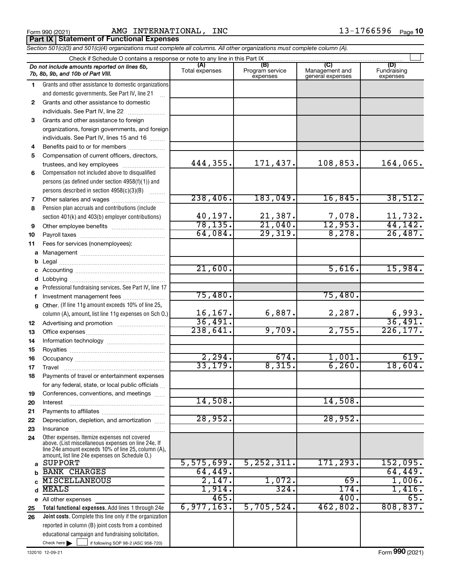Form 990 (2021) Page AMG INTERNATIONAL, INC 13-1766596 **Porm 990 (2021)**<br>**Part IX | Statement of Functional Expenses** 

| Section 501(c)(3) and 501(c)(4) organizations must complete all columns. All other organizations must complete column (A). |                                                                                                                                                                                                              |                         |                                    |                                           |                                |  |  |  |  |
|----------------------------------------------------------------------------------------------------------------------------|--------------------------------------------------------------------------------------------------------------------------------------------------------------------------------------------------------------|-------------------------|------------------------------------|-------------------------------------------|--------------------------------|--|--|--|--|
|                                                                                                                            | Check if Schedule O contains a response or note to any line in this Part IX.                                                                                                                                 |                         |                                    |                                           |                                |  |  |  |  |
|                                                                                                                            | Do not include amounts reported on lines 6b,<br>7b, 8b, 9b, and 10b of Part VIII.                                                                                                                            | (A)<br>Total expenses   | (B)<br>Program service<br>expenses | (C)<br>Management and<br>general expenses | (D)<br>Fundraising<br>expenses |  |  |  |  |
| 1                                                                                                                          | Grants and other assistance to domestic organizations                                                                                                                                                        |                         |                                    |                                           |                                |  |  |  |  |
|                                                                                                                            | and domestic governments. See Part IV, line 21                                                                                                                                                               |                         |                                    |                                           |                                |  |  |  |  |
| $\mathbf{2}$                                                                                                               | Grants and other assistance to domestic                                                                                                                                                                      |                         |                                    |                                           |                                |  |  |  |  |
|                                                                                                                            | individuals. See Part IV, line 22                                                                                                                                                                            |                         |                                    |                                           |                                |  |  |  |  |
| 3                                                                                                                          | Grants and other assistance to foreign                                                                                                                                                                       |                         |                                    |                                           |                                |  |  |  |  |
|                                                                                                                            | organizations, foreign governments, and foreign                                                                                                                                                              |                         |                                    |                                           |                                |  |  |  |  |
|                                                                                                                            | individuals. See Part IV, lines 15 and 16                                                                                                                                                                    |                         |                                    |                                           |                                |  |  |  |  |
| 4                                                                                                                          | Benefits paid to or for members                                                                                                                                                                              |                         |                                    |                                           |                                |  |  |  |  |
| 5                                                                                                                          | Compensation of current officers, directors,                                                                                                                                                                 |                         |                                    |                                           |                                |  |  |  |  |
|                                                                                                                            | trustees, and key employees                                                                                                                                                                                  | 444,355.                | 171,437.                           | 108,853.                                  | 164,065.                       |  |  |  |  |
| 6                                                                                                                          | Compensation not included above to disqualified                                                                                                                                                              |                         |                                    |                                           |                                |  |  |  |  |
|                                                                                                                            | persons (as defined under section 4958(f)(1)) and                                                                                                                                                            |                         |                                    |                                           |                                |  |  |  |  |
|                                                                                                                            | persons described in section 4958(c)(3)(B)                                                                                                                                                                   |                         |                                    |                                           |                                |  |  |  |  |
| 7                                                                                                                          | Other salaries and wages                                                                                                                                                                                     | 238,406.                | 183,049.                           | 16,845.                                   | 38,512.                        |  |  |  |  |
| 8                                                                                                                          | Pension plan accruals and contributions (include                                                                                                                                                             |                         |                                    |                                           |                                |  |  |  |  |
|                                                                                                                            | section 401(k) and 403(b) employer contributions)                                                                                                                                                            | $\frac{40,197}{78,135}$ | $\frac{21,387}{21,040}$            | $\frac{7,078}{12,953}$                    | $\frac{11,732}{44,142}$        |  |  |  |  |
| 9                                                                                                                          |                                                                                                                                                                                                              |                         |                                    |                                           |                                |  |  |  |  |
| 10                                                                                                                         |                                                                                                                                                                                                              | 64,084.                 | 29,319.                            | 8,278.                                    | 26,487.                        |  |  |  |  |
| 11                                                                                                                         | Fees for services (nonemployees):                                                                                                                                                                            |                         |                                    |                                           |                                |  |  |  |  |
|                                                                                                                            |                                                                                                                                                                                                              |                         |                                    |                                           |                                |  |  |  |  |
|                                                                                                                            |                                                                                                                                                                                                              |                         |                                    |                                           |                                |  |  |  |  |
|                                                                                                                            |                                                                                                                                                                                                              | 21,600.                 |                                    | 5,616.                                    | 15,984.                        |  |  |  |  |
|                                                                                                                            |                                                                                                                                                                                                              |                         |                                    |                                           |                                |  |  |  |  |
|                                                                                                                            | e Professional fundraising services. See Part IV, line 17                                                                                                                                                    |                         |                                    |                                           |                                |  |  |  |  |
|                                                                                                                            | Investment management fees                                                                                                                                                                                   | 75,480.                 |                                    | 75,480.                                   |                                |  |  |  |  |
|                                                                                                                            | g Other. (If line 11g amount exceeds 10% of line 25,                                                                                                                                                         |                         |                                    |                                           |                                |  |  |  |  |
|                                                                                                                            | column (A), amount, list line 11g expenses on Sch O.)                                                                                                                                                        | 16, 167.                | 6,887.                             | 2,287.                                    | $\frac{6,993}{36,491}$         |  |  |  |  |
| 12                                                                                                                         |                                                                                                                                                                                                              | 36,491.<br>238,641.     |                                    |                                           | 226, 177.                      |  |  |  |  |
| 13                                                                                                                         |                                                                                                                                                                                                              |                         | 9,709.                             | 2,755.                                    |                                |  |  |  |  |
| 14                                                                                                                         |                                                                                                                                                                                                              |                         |                                    |                                           |                                |  |  |  |  |
| 15                                                                                                                         |                                                                                                                                                                                                              | 2, 294.                 | 674.                               | 1,001.                                    | 619.                           |  |  |  |  |
| 16                                                                                                                         |                                                                                                                                                                                                              | 33,179.                 | 8,315.                             | 6, 260.                                   | 18,604.                        |  |  |  |  |
| 17                                                                                                                         |                                                                                                                                                                                                              |                         |                                    |                                           |                                |  |  |  |  |
| 18                                                                                                                         | Payments of travel or entertainment expenses                                                                                                                                                                 |                         |                                    |                                           |                                |  |  |  |  |
|                                                                                                                            | for any federal, state, or local public officials                                                                                                                                                            |                         |                                    |                                           |                                |  |  |  |  |
| 19                                                                                                                         | Conferences, conventions, and meetings                                                                                                                                                                       | 14,508.                 |                                    | 14,508.                                   |                                |  |  |  |  |
| 20                                                                                                                         | Interest                                                                                                                                                                                                     |                         |                                    |                                           |                                |  |  |  |  |
| 21<br>22                                                                                                                   | Depreciation, depletion, and amortization                                                                                                                                                                    | 28,952.                 |                                    | 28,952.                                   |                                |  |  |  |  |
| 23                                                                                                                         | Insurance                                                                                                                                                                                                    |                         |                                    |                                           |                                |  |  |  |  |
| 24                                                                                                                         | Other expenses. Itemize expenses not covered<br>above. (List miscellaneous expenses on line 24e. If<br>line 24e amount exceeds 10% of line 25, column (A),<br>amount, list line 24e expenses on Schedule O.) |                         |                                    |                                           |                                |  |  |  |  |
| a                                                                                                                          | <b>SUPPORT</b>                                                                                                                                                                                               | 5,575,699.              | 5, 252, 311.                       | 171,293.                                  | 152,095.                       |  |  |  |  |
|                                                                                                                            | <b>BANK CHARGES</b>                                                                                                                                                                                          | 64,449.                 |                                    |                                           | 64,449.                        |  |  |  |  |
|                                                                                                                            | <b>MISCELLANEOUS</b>                                                                                                                                                                                         | 2,147.                  | 1,072.                             | 69.                                       | 1,006.                         |  |  |  |  |
| d                                                                                                                          | <b>MEALS</b>                                                                                                                                                                                                 | $1,914$ .               | 324.                               | 174.                                      | 1,416.                         |  |  |  |  |
|                                                                                                                            | e All other expenses                                                                                                                                                                                         | 465.                    |                                    | 400.                                      | 65.                            |  |  |  |  |
| 25                                                                                                                         | Total functional expenses. Add lines 1 through 24e                                                                                                                                                           | 6,977,163.              | 5,705,524.                         | 462,802.                                  | 808, 837.                      |  |  |  |  |
| 26                                                                                                                         | Joint costs. Complete this line only if the organization                                                                                                                                                     |                         |                                    |                                           |                                |  |  |  |  |
|                                                                                                                            | reported in column (B) joint costs from a combined                                                                                                                                                           |                         |                                    |                                           |                                |  |  |  |  |
|                                                                                                                            | educational campaign and fundraising solicitation.                                                                                                                                                           |                         |                                    |                                           |                                |  |  |  |  |
|                                                                                                                            | Check here $\blacktriangleright$<br>if following SOP 98-2 (ASC 958-720)                                                                                                                                      |                         |                                    |                                           |                                |  |  |  |  |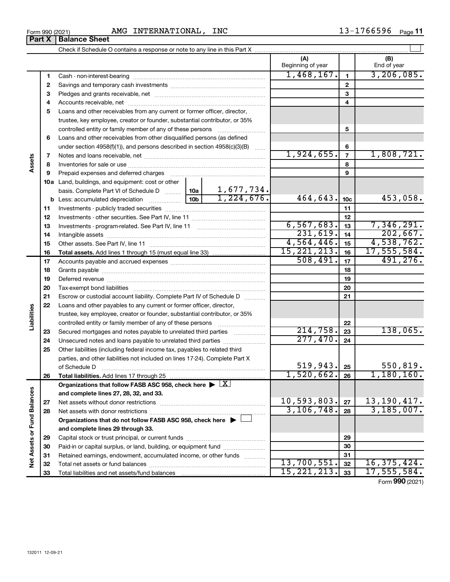| Form 990 (2021) | INTERNATIONAL,<br>AMG | INC | 1766596- | Page |
|-----------------|-----------------------|-----|----------|------|
|-----------------|-----------------------|-----|----------|------|

|                             |    |                                                                                                        |              |                | (A)<br>Beginning of year |                 | (B)<br>End of year |
|-----------------------------|----|--------------------------------------------------------------------------------------------------------|--------------|----------------|--------------------------|-----------------|--------------------|
|                             | 1  |                                                                                                        |              |                | 1,468,167.               | $\mathbf{1}$    | 3, 206, 085.       |
|                             | 2  |                                                                                                        |              |                |                          | $\mathbf{2}$    |                    |
|                             | З  |                                                                                                        |              | 3              |                          |                 |                    |
|                             | 4  |                                                                                                        |              |                |                          | 4               |                    |
|                             | 5  | Loans and other receivables from any current or former officer, director,                              |              |                |                          |                 |                    |
|                             |    | trustee, key employee, creator or founder, substantial contributor, or 35%                             |              |                |                          |                 |                    |
|                             |    |                                                                                                        |              |                |                          | 5               |                    |
|                             | 6  | Loans and other receivables from other disqualified persons (as defined                                |              |                |                          |                 |                    |
|                             |    | under section $4958(f)(1)$ , and persons described in section $4958(c)(3)(B)$                          |              | <b>Service</b> |                          | 6               |                    |
|                             | 7  |                                                                                                        |              |                | 1,924,655.               | $\overline{7}$  | 1,808,721.         |
| ssets                       | 8  |                                                                                                        |              |                |                          | 8               |                    |
|                             | 9  |                                                                                                        |              |                |                          | 9               |                    |
|                             |    | 10a Land, buildings, and equipment: cost or other                                                      |              |                |                          |                 |                    |
|                             |    | basis. Complete Part VI of Schedule D    10a                                                           |              | 1,677,734.     |                          |                 |                    |
|                             |    |                                                                                                        |              | 1,224,676.     | 464,643.                 | 10 <sub>c</sub> | 453,058.           |
|                             | 11 |                                                                                                        |              |                |                          | 11              |                    |
|                             | 12 |                                                                                                        |              |                | 12                       |                 |                    |
|                             | 13 |                                                                                                        | 6, 567, 683. | 13             | 7,346,291.               |                 |                    |
|                             | 14 |                                                                                                        | 231,619.     | 14             | 202,667.                 |                 |                    |
|                             | 15 |                                                                                                        |              |                | 4,564,446.               | 15              | 4,538,762.         |
|                             | 16 |                                                                                                        |              |                | 15, 221, 213.            | 16              | 17,555,584.        |
|                             | 17 |                                                                                                        |              |                | 508,491.                 | 17              | 491, 276.          |
|                             | 18 |                                                                                                        |              | 18             |                          |                 |                    |
|                             | 19 |                                                                                                        |              | 19             |                          |                 |                    |
|                             | 20 |                                                                                                        |              |                |                          |                 |                    |
|                             | 21 | Escrow or custodial account liability. Complete Part IV of Schedule D                                  |              |                |                          | 21              |                    |
|                             | 22 | Loans and other payables to any current or former officer, director,                                   |              |                |                          |                 |                    |
| abilities                   |    | trustee, key employee, creator or founder, substantial contributor, or 35%                             |              |                |                          |                 |                    |
|                             |    |                                                                                                        |              |                |                          | 22              |                    |
|                             | 23 | Secured mortgages and notes payable to unrelated third parties                                         |              |                | 214,758.                 | 23              | 138,065.           |
|                             | 24 |                                                                                                        |              |                | 277,470.                 | 24              |                    |
|                             | 25 | Other liabilities (including federal income tax, payables to related third                             |              |                |                          |                 |                    |
|                             |    | parties, and other liabilities not included on lines 17-24). Complete Part X                           |              |                |                          |                 |                    |
|                             |    | of Schedule D                                                                                          |              |                | 519,943.                 | 25              | 550,819.           |
|                             | 26 | Total liabilities. Add lines 17 through 25                                                             |              |                | 1,520,662.               | 26              | 1,180,160.         |
|                             |    | Organizations that follow FASB ASC 958, check here $\blacktriangleright \lfloor \underline{X} \rfloor$ |              |                |                          |                 |                    |
|                             |    | and complete lines 27, 28, 32, and 33.                                                                 |              |                |                          |                 |                    |
|                             | 27 |                                                                                                        |              |                | 10,593,803.              | 27              | 13,190,417.        |
|                             | 28 |                                                                                                        |              |                | 3, 106, 748.             | 28              | 3, 185, 007.       |
|                             |    | Organizations that do not follow FASB ASC 958, check here $\blacktriangleright$                        |              |                |                          |                 |                    |
|                             |    | and complete lines 29 through 33.                                                                      |              |                |                          |                 |                    |
|                             | 29 |                                                                                                        |              |                |                          | 29              |                    |
| Net Assets or Fund Balances | 30 | Paid-in or capital surplus, or land, building, or equipment fund                                       |              |                |                          | 30              |                    |
|                             | 31 | Retained earnings, endowment, accumulated income, or other funds                                       |              |                |                          | 31              |                    |
|                             | 32 |                                                                                                        |              |                | 13,700,551.              | 32              | 16, 375, 424.      |
|                             | 33 |                                                                                                        |              |                | 15, 221, 213.            | 33              | 17,555,584.        |

Form (2021) **990**

| orm 990 (2021) |                               | AMG IN |
|----------------|-------------------------------|--------|
|                | <b>Part X   Balance Sheet</b> |        |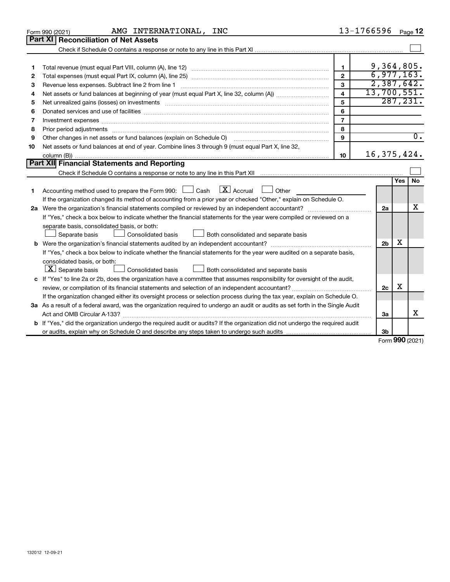|    | AMG INTERNATIONAL, INC<br>Form 990 (2021)                                                                                       |                         | 13-1766596     |     | Page 12          |
|----|---------------------------------------------------------------------------------------------------------------------------------|-------------------------|----------------|-----|------------------|
|    | <b>Part XI Reconciliation of Net Assets</b>                                                                                     |                         |                |     |                  |
|    |                                                                                                                                 |                         |                |     |                  |
|    |                                                                                                                                 |                         |                |     |                  |
| 1  |                                                                                                                                 | 1                       | 9,364,805.     |     |                  |
| 2  |                                                                                                                                 | $\mathbf{2}$            | 6,977,163.     |     |                  |
| З  | Revenue less expenses. Subtract line 2 from line 1                                                                              | 3                       | 2,387,642.     |     |                  |
| 4  |                                                                                                                                 | $\overline{\mathbf{4}}$ | 13,700,551.    |     |                  |
| 5  |                                                                                                                                 | 5                       |                |     | 287, 231.        |
| 6  |                                                                                                                                 | 6                       |                |     |                  |
| 7  | Investment expenses www.communication.com/www.communication.com/www.communication.com/www.com                                   | $\overline{7}$          |                |     |                  |
| 8  | Prior period adjustments www.communication.communication.communication.com/                                                     | 8                       |                |     |                  |
| 9  | Other changes in net assets or fund balances (explain on Schedule O)                                                            | 9                       |                |     | $\overline{0}$ . |
| 10 | Net assets or fund balances at end of year. Combine lines 3 through 9 (must equal Part X, line 32,                              |                         |                |     |                  |
|    |                                                                                                                                 | 10                      | 16, 375, 424.  |     |                  |
|    | <b>Part XII Financial Statements and Reporting</b>                                                                              |                         |                |     |                  |
|    |                                                                                                                                 |                         |                |     |                  |
|    |                                                                                                                                 |                         |                | Yes | No               |
| 1  | Accounting method used to prepare the Form 990: $\Box$ Cash $\Box X$ Accrual<br>$\Box$ Other                                    |                         |                |     |                  |
|    | If the organization changed its method of accounting from a prior year or checked "Other," explain on Schedule O.               |                         |                |     |                  |
|    |                                                                                                                                 |                         | 2a             |     | x                |
|    | If "Yes," check a box below to indicate whether the financial statements for the year were compiled or reviewed on a            |                         |                |     |                  |
|    | separate basis, consolidated basis, or both:                                                                                    |                         |                |     |                  |
|    | Both consolidated and separate basis<br>Separate basis<br>Consolidated basis                                                    |                         |                |     |                  |
|    |                                                                                                                                 |                         | 2 <sub>b</sub> | х   |                  |
|    | If "Yes," check a box below to indicate whether the financial statements for the year were audited on a separate basis,         |                         |                |     |                  |
|    | consolidated basis, or both:                                                                                                    |                         |                |     |                  |
|    | $ \mathbf{X} $ Separate basis<br>Consolidated basis<br>Both consolidated and separate basis                                     |                         |                |     |                  |
|    | c If "Yes" to line 2a or 2b, does the organization have a committee that assumes responsibility for oversight of the audit,     |                         |                |     |                  |
|    | review, or compilation of its financial statements and selection of an independent accountant?                                  |                         | 2c             | x   |                  |
|    | If the organization changed either its oversight process or selection process during the tax year, explain on Schedule O.       |                         |                |     |                  |
|    | 3a As a result of a federal award, was the organization required to undergo an audit or audits as set forth in the Single Audit |                         |                |     |                  |
|    |                                                                                                                                 |                         | За             |     | x                |
|    | b If "Yes," did the organization undergo the required audit or audits? If the organization did not undergo the required audit   |                         |                |     |                  |
|    |                                                                                                                                 |                         | 3b             |     |                  |

Form (2021) **990**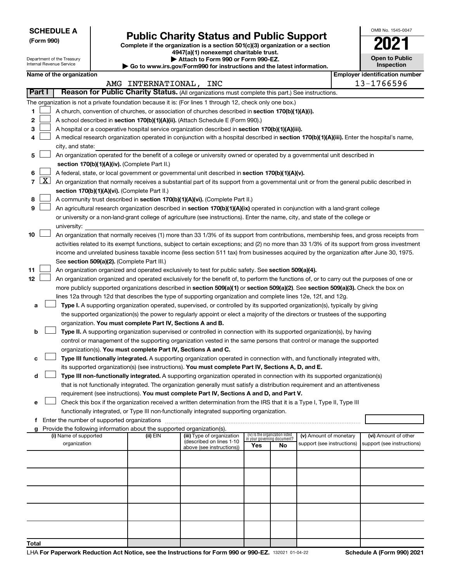| <b>SCHEDULE A</b> |
|-------------------|
|-------------------|

Department of the Treasury Internal Revenue Service

# Form 990)<br> **Complete if the organization is a section 501(c)(3) organization or a section**<br> **Public Charity Status and Public Support**

**4947(a)(1) nonexempt charitable trust. | Attach to Form 990 or Form 990-EZ.** 

**| Go to www.irs.gov/Form990 for instructions and the latest information.**

| <b>Open to Public</b><br>Inspection |
|-------------------------------------|
| antification num                    |

OMB No. 1545-0047

| Name of the organization | Emplover identification number |
|--------------------------|--------------------------------|
|--------------------------|--------------------------------|

|                          |                                                                                                                                                                                                                      | AMG INTERNATIONAL, INC |                            |                                    |    |                            |  | 13-1766596                 |  |  |
|--------------------------|----------------------------------------------------------------------------------------------------------------------------------------------------------------------------------------------------------------------|------------------------|----------------------------|------------------------------------|----|----------------------------|--|----------------------------|--|--|
| <b>Part I</b>            | Reason for Public Charity Status. (All organizations must complete this part.) See instructions.                                                                                                                     |                        |                            |                                    |    |                            |  |                            |  |  |
|                          | The organization is not a private foundation because it is: (For lines 1 through 12, check only one box.)                                                                                                            |                        |                            |                                    |    |                            |  |                            |  |  |
| 1                        | A church, convention of churches, or association of churches described in section 170(b)(1)(A)(i).                                                                                                                   |                        |                            |                                    |    |                            |  |                            |  |  |
| 2                        | A school described in section 170(b)(1)(A)(ii). (Attach Schedule E (Form 990).)                                                                                                                                      |                        |                            |                                    |    |                            |  |                            |  |  |
| з                        | A hospital or a cooperative hospital service organization described in section 170(b)(1)(A)(iii).                                                                                                                    |                        |                            |                                    |    |                            |  |                            |  |  |
|                          | A medical research organization operated in conjunction with a hospital described in section 170(b)(1)(A)(iii). Enter the hospital's name,                                                                           |                        |                            |                                    |    |                            |  |                            |  |  |
|                          | city, and state:                                                                                                                                                                                                     |                        |                            |                                    |    |                            |  |                            |  |  |
| 5                        | An organization operated for the benefit of a college or university owned or operated by a governmental unit described in                                                                                            |                        |                            |                                    |    |                            |  |                            |  |  |
|                          | section 170(b)(1)(A)(iv). (Complete Part II.)                                                                                                                                                                        |                        |                            |                                    |    |                            |  |                            |  |  |
| 6                        | A federal, state, or local government or governmental unit described in section 170(b)(1)(A)(v).                                                                                                                     |                        |                            |                                    |    |                            |  |                            |  |  |
| $\lfloor x \rfloor$<br>7 | An organization that normally receives a substantial part of its support from a governmental unit or from the general public described in                                                                            |                        |                            |                                    |    |                            |  |                            |  |  |
|                          | section 170(b)(1)(A)(vi). (Complete Part II.)                                                                                                                                                                        |                        |                            |                                    |    |                            |  |                            |  |  |
| 8                        | A community trust described in section 170(b)(1)(A)(vi). (Complete Part II.)                                                                                                                                         |                        |                            |                                    |    |                            |  |                            |  |  |
| 9                        | An agricultural research organization described in section 170(b)(1)(A)(ix) operated in conjunction with a land-grant college                                                                                        |                        |                            |                                    |    |                            |  |                            |  |  |
|                          | or university or a non-land-grant college of agriculture (see instructions). Enter the name, city, and state of the college or                                                                                       |                        |                            |                                    |    |                            |  |                            |  |  |
|                          | university:                                                                                                                                                                                                          |                        |                            |                                    |    |                            |  |                            |  |  |
| 10                       | An organization that normally receives (1) more than 33 1/3% of its support from contributions, membership fees, and gross receipts from                                                                             |                        |                            |                                    |    |                            |  |                            |  |  |
|                          | activities related to its exempt functions, subject to certain exceptions; and (2) no more than 33 1/3% of its support from gross investment                                                                         |                        |                            |                                    |    |                            |  |                            |  |  |
|                          | income and unrelated business taxable income (less section 511 tax) from businesses acquired by the organization after June 30, 1975.                                                                                |                        |                            |                                    |    |                            |  |                            |  |  |
|                          | See section 509(a)(2). (Complete Part III.)                                                                                                                                                                          |                        |                            |                                    |    |                            |  |                            |  |  |
| 11                       | An organization organized and operated exclusively to test for public safety. See section 509(a)(4).                                                                                                                 |                        |                            |                                    |    |                            |  |                            |  |  |
| 12                       | An organization organized and operated exclusively for the benefit of, to perform the functions of, or to carry out the purposes of one or                                                                           |                        |                            |                                    |    |                            |  |                            |  |  |
|                          | more publicly supported organizations described in section 509(a)(1) or section 509(a)(2). See section 509(a)(3). Check the box on                                                                                   |                        |                            |                                    |    |                            |  |                            |  |  |
|                          | lines 12a through 12d that describes the type of supporting organization and complete lines 12e, 12f, and 12g.                                                                                                       |                        |                            |                                    |    |                            |  |                            |  |  |
|                          | Type I. A supporting organization operated, supervised, or controlled by its supported organization(s), typically by giving                                                                                          |                        |                            |                                    |    |                            |  |                            |  |  |
| а                        |                                                                                                                                                                                                                      |                        |                            |                                    |    |                            |  |                            |  |  |
|                          | the supported organization(s) the power to regularly appoint or elect a majority of the directors or trustees of the supporting                                                                                      |                        |                            |                                    |    |                            |  |                            |  |  |
|                          | organization. You must complete Part IV, Sections A and B.                                                                                                                                                           |                        |                            |                                    |    |                            |  |                            |  |  |
| b                        | Type II. A supporting organization supervised or controlled in connection with its supported organization(s), by having                                                                                              |                        |                            |                                    |    |                            |  |                            |  |  |
|                          | control or management of the supporting organization vested in the same persons that control or manage the supported                                                                                                 |                        |                            |                                    |    |                            |  |                            |  |  |
|                          | organization(s). You must complete Part IV, Sections A and C.<br>Type III functionally integrated. A supporting organization operated in connection with, and functionally integrated with,                          |                        |                            |                                    |    |                            |  |                            |  |  |
| с                        | its supported organization(s) (see instructions). You must complete Part IV, Sections A, D, and E.                                                                                                                   |                        |                            |                                    |    |                            |  |                            |  |  |
| d                        | Type III non-functionally integrated. A supporting organization operated in connection with its supported organization(s)                                                                                            |                        |                            |                                    |    |                            |  |                            |  |  |
|                          | that is not functionally integrated. The organization generally must satisfy a distribution requirement and an attentiveness                                                                                         |                        |                            |                                    |    |                            |  |                            |  |  |
|                          | requirement (see instructions). You must complete Part IV, Sections A and D, and Part V.                                                                                                                             |                        |                            |                                    |    |                            |  |                            |  |  |
|                          |                                                                                                                                                                                                                      |                        |                            |                                    |    |                            |  |                            |  |  |
| е                        | Check this box if the organization received a written determination from the IRS that it is a Type I, Type II, Type III<br>functionally integrated, or Type III non-functionally integrated supporting organization. |                        |                            |                                    |    |                            |  |                            |  |  |
| f                        | Enter the number of supported organizations                                                                                                                                                                          |                        |                            |                                    |    |                            |  |                            |  |  |
|                          | Provide the following information about the supported organization(s).                                                                                                                                               |                        |                            |                                    |    |                            |  |                            |  |  |
|                          | (i) Name of supported                                                                                                                                                                                                | (ii) EIN               | (iii) Type of organization | (iv) Is the organization listed    |    | (v) Amount of monetary     |  | (vi) Amount of other       |  |  |
|                          | organization                                                                                                                                                                                                         |                        | (described on lines 1-10   | in your governing document?<br>Yes | No | support (see instructions) |  | support (see instructions) |  |  |
|                          |                                                                                                                                                                                                                      |                        | above (see instructions))  |                                    |    |                            |  |                            |  |  |
|                          |                                                                                                                                                                                                                      |                        |                            |                                    |    |                            |  |                            |  |  |
|                          |                                                                                                                                                                                                                      |                        |                            |                                    |    |                            |  |                            |  |  |
|                          |                                                                                                                                                                                                                      |                        |                            |                                    |    |                            |  |                            |  |  |
|                          |                                                                                                                                                                                                                      |                        |                            |                                    |    |                            |  |                            |  |  |
|                          |                                                                                                                                                                                                                      |                        |                            |                                    |    |                            |  |                            |  |  |
|                          |                                                                                                                                                                                                                      |                        |                            |                                    |    |                            |  |                            |  |  |
|                          |                                                                                                                                                                                                                      |                        |                            |                                    |    |                            |  |                            |  |  |
|                          |                                                                                                                                                                                                                      |                        |                            |                                    |    |                            |  |                            |  |  |
|                          |                                                                                                                                                                                                                      |                        |                            |                                    |    |                            |  |                            |  |  |
| Total                    |                                                                                                                                                                                                                      |                        |                            |                                    |    |                            |  |                            |  |  |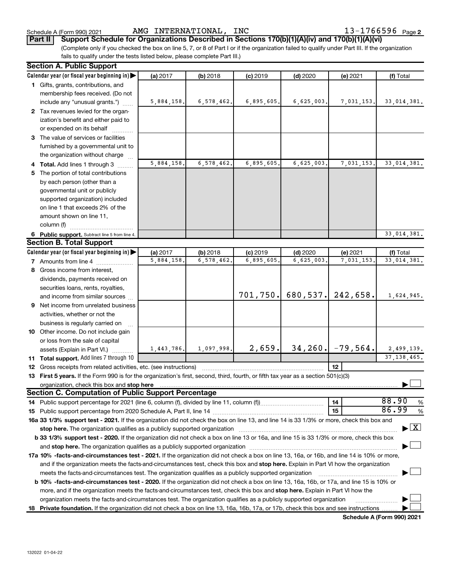Schedule A (Form 990) 2021 Page AMG INTERNATIONAL, INC 13-1766596

(Complete only if you checked the box on line 5, 7, or 8 of Part I or if the organization failed to qualify under Part III. If the organization fails to qualify under the tests listed below, please complete Part III.) **Part II Support Schedule for Organizations Described in Sections 170(b)(1)(A)(iv) and 170(b)(1)(A)(vi)**

|    | <b>Section A. Public Support</b>                                                                                                                                                                                              |            |              |            |            |                          |                                    |  |  |  |
|----|-------------------------------------------------------------------------------------------------------------------------------------------------------------------------------------------------------------------------------|------------|--------------|------------|------------|--------------------------|------------------------------------|--|--|--|
|    | Calendar year (or fiscal year beginning in)                                                                                                                                                                                   | (a) 2017   | (b) 2018     | $(c)$ 2019 | $(d)$ 2020 | (e) 2021                 | (f) Total                          |  |  |  |
|    | 1 Gifts, grants, contributions, and                                                                                                                                                                                           |            |              |            |            |                          |                                    |  |  |  |
|    | membership fees received. (Do not                                                                                                                                                                                             |            |              |            |            |                          |                                    |  |  |  |
|    | include any "unusual grants.")                                                                                                                                                                                                | 5,884,158. | 6, 578, 462. | 6,895,605. | 6,625,003. | 7,031,153.               | 33,014,381.                        |  |  |  |
|    | 2 Tax revenues levied for the organ-                                                                                                                                                                                          |            |              |            |            |                          |                                    |  |  |  |
|    | ization's benefit and either paid to                                                                                                                                                                                          |            |              |            |            |                          |                                    |  |  |  |
|    | or expended on its behalf                                                                                                                                                                                                     |            |              |            |            |                          |                                    |  |  |  |
|    | 3 The value of services or facilities                                                                                                                                                                                         |            |              |            |            |                          |                                    |  |  |  |
|    | furnished by a governmental unit to                                                                                                                                                                                           |            |              |            |            |                          |                                    |  |  |  |
|    | the organization without charge                                                                                                                                                                                               |            |              |            |            |                          |                                    |  |  |  |
|    | 4 Total. Add lines 1 through 3                                                                                                                                                                                                | 5,884,158. | 6,578,462.   | 6,895,605. | 6,625,003. | 7,031,153.               | 33,014,381.                        |  |  |  |
|    | 5 The portion of total contributions                                                                                                                                                                                          |            |              |            |            |                          |                                    |  |  |  |
|    | by each person (other than a                                                                                                                                                                                                  |            |              |            |            |                          |                                    |  |  |  |
|    | governmental unit or publicly                                                                                                                                                                                                 |            |              |            |            |                          |                                    |  |  |  |
|    | supported organization) included                                                                                                                                                                                              |            |              |            |            |                          |                                    |  |  |  |
|    | on line 1 that exceeds 2% of the                                                                                                                                                                                              |            |              |            |            |                          |                                    |  |  |  |
|    | amount shown on line 11,                                                                                                                                                                                                      |            |              |            |            |                          |                                    |  |  |  |
|    | column (f)                                                                                                                                                                                                                    |            |              |            |            |                          |                                    |  |  |  |
|    | 6 Public support. Subtract line 5 from line 4.                                                                                                                                                                                |            |              |            |            |                          | 33,014,381.                        |  |  |  |
|    | <b>Section B. Total Support</b>                                                                                                                                                                                               |            |              |            |            |                          |                                    |  |  |  |
|    | Calendar year (or fiscal year beginning in)                                                                                                                                                                                   | (a) 2017   | $(b)$ 2018   | $(c)$ 2019 | $(d)$ 2020 | (e) 2021                 | (f) Total                          |  |  |  |
|    | 7 Amounts from line 4                                                                                                                                                                                                         | 5,884,158. | 6,578,462.   | 6,895,605  | 6,625,003. | 7,031,153.               | 33,014,381.                        |  |  |  |
|    | 8 Gross income from interest,                                                                                                                                                                                                 |            |              |            |            |                          |                                    |  |  |  |
|    | dividends, payments received on                                                                                                                                                                                               |            |              |            |            |                          |                                    |  |  |  |
|    | securities loans, rents, royalties,                                                                                                                                                                                           |            |              |            |            |                          |                                    |  |  |  |
|    | and income from similar sources                                                                                                                                                                                               |            |              | 701, 750.  | 680, 537.  | 242,658.                 | 1,624,945.                         |  |  |  |
| 9  | Net income from unrelated business                                                                                                                                                                                            |            |              |            |            |                          |                                    |  |  |  |
|    | activities, whether or not the                                                                                                                                                                                                |            |              |            |            |                          |                                    |  |  |  |
|    | business is regularly carried on                                                                                                                                                                                              |            |              |            |            |                          |                                    |  |  |  |
|    | 10 Other income. Do not include gain                                                                                                                                                                                          |            |              |            |            |                          |                                    |  |  |  |
|    | or loss from the sale of capital                                                                                                                                                                                              |            |              |            |            |                          |                                    |  |  |  |
|    | assets (Explain in Part VI.)                                                                                                                                                                                                  | 1,443,786. | 1,097,998.   | 2,659.     |            | $34, 260$ , $-79, 564$ . | 2,499,139.                         |  |  |  |
|    | <b>11 Total support.</b> Add lines 7 through 10                                                                                                                                                                               |            |              |            |            |                          | 37, 138, 465.                      |  |  |  |
|    | 12 Gross receipts from related activities, etc. (see instructions)                                                                                                                                                            |            |              |            |            | 12 <sup>2</sup>          |                                    |  |  |  |
|    | 13 First 5 years. If the Form 990 is for the organization's first, second, third, fourth, or fifth tax year as a section 501(c)(3)                                                                                            |            |              |            |            |                          |                                    |  |  |  |
|    | organization, check this box and stop here                                                                                                                                                                                    |            |              |            |            |                          |                                    |  |  |  |
|    | <b>Section C. Computation of Public Support Percentage</b>                                                                                                                                                                    |            |              |            |            |                          |                                    |  |  |  |
| 14 | Public support percentage for 2021 (line 6, column (f), divided by line 11, column (f),                                                                                                                                       |            |              |            |            | 14                       | 88.90<br>%                         |  |  |  |
|    |                                                                                                                                                                                                                               |            |              |            |            | 15                       | 86.99<br>%                         |  |  |  |
|    | 16a 33 1/3% support test - 2021. If the organization did not check the box on line 13, and line 14 is 33 1/3% or more, check this box and                                                                                     |            |              |            |            |                          |                                    |  |  |  |
|    | stop here. The organization qualifies as a publicly supported organization manufaction manufacture or the organization manufacture or the organization manufacture or the organization of the state of the state of the state |            |              |            |            |                          | $\blacktriangleright$ $\mathbf{X}$ |  |  |  |
|    | b 33 1/3% support test - 2020. If the organization did not check a box on line 13 or 16a, and line 15 is 33 1/3% or more, check this box                                                                                      |            |              |            |            |                          |                                    |  |  |  |
|    |                                                                                                                                                                                                                               |            |              |            |            |                          |                                    |  |  |  |
|    | 17a 10% -facts-and-circumstances test - 2021. If the organization did not check a box on line 13, 16a, or 16b, and line 14 is 10% or more,                                                                                    |            |              |            |            |                          |                                    |  |  |  |
|    | and if the organization meets the facts-and-circumstances test, check this box and stop here. Explain in Part VI how the organization                                                                                         |            |              |            |            |                          |                                    |  |  |  |
|    | meets the facts-and-circumstances test. The organization qualifies as a publicly supported organization                                                                                                                       |            |              |            |            |                          |                                    |  |  |  |
|    | <b>b 10%</b> -facts-and-circumstances test - 2020. If the organization did not check a box on line 13, 16a, 16b, or 17a, and line 15 is 10% or                                                                                |            |              |            |            |                          |                                    |  |  |  |
|    | more, and if the organization meets the facts-and-circumstances test, check this box and stop here. Explain in Part VI how the                                                                                                |            |              |            |            |                          |                                    |  |  |  |
|    | organization meets the facts-and-circumstances test. The organization qualifies as a publicly supported organization                                                                                                          |            |              |            |            |                          |                                    |  |  |  |
|    | 18 Private foundation. If the organization did not check a box on line 13, 16a, 16b, 17a, or 17b, check this box and see instructions                                                                                         |            |              |            |            |                          |                                    |  |  |  |

**Schedule A (Form 990) 2021**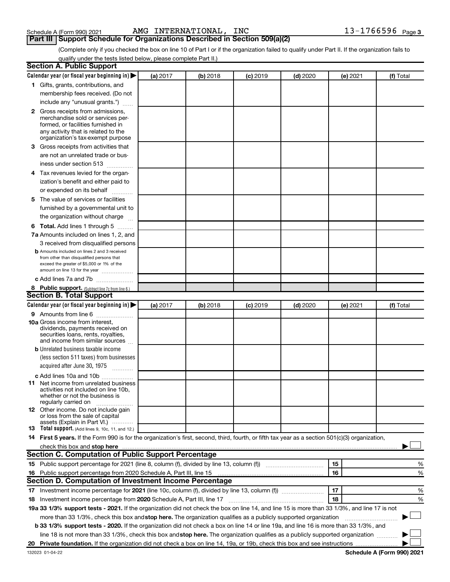| Schedule A (Form 990) 2021 |  |  |
|----------------------------|--|--|
|                            |  |  |

# **Part III Support Schedule for Organizations Described in Section 509(a)(2)**

(Complete only if you checked the box on line 10 of Part I or if the organization failed to qualify under Part II. If the organization fails to qualify under the tests listed below, please complete Part II.)

| <b>Section A. Public Support</b>                                                                                                                                                                                                         |          |            |            |            |          |           |
|------------------------------------------------------------------------------------------------------------------------------------------------------------------------------------------------------------------------------------------|----------|------------|------------|------------|----------|-----------|
| Calendar year (or fiscal year beginning in)                                                                                                                                                                                              | (a) 2017 | (b) 2018   | $(c)$ 2019 | $(d)$ 2020 | (e) 2021 | (f) Total |
| 1 Gifts, grants, contributions, and                                                                                                                                                                                                      |          |            |            |            |          |           |
| membership fees received. (Do not                                                                                                                                                                                                        |          |            |            |            |          |           |
| include any "unusual grants.")                                                                                                                                                                                                           |          |            |            |            |          |           |
| <b>2</b> Gross receipts from admissions,                                                                                                                                                                                                 |          |            |            |            |          |           |
| merchandise sold or services per-                                                                                                                                                                                                        |          |            |            |            |          |           |
| formed, or facilities furnished in                                                                                                                                                                                                       |          |            |            |            |          |           |
| any activity that is related to the<br>organization's tax-exempt purpose                                                                                                                                                                 |          |            |            |            |          |           |
| 3 Gross receipts from activities that                                                                                                                                                                                                    |          |            |            |            |          |           |
| are not an unrelated trade or bus-                                                                                                                                                                                                       |          |            |            |            |          |           |
| iness under section 513                                                                                                                                                                                                                  |          |            |            |            |          |           |
| 4 Tax revenues levied for the organ-                                                                                                                                                                                                     |          |            |            |            |          |           |
| ization's benefit and either paid to                                                                                                                                                                                                     |          |            |            |            |          |           |
| or expended on its behalf                                                                                                                                                                                                                |          |            |            |            |          |           |
| 5 The value of services or facilities                                                                                                                                                                                                    |          |            |            |            |          |           |
| furnished by a governmental unit to                                                                                                                                                                                                      |          |            |            |            |          |           |
| the organization without charge                                                                                                                                                                                                          |          |            |            |            |          |           |
| 6 Total. Add lines 1 through 5                                                                                                                                                                                                           |          |            |            |            |          |           |
| 7a Amounts included on lines 1, 2, and                                                                                                                                                                                                   |          |            |            |            |          |           |
| 3 received from disqualified persons                                                                                                                                                                                                     |          |            |            |            |          |           |
| <b>b</b> Amounts included on lines 2 and 3 received                                                                                                                                                                                      |          |            |            |            |          |           |
| from other than disqualified persons that                                                                                                                                                                                                |          |            |            |            |          |           |
| exceed the greater of \$5,000 or 1% of the                                                                                                                                                                                               |          |            |            |            |          |           |
| amount on line 13 for the year                                                                                                                                                                                                           |          |            |            |            |          |           |
| c Add lines 7a and 7b                                                                                                                                                                                                                    |          |            |            |            |          |           |
| 8 Public support. (Subtract line 7c from line 6.)<br><b>Section B. Total Support</b>                                                                                                                                                     |          |            |            |            |          |           |
|                                                                                                                                                                                                                                          |          |            |            |            |          |           |
| Calendar year (or fiscal year beginning in)                                                                                                                                                                                              | (a) 2017 | $(b)$ 2018 | $(c)$ 2019 | $(d)$ 2020 | (e) 2021 | (f) Total |
| 9 Amounts from line 6<br><b>10a</b> Gross income from interest,                                                                                                                                                                          |          |            |            |            |          |           |
| dividends, payments received on                                                                                                                                                                                                          |          |            |            |            |          |           |
| securities loans, rents, royalties,                                                                                                                                                                                                      |          |            |            |            |          |           |
| and income from similar sources                                                                                                                                                                                                          |          |            |            |            |          |           |
| <b>b</b> Unrelated business taxable income                                                                                                                                                                                               |          |            |            |            |          |           |
| (less section 511 taxes) from businesses                                                                                                                                                                                                 |          |            |            |            |          |           |
| acquired after June 30, 1975                                                                                                                                                                                                             |          |            |            |            |          |           |
| c Add lines 10a and 10b                                                                                                                                                                                                                  |          |            |            |            |          |           |
| <b>11</b> Net income from unrelated business<br>activities not included on line 10b.                                                                                                                                                     |          |            |            |            |          |           |
| whether or not the business is                                                                                                                                                                                                           |          |            |            |            |          |           |
| regularly carried on                                                                                                                                                                                                                     |          |            |            |            |          |           |
| 12 Other income. Do not include gain<br>or loss from the sale of capital                                                                                                                                                                 |          |            |            |            |          |           |
| assets (Explain in Part VI.)                                                                                                                                                                                                             |          |            |            |            |          |           |
| <b>13</b> Total support. (Add lines 9, 10c, 11, and 12.)                                                                                                                                                                                 |          |            |            |            |          |           |
| 14 First 5 years. If the Form 990 is for the organization's first, second, third, fourth, or fifth tax year as a section 501(c)(3) organization,                                                                                         |          |            |            |            |          |           |
| check this box and stop here <b>construction and construction</b> and check this box and stop here <b>construction</b> and construction and construction and construction and construction and construction and construction and constru |          |            |            |            |          |           |
| Section C. Computation of Public Support Percentage                                                                                                                                                                                      |          |            |            |            |          |           |
|                                                                                                                                                                                                                                          |          |            |            |            | 15       | ℅         |
| 16 Public support percentage from 2020 Schedule A, Part III, line 15                                                                                                                                                                     |          |            |            |            | 16       | %         |
| Section D. Computation of Investment Income Percentage                                                                                                                                                                                   |          |            |            |            |          |           |
|                                                                                                                                                                                                                                          |          |            |            |            | 17       | %         |
| 18 Investment income percentage from 2020 Schedule A, Part III, line 17                                                                                                                                                                  |          |            |            |            | 18       | %         |
| 19a 33 1/3% support tests - 2021. If the organization did not check the box on line 14, and line 15 is more than 33 1/3%, and line 17 is not                                                                                             |          |            |            |            |          |           |
| more than 33 1/3%, check this box and stop here. The organization qualifies as a publicly supported organization                                                                                                                         |          |            |            |            |          |           |
| b 33 1/3% support tests - 2020. If the organization did not check a box on line 14 or line 19a, and line 16 is more than 33 1/3%, and                                                                                                    |          |            |            |            |          |           |
| line 18 is not more than 33 1/3%, check this box and stop here. The organization qualifies as a publicly supported organization                                                                                                          |          |            |            |            |          |           |
|                                                                                                                                                                                                                                          |          |            |            |            |          |           |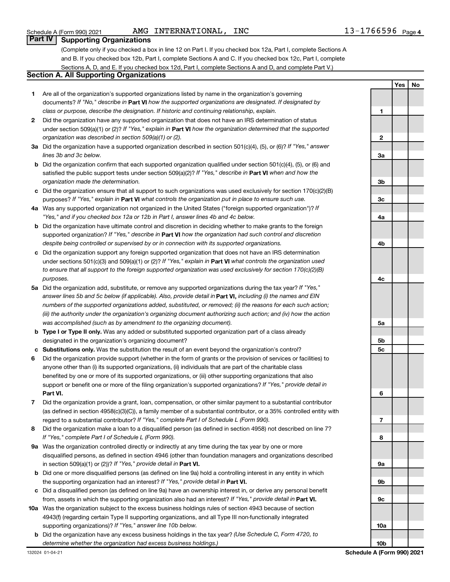# **Part IV Supporting Organizations**

(Complete only if you checked a box in line 12 on Part I. If you checked box 12a, Part I, complete Sections A and B. If you checked box 12b, Part I, complete Sections A and C. If you checked box 12c, Part I, complete Sections A, D, and E. If you checked box 12d, Part I, complete Sections A and D, and complete Part V.)

# **Section A. All Supporting Organizations**

- **1** Are all of the organization's supported organizations listed by name in the organization's governing documents? If "No," describe in Part VI how the supported organizations are designated. If designated by *class or purpose, describe the designation. If historic and continuing relationship, explain.*
- **2** Did the organization have any supported organization that does not have an IRS determination of status under section 509(a)(1) or (2)? If "Yes," explain in Part **VI** how the organization determined that the supported *organization was described in section 509(a)(1) or (2).*
- **3a** Did the organization have a supported organization described in section 501(c)(4), (5), or (6)? If "Yes," answer *lines 3b and 3c below.*
- **b** Did the organization confirm that each supported organization qualified under section 501(c)(4), (5), or (6) and satisfied the public support tests under section 509(a)(2)? If "Yes," describe in Part VI when and how the *organization made the determination.*
- **c** Did the organization ensure that all support to such organizations was used exclusively for section 170(c)(2)(B) purposes? If "Yes," explain in Part VI what controls the organization put in place to ensure such use.
- **4 a** *If* Was any supported organization not organized in the United States ("foreign supported organization")? *"Yes," and if you checked box 12a or 12b in Part I, answer lines 4b and 4c below.*
- **b** Did the organization have ultimate control and discretion in deciding whether to make grants to the foreign supported organization? If "Yes," describe in Part VI how the organization had such control and discretion *despite being controlled or supervised by or in connection with its supported organizations.*
- **c** Did the organization support any foreign supported organization that does not have an IRS determination under sections 501(c)(3) and 509(a)(1) or (2)? If "Yes," explain in Part VI what controls the organization used *to ensure that all support to the foreign supported organization was used exclusively for section 170(c)(2)(B) purposes.*
- **5a** Did the organization add, substitute, or remove any supported organizations during the tax year? If "Yes," answer lines 5b and 5c below (if applicable). Also, provide detail in **Part VI,** including (i) the names and EIN *numbers of the supported organizations added, substituted, or removed; (ii) the reasons for each such action; (iii) the authority under the organization's organizing document authorizing such action; and (iv) how the action was accomplished (such as by amendment to the organizing document).*
- **b Type I or Type II only.** Was any added or substituted supported organization part of a class already designated in the organization's organizing document?
- **c Substitutions only.**  Was the substitution the result of an event beyond the organization's control?
- **6** Did the organization provide support (whether in the form of grants or the provision of services or facilities) to **Part VI.** support or benefit one or more of the filing organization's supported organizations? If "Yes," provide detail in anyone other than (i) its supported organizations, (ii) individuals that are part of the charitable class benefited by one or more of its supported organizations, or (iii) other supporting organizations that also
- **7** Did the organization provide a grant, loan, compensation, or other similar payment to a substantial contributor regard to a substantial contributor? If "Yes," complete Part I of Schedule L (Form 990). (as defined in section 4958(c)(3)(C)), a family member of a substantial contributor, or a 35% controlled entity with
- **8** Did the organization make a loan to a disqualified person (as defined in section 4958) not described on line 7? *If "Yes," complete Part I of Schedule L (Form 990).*
- **9 a** Was the organization controlled directly or indirectly at any time during the tax year by one or more in section 509(a)(1) or (2))? If "Yes," provide detail in **Part VI.** disqualified persons, as defined in section 4946 (other than foundation managers and organizations described
- **b** Did one or more disqualified persons (as defined on line 9a) hold a controlling interest in any entity in which the supporting organization had an interest? If "Yes," provide detail in Part VI.
- **c** Did a disqualified person (as defined on line 9a) have an ownership interest in, or derive any personal benefit from, assets in which the supporting organization also had an interest? If "Yes," provide detail in Part VI.
- **10 a** Was the organization subject to the excess business holdings rules of section 4943 because of section supporting organizations)? If "Yes," answer line 10b below. 4943(f) (regarding certain Type II supporting organizations, and all Type III non-functionally integrated
	- **b** Did the organization have any excess business holdings in the tax year? (Use Schedule C, Form 4720, to *determine whether the organization had excess business holdings.)*

**2 3a 3b 3c 4a 4b 4c 5a 5b 5c 6 7 8 9a 9b 9c 10a 10b Schedule A (Form 990) 2021**

**1**

**Yes No**

### Schedule A (Form 990) 2021 **AMG INTERNATIONAL, INC** AMG INTERNATIONAL,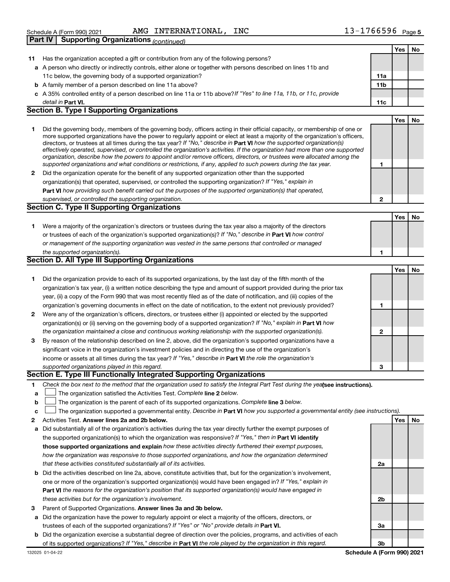|              | the supported organization(s).                                                                                                    | 1                         |     |    |
|--------------|-----------------------------------------------------------------------------------------------------------------------------------|---------------------------|-----|----|
|              | Section D. All Type III Supporting Organizations                                                                                  |                           |     |    |
|              |                                                                                                                                   |                           | Yes | No |
| 1            | Did the organization provide to each of its supported organizations, by the last day of the fifth month of the                    |                           |     |    |
|              | organization's tax year, (i) a written notice describing the type and amount of support provided during the prior tax             |                           |     |    |
|              | year, (ii) a copy of the Form 990 that was most recently filed as of the date of notification, and (iii) copies of the            |                           |     |    |
|              | organization's governing documents in effect on the date of notification, to the extent not previously provided?                  | 1                         |     |    |
| $\mathbf{2}$ | Were any of the organization's officers, directors, or trustees either (i) appointed or elected by the supported                  |                           |     |    |
|              | organization(s) or (ii) serving on the governing body of a supported organization? If "No," explain in <b>Part VI</b> how         |                           |     |    |
|              | the organization maintained a close and continuous working relationship with the supported organization(s).                       | $\mathbf{2}$              |     |    |
| 3            | By reason of the relationship described on line 2, above, did the organization's supported organizations have a                   |                           |     |    |
|              | significant voice in the organization's investment policies and in directing the use of the organization's                        |                           |     |    |
|              | income or assets at all times during the tax year? If "Yes," describe in Part VI the role the organization's                      |                           |     |    |
|              | supported organizations played in this regard.                                                                                    | 3                         |     |    |
|              | Section E. Type III Functionally Integrated Supporting Organizations                                                              |                           |     |    |
| 1            | Check the box next to the method that the organization used to satisfy the Integral Part Test during the yealsee instructions).   |                           |     |    |
| a            | The organization satisfied the Activities Test. Complete line 2 below.                                                            |                           |     |    |
| b            | The organization is the parent of each of its supported organizations. Complete line 3 below.                                     |                           |     |    |
| c            | The organization supported a governmental entity. Describe in Part VI how you supported a governmental entity (see instructions). |                           |     |    |
| 2            | Activities Test. Answer lines 2a and 2b below.                                                                                    |                           | Yes | No |
| a            | Did substantially all of the organization's activities during the tax year directly further the exempt purposes of                |                           |     |    |
|              | the supported organization(s) to which the organization was responsive? If "Yes," then in Part VI identify                        |                           |     |    |
|              | those supported organizations and explain how these activities directly furthered their exempt purposes,                          |                           |     |    |
|              | how the organization was responsive to those supported organizations, and how the organization determined                         |                           |     |    |
|              | that these activities constituted substantially all of its activities.                                                            | 2a                        |     |    |
| b            | Did the activities described on line 2a, above, constitute activities that, but for the organization's involvement,               |                           |     |    |
|              | one or more of the organization's supported organization(s) would have been engaged in? If "Yes," explain in                      |                           |     |    |
|              | Part VI the reasons for the organization's position that its supported organization(s) would have engaged in                      |                           |     |    |
|              | these activities but for the organization's involvement.                                                                          | 2 <sub>b</sub>            |     |    |
| З            | Parent of Supported Organizations. Answer lines 3a and 3b below.                                                                  |                           |     |    |
| а            | Did the organization have the power to regularly appoint or elect a majority of the officers, directors, or                       |                           |     |    |
|              | trustees of each of the supported organizations? If "Yes" or "No" provide details in Part VI.                                     | За                        |     |    |
|              | <b>b</b> Did the organization exercise a substantial degree of direction over the policies, programs, and activities of each      |                           |     |    |
|              | of its supported organizations? If "Yes," describe in Part VI the role played by the organization in this regard.                 | 3b                        |     |    |
|              | 132025 01-04-22                                                                                                                   | Schedule A (Form 990) 202 |     |    |
|              |                                                                                                                                   |                           |     |    |
|              |                                                                                                                                   |                           |     |    |

| 2 Did the organization operate for the benefit of any supported organization other than the supported              |
|--------------------------------------------------------------------------------------------------------------------|
| organization(s) that operated, supervised, or controlled the supporting organization? If "Yes," explain in         |
| <b>Part VI</b> how providing such benefit carried out the purposes of the supported organization(s) that operated, |
| supervised, or controlled the supporting organization.                                                             |
|                                                                                                                    |

**a** A person who directly or indirectly controls, either alone or together with persons described on lines 11b and

**c** *If "Yes" to line 11a, 11b, or 11c, provide* A 35% controlled entity of a person described on line 11a or 11b above?

**1** Did the governing body, members of the governing body, officers acting in their official capacity, or membership of one or

*effectively operated, supervised, or controlled the organization's activities. If the organization had more than one supported organization, describe how the powers to appoint and/or remove officers, directors, or trustees were allocated among the*

more supported organizations have the power to regularly appoint or elect at least a majority of the organization's officers,

directors, or trustees at all times during the tax year? If "No," describe in Part VI how the supported organization(s)

*supported organizations and what conditions or restrictions, if any, applied to such powers during the tax year.*

**Part VI. 11c**

# **Section C. Type II Supporting Organizations**

**b** A family member of a person described on line 11a above?

**Section B. Type I Supporting Organizations**

11c below, the governing body of a supported organization?

| Were a majority of the organization's directors or trustees during the tax year also a majority of the directors     |
|----------------------------------------------------------------------------------------------------------------------|
| or trustees of each of the organization's supported organization(s)? If "No," describe in <b>Part VI</b> how control |
| or management of the supporting organization was vested in the same persons that controlled or managed               |

| the supported organization(s).                          |  |
|---------------------------------------------------------|--|
| <b>Section D. All Type III Supporting Organizations</b> |  |

| Did the organization provide to each of its supported organizations, by the last day of the fifth month of the            |  |
|---------------------------------------------------------------------------------------------------------------------------|--|
| organization's tax year, (i) a written notice describing the type and amount of support provided during the prior tax     |  |
| year, (ii) a copy of the Form 990 that was most recently filed as of the date of notification, and (iii) copies of the    |  |
| organization's governing documents in effect on the date of notification, to the extent not previously provided?          |  |
| Were any of the organization's officers, directors, or trustees either (i) appointed or elected by the supported          |  |
| organization(s) or (ii) sensing on the governing body of a supported organization? If "No " explain in <b>Part VI</b> how |  |

| 2 Were any of the organization's officers, directors, or trustees either (i) appointed or elected by the supported |
|--------------------------------------------------------------------------------------------------------------------|
| organization(s) or (ii) serving on the governing body of a supported organization? If "No," explain in Part VI how |
| the organization maintained a close and continuous working relationship with the supported organization(s).        |
| 3 By reason of the relationship described on line 2, above, did the organization's supported organizations have a  |

| supported organizations played in this regard.                                                                      |
|---------------------------------------------------------------------------------------------------------------------|
| income or assets at all times during the tax year? If "Yes," describe in <b>Part VI</b> the role the organization's |
| significant voice in the organization's investment policies and in directing the use of the organization's          |
| By reason of the relationship described on line 2, above, did the organization's supported organizations have a     |

**Schedule A (Form 990) 2021**

**11a 11b**

**1**

**2**

**Yes No**

**Yes No**

**Yes No**

**Yes No**

| Schedule A (Form 990) 2021                            | AMG INTERNATIONAL, | INC | $13 - 1766596$ Page 5 |  |
|-------------------------------------------------------|--------------------|-----|-----------------------|--|
| <b>Part IV   Supporting Organizations</b> (continued) |                    |     |                       |  |

detail in Part VI.

AMG INTERNATIONAL, INC

**11** Has the organization accepted a gift or contribution from any of the following persons?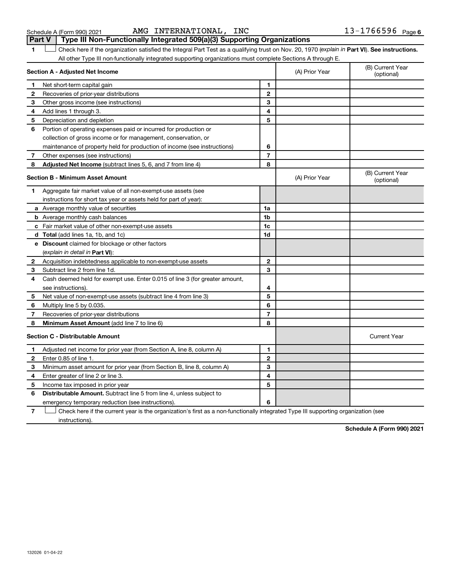132026 01-04-22

| Check here if the organization satisfied the Integral Part Test as a qualifying trust on Nov. 20, 1970 (explain in Part VI). See instructions. |                |                                |  |  |
|------------------------------------------------------------------------------------------------------------------------------------------------|----------------|--------------------------------|--|--|
| All other Type III non-functionally integrated supporting organizations must complete Sections A through E.                                    |                |                                |  |  |
| Section A - Adiusted Net Income                                                                                                                | (A) Prior Year | (B) Current Year<br>(optional) |  |  |

|    | Section A - Adjusted Net Income                                             | (A) Prior Year | (B) Current Year<br>(optional) |                                |
|----|-----------------------------------------------------------------------------|----------------|--------------------------------|--------------------------------|
| 1. | Net short-term capital gain                                                 | 1              |                                |                                |
| 2  | Recoveries of prior-year distributions                                      | $\mathbf{2}$   |                                |                                |
| 3  | Other gross income (see instructions)                                       | 3              |                                |                                |
| 4  | Add lines 1 through 3.                                                      | 4              |                                |                                |
| 5  | Depreciation and depletion                                                  | 5              |                                |                                |
| 6  | Portion of operating expenses paid or incurred for production or            |                |                                |                                |
|    | collection of gross income or for management, conservation, or              |                |                                |                                |
|    | maintenance of property held for production of income (see instructions)    | 6              |                                |                                |
| 7  | Other expenses (see instructions)                                           | $\overline{7}$ |                                |                                |
| 8  | Adjusted Net Income (subtract lines 5, 6, and 7 from line 4)                | 8              |                                |                                |
|    | <b>Section B - Minimum Asset Amount</b>                                     |                | (A) Prior Year                 | (B) Current Year<br>(optional) |
| 1  | Aggregate fair market value of all non-exempt-use assets (see               |                |                                |                                |
|    | instructions for short tax year or assets held for part of year):           |                |                                |                                |
|    | a Average monthly value of securities                                       | 1a             |                                |                                |
|    | <b>b</b> Average monthly cash balances                                      | 1b             |                                |                                |
|    | <b>c</b> Fair market value of other non-exempt-use assets                   | 1c             |                                |                                |
|    | <b>d</b> Total (add lines 1a, 1b, and 1c)                                   | 1d             |                                |                                |
|    | <b>e</b> Discount claimed for blockage or other factors                     |                |                                |                                |
|    | (explain in detail in <b>Part VI</b> ):                                     |                |                                |                                |
| 2  | Acquisition indebtedness applicable to non-exempt-use assets                | 2              |                                |                                |
| 3  | Subtract line 2 from line 1d.                                               | 3              |                                |                                |
| 4  | Cash deemed held for exempt use. Enter 0.015 of line 3 (for greater amount, |                |                                |                                |
|    | see instructions).                                                          | 4              |                                |                                |
| 5  | Net value of non-exempt-use assets (subtract line 4 from line 3)            | 5              |                                |                                |
| 6  | Multiply line 5 by 0.035.                                                   | 6              |                                |                                |
| 7  | Recoveries of prior-year distributions                                      | $\overline{7}$ |                                |                                |
| 8  | Minimum Asset Amount (add line 7 to line 6)                                 | 8              |                                |                                |
|    | <b>Section C - Distributable Amount</b>                                     |                |                                | <b>Current Year</b>            |
| 1  | Adjusted net income for prior year (from Section A, line 8, column A)       | 1              |                                |                                |
| 2  | Enter 0.85 of line 1.                                                       | $\overline{2}$ |                                |                                |
| 3  | Minimum asset amount for prior year (from Section B, line 8, column A)      | 3              |                                |                                |
| 4  | Enter greater of line 2 or line 3.                                          | 4              |                                |                                |
| 5  | Income tax imposed in prior year                                            | 5              |                                |                                |
| 6  | <b>Distributable Amount.</b> Subtract line 5 from line 4, unless subject to |                |                                |                                |
|    | emergency temporary reduction (see instructions).                           | 6              |                                |                                |

**7** Check here if the current year is the organization's first as a non-functionally integrated Type III supporting organization (see † instructions).

**Schedule A (Form 990) 2021**

| Schedule A (Form 990) 2021 |  |
|----------------------------|--|
|                            |  |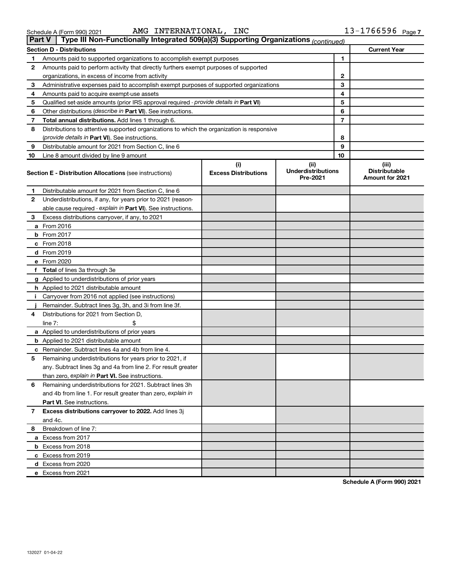|   | AMG INTERNATIONAL,<br>INC<br>Schedule A (Form 990) 2021                                              |   | $13 - 1766596$ Page 7 |
|---|------------------------------------------------------------------------------------------------------|---|-----------------------|
|   | Type III Non-Functionally Integrated 509(a)(3) Supporting Organizations (continued)<br><b>Part V</b> |   |                       |
|   | <b>Section D - Distributions</b>                                                                     |   | <b>Current Year</b>   |
|   | Amounts paid to supported organizations to accomplish exempt purposes                                |   |                       |
| 2 | Amounts paid to perform activity that directly furthers exempt purposes of supported                 |   |                       |
|   | organizations, in excess of income from activity                                                     | ິ |                       |
| з | Administrative expenses paid to accomplish exempt purposes of supported organizations                | 3 |                       |

| 3            | Administrative expenses paid to accomplish exempt purposes of supported organizations      | З                                  |                                               |    |                                                         |
|--------------|--------------------------------------------------------------------------------------------|------------------------------------|-----------------------------------------------|----|---------------------------------------------------------|
| 4            | Amounts paid to acquire exempt-use assets                                                  |                                    |                                               | 4  |                                                         |
| 5            | Qualified set-aside amounts (prior IRS approval required - provide details in Part VI)     |                                    |                                               | 5  |                                                         |
| 6            | Other distributions (describe in Part VI). See instructions.                               |                                    |                                               | 6  |                                                         |
| 7            | Total annual distributions. Add lines 1 through 6.                                         |                                    |                                               | 7  |                                                         |
| 8            | Distributions to attentive supported organizations to which the organization is responsive |                                    |                                               |    |                                                         |
|              | (provide details in Part VI). See instructions.                                            |                                    |                                               | 8  |                                                         |
| 9            | Distributable amount for 2021 from Section C, line 6                                       |                                    |                                               | 9  |                                                         |
| 10           | Line 8 amount divided by line 9 amount                                                     |                                    |                                               | 10 |                                                         |
|              | <b>Section E - Distribution Allocations (see instructions)</b>                             | (i)<br><b>Excess Distributions</b> | (ii)<br><b>Underdistributions</b><br>Pre-2021 |    | (iii)<br><b>Distributable</b><br><b>Amount for 2021</b> |
| 1            | Distributable amount for 2021 from Section C, line 6                                       |                                    |                                               |    |                                                         |
| $\mathbf{2}$ | Underdistributions, if any, for years prior to 2021 (reason-                               |                                    |                                               |    |                                                         |
|              | able cause required - explain in Part VI). See instructions.                               |                                    |                                               |    |                                                         |
| 3            | Excess distributions carryover, if any, to 2021                                            |                                    |                                               |    |                                                         |
|              | <b>a</b> From 2016                                                                         |                                    |                                               |    |                                                         |
|              | <b>b</b> From 2017                                                                         |                                    |                                               |    |                                                         |
|              | c From 2018                                                                                |                                    |                                               |    |                                                         |
|              | <b>d</b> From 2019                                                                         |                                    |                                               |    |                                                         |
|              | e From 2020                                                                                |                                    |                                               |    |                                                         |
|              | f Total of lines 3a through 3e                                                             |                                    |                                               |    |                                                         |
|              | g Applied to underdistributions of prior years                                             |                                    |                                               |    |                                                         |
|              | <b>h</b> Applied to 2021 distributable amount                                              |                                    |                                               |    |                                                         |
| i.           | Carryover from 2016 not applied (see instructions)                                         |                                    |                                               |    |                                                         |
|              | Remainder. Subtract lines 3g, 3h, and 3i from line 3f.                                     |                                    |                                               |    |                                                         |
| 4            | Distributions for 2021 from Section D,                                                     |                                    |                                               |    |                                                         |
|              | line $7:$                                                                                  |                                    |                                               |    |                                                         |
|              | a Applied to underdistributions of prior years                                             |                                    |                                               |    |                                                         |
|              | <b>b</b> Applied to 2021 distributable amount                                              |                                    |                                               |    |                                                         |
|              | c Remainder. Subtract lines 4a and 4b from line 4.                                         |                                    |                                               |    |                                                         |
| 5            | Remaining underdistributions for years prior to 2021, if                                   |                                    |                                               |    |                                                         |
|              | any. Subtract lines 3g and 4a from line 2. For result greater                              |                                    |                                               |    |                                                         |
|              | than zero, explain in Part VI. See instructions.                                           |                                    |                                               |    |                                                         |
| 6            | Remaining underdistributions for 2021. Subtract lines 3h                                   |                                    |                                               |    |                                                         |
|              | and 4b from line 1. For result greater than zero, explain in                               |                                    |                                               |    |                                                         |
|              | Part VI. See instructions.                                                                 |                                    |                                               |    |                                                         |
| 7            | Excess distributions carryover to 2022. Add lines 3j                                       |                                    |                                               |    |                                                         |
|              | and 4c.                                                                                    |                                    |                                               |    |                                                         |
|              | 8 Breakdown of line 7:                                                                     |                                    |                                               |    |                                                         |
|              | a Excess from 2017                                                                         |                                    |                                               |    |                                                         |
|              | <b>b</b> Excess from 2018                                                                  |                                    |                                               |    |                                                         |
|              | c Excess from 2019                                                                         |                                    |                                               |    |                                                         |
|              | d Excess from 2020                                                                         |                                    |                                               |    |                                                         |
|              | e Excess from 2021                                                                         |                                    |                                               |    |                                                         |

**Schedule A (Form 990) 2021**

# **a)(3) Supporting Organizations** <sub>(continued)</sub>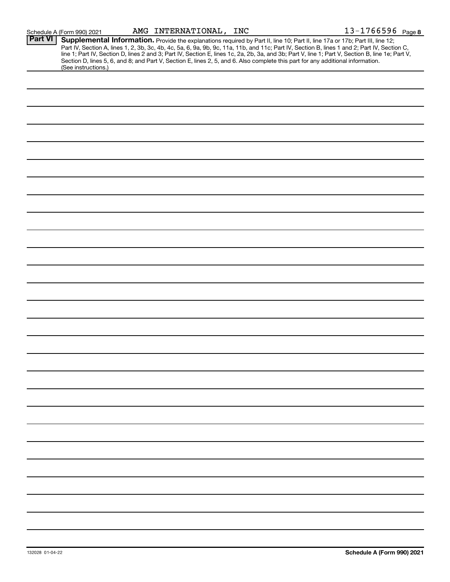|                | Schedule A (Form 990) 2021                                                                                                                             | AMG INTERNATIONAL, INC |  | 13-1766596 Page 8                                                                                                                                                                                                                                                                                                                                                                                                                 |
|----------------|--------------------------------------------------------------------------------------------------------------------------------------------------------|------------------------|--|-----------------------------------------------------------------------------------------------------------------------------------------------------------------------------------------------------------------------------------------------------------------------------------------------------------------------------------------------------------------------------------------------------------------------------------|
| <b>Part VI</b> |                                                                                                                                                        |                        |  | Supplemental Information. Provide the explanations required by Part II, line 10; Part II, line 17a or 17b; Part III, line 12;<br>Part IV, Section A, lines 1, 2, 3b, 3c, 4b, 4c, 5a, 6, 9a, 9b, 9c, 11a, 11b, and 11c; Part IV, Section B, lines 1 and 2; Part IV, Section C,<br>line 1; Part IV, Section D, lines 2 and 3; Part IV, Section E, lines 1c, 2a, 2b, 3a, and 3b; Part V, line 1; Part V, Section B, line 1e; Part V, |
|                | Section D, lines 5, 6, and 8; and Part V, Section E, lines 2, 5, and 6. Also complete this part for any additional information.<br>(See instructions.) |                        |  |                                                                                                                                                                                                                                                                                                                                                                                                                                   |
|                |                                                                                                                                                        |                        |  |                                                                                                                                                                                                                                                                                                                                                                                                                                   |
|                |                                                                                                                                                        |                        |  |                                                                                                                                                                                                                                                                                                                                                                                                                                   |
|                |                                                                                                                                                        |                        |  |                                                                                                                                                                                                                                                                                                                                                                                                                                   |
|                |                                                                                                                                                        |                        |  |                                                                                                                                                                                                                                                                                                                                                                                                                                   |
|                |                                                                                                                                                        |                        |  |                                                                                                                                                                                                                                                                                                                                                                                                                                   |
|                |                                                                                                                                                        |                        |  |                                                                                                                                                                                                                                                                                                                                                                                                                                   |
|                |                                                                                                                                                        |                        |  |                                                                                                                                                                                                                                                                                                                                                                                                                                   |
|                |                                                                                                                                                        |                        |  |                                                                                                                                                                                                                                                                                                                                                                                                                                   |
|                |                                                                                                                                                        |                        |  |                                                                                                                                                                                                                                                                                                                                                                                                                                   |
|                |                                                                                                                                                        |                        |  |                                                                                                                                                                                                                                                                                                                                                                                                                                   |
|                |                                                                                                                                                        |                        |  |                                                                                                                                                                                                                                                                                                                                                                                                                                   |
|                |                                                                                                                                                        |                        |  |                                                                                                                                                                                                                                                                                                                                                                                                                                   |
|                |                                                                                                                                                        |                        |  |                                                                                                                                                                                                                                                                                                                                                                                                                                   |
|                |                                                                                                                                                        |                        |  |                                                                                                                                                                                                                                                                                                                                                                                                                                   |
|                |                                                                                                                                                        |                        |  |                                                                                                                                                                                                                                                                                                                                                                                                                                   |
|                |                                                                                                                                                        |                        |  |                                                                                                                                                                                                                                                                                                                                                                                                                                   |
|                |                                                                                                                                                        |                        |  |                                                                                                                                                                                                                                                                                                                                                                                                                                   |
|                |                                                                                                                                                        |                        |  |                                                                                                                                                                                                                                                                                                                                                                                                                                   |
|                |                                                                                                                                                        |                        |  |                                                                                                                                                                                                                                                                                                                                                                                                                                   |
|                |                                                                                                                                                        |                        |  |                                                                                                                                                                                                                                                                                                                                                                                                                                   |
|                |                                                                                                                                                        |                        |  |                                                                                                                                                                                                                                                                                                                                                                                                                                   |
|                |                                                                                                                                                        |                        |  |                                                                                                                                                                                                                                                                                                                                                                                                                                   |
|                |                                                                                                                                                        |                        |  |                                                                                                                                                                                                                                                                                                                                                                                                                                   |
|                |                                                                                                                                                        |                        |  |                                                                                                                                                                                                                                                                                                                                                                                                                                   |
|                |                                                                                                                                                        |                        |  |                                                                                                                                                                                                                                                                                                                                                                                                                                   |
|                |                                                                                                                                                        |                        |  |                                                                                                                                                                                                                                                                                                                                                                                                                                   |
|                |                                                                                                                                                        |                        |  |                                                                                                                                                                                                                                                                                                                                                                                                                                   |
|                |                                                                                                                                                        |                        |  |                                                                                                                                                                                                                                                                                                                                                                                                                                   |
|                |                                                                                                                                                        |                        |  |                                                                                                                                                                                                                                                                                                                                                                                                                                   |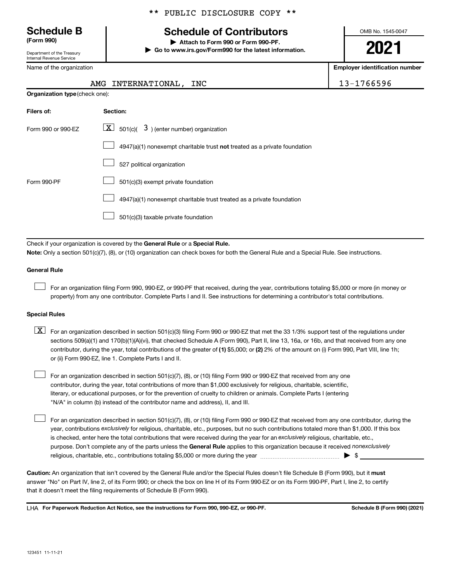Department of the Treasury

Internal Revenue Service

Name of the organization

**Organization type** (check one):

# **Schedule B Schedule of Contributors**

**(Form 990) | Attach to Form 990 or Form 990-PF. | Go to www.irs.gov/Form990 for the latest information.** OMB No. 1545-0047

**2021**

**Employer identification number**

| AMG INTERNATIONAL, INC | 13-1766596 |
|------------------------|------------|
|                        |            |

| Filers of:         | Section:                                                                           |
|--------------------|------------------------------------------------------------------------------------|
| Form 990 or 990-FZ | $ \mathbf{X} $ 501(c)( 3) (enter number) organization                              |
|                    | $4947(a)(1)$ nonexempt charitable trust <b>not</b> treated as a private foundation |
|                    | 527 political organization                                                         |
| Form 990-PF        | 501(c)(3) exempt private foundation                                                |
|                    | 4947(a)(1) nonexempt charitable trust treated as a private foundation              |
|                    | 501(c)(3) taxable private foundation                                               |

Check if your organization is covered by the General Rule or a Special Rule.

**Note:**  Only a section 501(c)(7), (8), or (10) organization can check boxes for both the General Rule and a Special Rule. See instructions.

### **General Rule**

 $\Box$ 

For an organization filing Form 990, 990-EZ, or 990-PF that received, during the year, contributions totaling \$5,000 or more (in money or property) from any one contributor. Complete Parts I and II. See instructions for determining a contributor's total contributions.

### **Special Rules**

- contributor, during the year, total contributions of the greater of (1) \$5,000; or (2) 2% of the amount on (i) Form 990, Part VIII, line 1h;  $\boxed{\text{X}}$  For an organization described in section 501(c)(3) filing Form 990 or 990-EZ that met the 33 1/3% support test of the regulations under sections 509(a)(1) and 170(b)(1)(A)(vi), that checked Schedule A (Form 990), Part II, line 13, 16a, or 16b, and that received from any one or (ii) Form 990-EZ, line 1. Complete Parts I and II.
- For an organization described in section 501(c)(7), (8), or (10) filing Form 990 or 990-EZ that received from any one contributor, during the year, total contributions of more than \$1,000 exclusively for religious, charitable, scientific, literary, or educational purposes, or for the prevention of cruelty to children or animals. Complete Parts I (entering "N/A" in column (b) instead of the contributor name and address), II, and III.  $\Box$

purpose. Don't complete any of the parts unless the General Rule applies to this organization because it received nonexclusively year, contributions exclusively for religious, charitable, etc., purposes, but no such contributions totaled more than \$1,000. If this box is checked, enter here the total contributions that were received during the year for an exclusively religious, charitable, etc., For an organization described in section 501(c)(7), (8), or (10) filing Form 990 or 990-EZ that received from any one contributor, during the religious, charitable, etc., contributions totaling \$5,000 or more during the year  $\ldots$  $\ldots$  $\ldots$  $\ldots$  $\ldots$  $\ldots$  $\Box$ 

Caution: An organization that isn't covered by the General Rule and/or the Special Rules doesn't file Schedule B (Form 990), but it must answer "No" on Part IV, line 2, of its Form 990; or check the box on line H of its Form 990-EZ or on its Form 990-PF, Part I, line 2, to certify that it doesn't meet the filing requirements of Schedule B (Form 990).

LHA For Paperwork Reduction Act Notice, see the instructions for Form 990, 990-EZ, or 990-PF. **Schell B (Form 990)** (2021)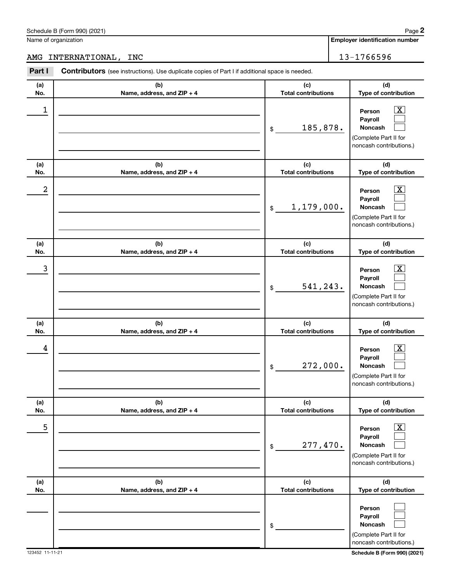|            | AMG INTERNATIONAL, INC                                                                                |                                   | 13-1766596                                                                                            |
|------------|-------------------------------------------------------------------------------------------------------|-----------------------------------|-------------------------------------------------------------------------------------------------------|
| Part I     | <b>Contributors</b> (see instructions). Use duplicate copies of Part I if additional space is needed. |                                   |                                                                                                       |
| (a)<br>No. | (b)<br>Name, address, and $ZIP + 4$                                                                   | (c)<br><b>Total contributions</b> | (d)<br>Type of contribu                                                                               |
| 1          |                                                                                                       | 185,878.<br>\$                    | $\overline{\mathbf{x}}$<br>Person<br>Payroll<br>Noncash<br>(Complete Part II fo<br>noncash contributi |
| (a)<br>No. | (b)<br>Name, address, and $ZIP + 4$                                                                   | (c)<br><b>Total contributions</b> | (d)<br>Type of contribu                                                                               |
| 2          |                                                                                                       | 1,179,000.<br>\$                  | $\overline{\text{X}}$<br>Person<br>Payroll<br>Noncash<br>(Complete Part II fo<br>noncash contributi   |

| (a)<br>No. | (b)<br>Name, address, and ZIP + 4 | (c)<br><b>Total contributions</b> | (d)<br>Type of contribution                                                           |
|------------|-----------------------------------|-----------------------------------|---------------------------------------------------------------------------------------|
| 2          |                                   | 1,179,000.<br>$\frac{1}{2}$       | х<br>Person<br>Payroll<br>Noncash<br>(Complete Part II for<br>noncash contributions.) |
| (a)<br>No. | (b)<br>Name, address, and ZIP + 4 | (c)<br><b>Total contributions</b> | (d)<br>Type of contribution                                                           |
| 3          |                                   | 541,243.<br>\$                    | x<br>Person<br>Payroll<br>Noncash<br>(Complete Part II for<br>noncash contributions.) |
| (a)<br>No. | (b)<br>Name, address, and ZIP + 4 | (c)<br><b>Total contributions</b> | (d)<br>Type of contribution                                                           |
| 4          |                                   | 272,000.<br>\$                    | x<br>Person<br>Payroll<br>Noncash<br>(Complete Part II for<br>noncash contributions.) |
| (a)<br>No. | (b)<br>Name, address, and ZIP + 4 | (c)<br><b>Total contributions</b> | (d)<br>Type of contribution                                                           |
| 5          |                                   | 277,470.<br>\$                    | x<br>Person<br>Payroll<br>Noncash<br>(Complete Part II for<br>noncash contributions.) |
| (a)<br>No. | (b)<br>Name, address, and ZIP + 4 | (c)<br><b>Total contributions</b> | (d)<br>Type of contribution                                                           |
|            |                                   | \$                                | Person<br>Payroll<br>Noncash<br>(Complete Part II for<br>noncash contributions.)      |

# Schedule B (Form 990) (2021) Name of organization

(Complete Part II for noncash contributions.)

**(d) Type of contribution**

> $\boxed{\text{X}}$  $\Box$  $\Box$

**2**

**Employer identification number**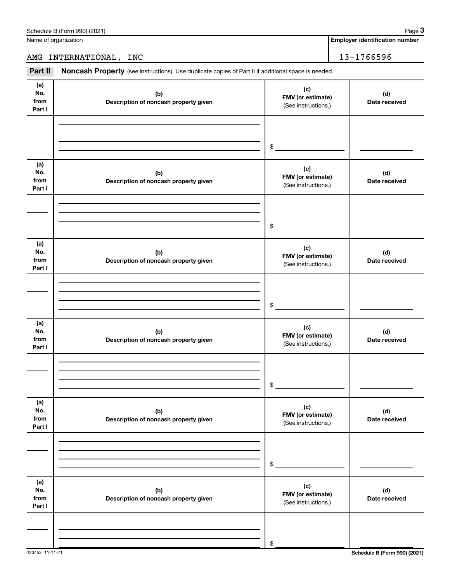Name of organization

# AMG INTERNATIONAL, INC 13-1766596

Part II Noncash Property (see instructions). Use duplicate copies of Part II if additional space is needed.

| , art 11                     | <b>NUTICASH I TOPETLY</b> (SEE INSTRUCTIONS). OSE duplicate copies of Fart II II additional space is needed. |                                                 |                      |
|------------------------------|--------------------------------------------------------------------------------------------------------------|-------------------------------------------------|----------------------|
| (a)<br>No.<br>from<br>Part I | (b)<br>Description of noncash property given                                                                 | (c)<br>FMV (or estimate)<br>(See instructions.) | (d)<br>Date received |
|                              |                                                                                                              | \$                                              |                      |
| (a)<br>No.<br>from<br>Part I | (b)<br>Description of noncash property given                                                                 | (c)<br>FMV (or estimate)<br>(See instructions.) | (d)<br>Date received |
|                              |                                                                                                              | \$                                              |                      |
| (a)<br>No.<br>from<br>Part I | (b)<br>Description of noncash property given                                                                 | (c)<br>FMV (or estimate)<br>(See instructions.) | (d)<br>Date received |
|                              |                                                                                                              | \$                                              |                      |
| (a)<br>No.<br>from<br>Part I | (b)<br>Description of noncash property given                                                                 | (c)<br>FMV (or estimate)<br>(See instructions.) | (d)<br>Date received |
|                              |                                                                                                              | \$                                              |                      |
| (a)<br>No.<br>from<br>Part I | (b)<br>Description of noncash property given                                                                 | (c)<br>FMV (or estimate)<br>(See instructions.) | (d)<br>Date received |
|                              |                                                                                                              | \$                                              |                      |
| (a)<br>No.<br>from<br>Part I | (b)<br>Description of noncash property given                                                                 | (c)<br>FMV (or estimate)<br>(See instructions.) | (d)<br>Date received |
|                              |                                                                                                              | \$                                              |                      |

**Employer identification number**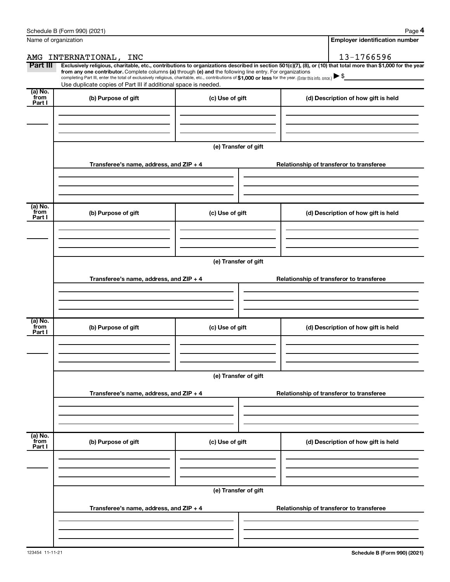| Name of organization      |                                                                                                                                                                                                                                                                                                                                           | <b>Employer identification number</b> |                                                                                                                                                                |  |  |
|---------------------------|-------------------------------------------------------------------------------------------------------------------------------------------------------------------------------------------------------------------------------------------------------------------------------------------------------------------------------------------|---------------------------------------|----------------------------------------------------------------------------------------------------------------------------------------------------------------|--|--|
|                           | AMG INTERNATIONAL, INC                                                                                                                                                                                                                                                                                                                    |                                       | 13-1766596                                                                                                                                                     |  |  |
| Part III                  | from any one contributor. Complete columns (a) through (e) and the following line entry. For organizations<br>completing Part III, enter the total of exclusively religious, charitable, etc., contributions of \$1,000 or less for the year. (Enter this info. once.)<br>Use duplicate copies of Part III if additional space is needed. |                                       | Exclusively religious, charitable, etc., contributions to organizations described in section 501(c)(7), (8), or (10) that total more than \$1,000 for the year |  |  |
| (a) No.<br>from<br>Part I | (b) Purpose of gift                                                                                                                                                                                                                                                                                                                       | (c) Use of gift                       | (d) Description of how gift is held                                                                                                                            |  |  |
|                           |                                                                                                                                                                                                                                                                                                                                           | (e) Transfer of gift                  |                                                                                                                                                                |  |  |
|                           | Transferee's name, address, and ZIP + 4                                                                                                                                                                                                                                                                                                   |                                       | Relationship of transferor to transferee                                                                                                                       |  |  |
| (a) No.<br>from<br>Part I | (b) Purpose of gift                                                                                                                                                                                                                                                                                                                       | (c) Use of gift                       | (d) Description of how gift is held                                                                                                                            |  |  |
|                           | (e) Transfer of gift<br>Transferee's name, address, and ZIP + 4                                                                                                                                                                                                                                                                           |                                       | Relationship of transferor to transferee                                                                                                                       |  |  |
| (a) No.<br>from<br>Part I | (b) Purpose of gift                                                                                                                                                                                                                                                                                                                       | (c) Use of gift                       | (d) Description of how gift is held                                                                                                                            |  |  |
|                           | (e) Transfer of gift                                                                                                                                                                                                                                                                                                                      |                                       |                                                                                                                                                                |  |  |
|                           | Transferee's name, address, and ZIP + 4                                                                                                                                                                                                                                                                                                   |                                       | Relationship of transferor to transferee                                                                                                                       |  |  |
| (a) No.<br>from<br>Part I | (b) Purpose of gift                                                                                                                                                                                                                                                                                                                       | (c) Use of gift                       | (d) Description of how gift is held                                                                                                                            |  |  |
|                           |                                                                                                                                                                                                                                                                                                                                           | (e) Transfer of gift                  |                                                                                                                                                                |  |  |
|                           | Transferee's name, address, and ZIP + 4                                                                                                                                                                                                                                                                                                   |                                       | Relationship of transferor to transferee                                                                                                                       |  |  |
|                           |                                                                                                                                                                                                                                                                                                                                           |                                       |                                                                                                                                                                |  |  |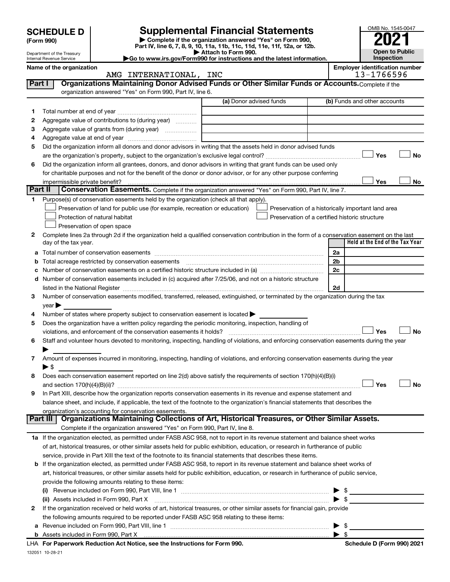|              | <b>SCHEDULE D</b>                                    | <b>Supplemental Financial Statements</b>                                                                                                              |                         |                                                                                                      |                | OMB No. 1545-0047                                   |
|--------------|------------------------------------------------------|-------------------------------------------------------------------------------------------------------------------------------------------------------|-------------------------|------------------------------------------------------------------------------------------------------|----------------|-----------------------------------------------------|
|              | (Form 990)                                           | Complete if the organization answered "Yes" on Form 990,<br>Part IV, line 6, 7, 8, 9, 10, 11a, 11b, 11c, 11d, 11e, 11f, 12a, or 12b.                  |                         |                                                                                                      |                |                                                     |
|              | Department of the Treasury                           |                                                                                                                                                       | Attach to Form 990.     |                                                                                                      |                | <b>Open to Public</b>                               |
|              | Internal Revenue Service<br>Name of the organization | Go to www.irs.gov/Form990 for instructions and the latest information.                                                                                |                         |                                                                                                      |                | Inspection<br><b>Employer identification number</b> |
|              |                                                      | AMG INTERNATIONAL, INC                                                                                                                                |                         |                                                                                                      |                | 13-1766596                                          |
| Part I       |                                                      | Organizations Maintaining Donor Advised Funds or Other Similar Funds or Accounts. Complete if the                                                     |                         |                                                                                                      |                |                                                     |
|              |                                                      | organization answered "Yes" on Form 990, Part IV, line 6.                                                                                             |                         |                                                                                                      |                |                                                     |
|              |                                                      |                                                                                                                                                       | (a) Donor advised funds |                                                                                                      |                | (b) Funds and other accounts                        |
| 1            |                                                      |                                                                                                                                                       |                         |                                                                                                      |                |                                                     |
| 2<br>З       |                                                      | Aggregate value of contributions to (during year)                                                                                                     |                         |                                                                                                      |                |                                                     |
| 4            |                                                      |                                                                                                                                                       |                         |                                                                                                      |                |                                                     |
| 5            |                                                      | Did the organization inform all donors and donor advisors in writing that the assets held in donor advised funds                                      |                         |                                                                                                      |                |                                                     |
|              |                                                      |                                                                                                                                                       |                         |                                                                                                      |                | <b>No</b><br>Yes                                    |
| 6            |                                                      | Did the organization inform all grantees, donors, and donor advisors in writing that grant funds can be used only                                     |                         |                                                                                                      |                |                                                     |
|              |                                                      | for charitable purposes and not for the benefit of the donor or donor advisor, or for any other purpose conferring                                    |                         |                                                                                                      |                |                                                     |
|              | impermissible private benefit?                       |                                                                                                                                                       |                         |                                                                                                      |                | Yes<br>No                                           |
| Part II      |                                                      | Conservation Easements. Complete if the organization answered "Yes" on Form 990, Part IV, line 7.                                                     |                         |                                                                                                      |                |                                                     |
| 1            |                                                      | Purpose(s) of conservation easements held by the organization (check all that apply).                                                                 |                         |                                                                                                      |                |                                                     |
|              |                                                      | Preservation of land for public use (for example, recreation or education)<br>Protection of natural habitat                                           |                         | Preservation of a historically important land area<br>Preservation of a certified historic structure |                |                                                     |
|              |                                                      | Preservation of open space                                                                                                                            |                         |                                                                                                      |                |                                                     |
| $\mathbf{2}$ |                                                      | Complete lines 2a through 2d if the organization held a qualified conservation contribution in the form of a conservation easement on the last        |                         |                                                                                                      |                |                                                     |
|              | day of the tax year.                                 |                                                                                                                                                       |                         |                                                                                                      |                | Held at the End of the Tax Year                     |
| а            |                                                      |                                                                                                                                                       |                         |                                                                                                      | 2a             |                                                     |
| b            |                                                      | Total acreage restricted by conservation easements                                                                                                    |                         |                                                                                                      | 2 <sub>b</sub> |                                                     |
| с            |                                                      |                                                                                                                                                       |                         |                                                                                                      | 2c             |                                                     |
|              |                                                      | d Number of conservation easements included in (c) acquired after 7/25/06, and not on a historic structure                                            |                         |                                                                                                      |                |                                                     |
|              |                                                      |                                                                                                                                                       |                         |                                                                                                      | 2d             |                                                     |
| 3            | $year \triangleright$                                | Number of conservation easements modified, transferred, released, extinguished, or terminated by the organization during the tax                      |                         |                                                                                                      |                |                                                     |
| 4            |                                                      | Number of states where property subject to conservation easement is located $\blacktriangleright$                                                     |                         |                                                                                                      |                |                                                     |
| 5            |                                                      | Does the organization have a written policy regarding the periodic monitoring, inspection, handling of                                                |                         |                                                                                                      |                |                                                     |
|              |                                                      | violations, and enforcement of the conservation easements it holds?                                                                                   |                         |                                                                                                      |                | <b>No</b><br>Yes                                    |
| 6            |                                                      | Staff and volunteer hours devoted to monitoring, inspecting, handling of violations, and enforcing conservation easements during the year             |                         |                                                                                                      |                |                                                     |
| 7            |                                                      | Amount of expenses incurred in monitoring, inspecting, handling of violations, and enforcing conservation easements during the year                   |                         |                                                                                                      |                |                                                     |
|              | $\blacktriangleright$ \$                             |                                                                                                                                                       |                         |                                                                                                      |                |                                                     |
| 8            |                                                      | Does each conservation easement reported on line 2(d) above satisfy the requirements of section 170(h)(4)(B)(i)                                       |                         |                                                                                                      |                |                                                     |
|              |                                                      |                                                                                                                                                       |                         |                                                                                                      |                | Yes<br><b>No</b>                                    |
| 9            |                                                      | In Part XIII, describe how the organization reports conservation easements in its revenue and expense statement and                                   |                         |                                                                                                      |                |                                                     |
|              |                                                      | balance sheet, and include, if applicable, the text of the footnote to the organization's financial statements that describes the                     |                         |                                                                                                      |                |                                                     |
|              | Part III                                             | organization's accounting for conservation easements.<br>Organizations Maintaining Collections of Art, Historical Treasures, or Other Similar Assets. |                         |                                                                                                      |                |                                                     |
|              |                                                      | Complete if the organization answered "Yes" on Form 990, Part IV, line 8.                                                                             |                         |                                                                                                      |                |                                                     |
|              |                                                      | 1a If the organization elected, as permitted under FASB ASC 958, not to report in its revenue statement and balance sheet works                       |                         |                                                                                                      |                |                                                     |
|              |                                                      | of art, historical treasures, or other similar assets held for public exhibition, education, or research in furtherance of public                     |                         |                                                                                                      |                |                                                     |
|              |                                                      | service, provide in Part XIII the text of the footnote to its financial statements that describes these items.                                        |                         |                                                                                                      |                |                                                     |
|              |                                                      | <b>b</b> If the organization elected, as permitted under FASB ASC 958, to report in its revenue statement and balance sheet works of                  |                         |                                                                                                      |                |                                                     |
|              |                                                      | art, historical treasures, or other similar assets held for public exhibition, education, or research in furtherance of public service,               |                         |                                                                                                      |                |                                                     |
|              |                                                      | provide the following amounts relating to these items:                                                                                                |                         |                                                                                                      |                |                                                     |
|              |                                                      |                                                                                                                                                       |                         |                                                                                                      |                |                                                     |
|              |                                                      | (ii) Assets included in Form 990, Part X                                                                                                              |                         |                                                                                                      |                |                                                     |
| 2            |                                                      | If the organization received or held works of art, historical treasures, or other similar assets for financial gain, provide                          |                         |                                                                                                      |                |                                                     |
|              |                                                      | the following amounts required to be reported under FASB ASC 958 relating to these items:                                                             |                         |                                                                                                      |                |                                                     |

| <b>b</b> Assets included in Form 990, Part X                               |  |
|----------------------------------------------------------------------------|--|
| LHA For Paperwork Reduction Act Notice, see the Instructions for Form 990. |  |
| 132051 10-28-21                                                            |  |

**a** Revenue included on Form 990, Part VIII, line 1 ~~~~~~~~~~~~~~~~~~~~~~~~~~~~~~ | \$

**Schedule D (Form 990) 2021**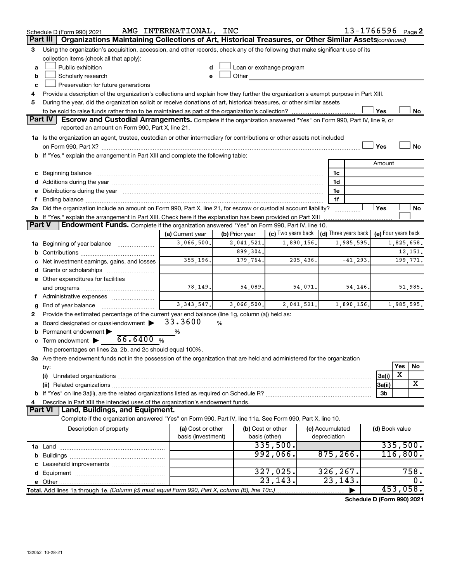|               | Schedule D (Form 990) 2021                                                                                                                                                                                                     | AMG INTERNATIONAL, INC |                |                                                         |                 |             |                | 13-1766596 Page 2   |  |
|---------------|--------------------------------------------------------------------------------------------------------------------------------------------------------------------------------------------------------------------------------|------------------------|----------------|---------------------------------------------------------|-----------------|-------------|----------------|---------------------|--|
|               | Part III   Organizations Maintaining Collections of Art, Historical Treasures, or Other Similar Assets (continued)                                                                                                             |                        |                |                                                         |                 |             |                |                     |  |
| 3             | Using the organization's acquisition, accession, and other records, check any of the following that make significant use of its<br>collection items (check all that apply):                                                    |                        |                |                                                         |                 |             |                |                     |  |
| a             | Public exhibition                                                                                                                                                                                                              |                        |                | Loan or exchange program                                |                 |             |                |                     |  |
| b             | Scholarly research                                                                                                                                                                                                             |                        | Other          |                                                         |                 |             |                |                     |  |
| c             | Preservation for future generations                                                                                                                                                                                            |                        |                |                                                         |                 |             |                |                     |  |
| 4             | Provide a description of the organization's collections and explain how they further the organization's exempt purpose in Part XIII.                                                                                           |                        |                |                                                         |                 |             |                |                     |  |
| 5             | During the year, did the organization solicit or receive donations of art, historical treasures, or other similar assets                                                                                                       |                        |                |                                                         |                 |             |                |                     |  |
|               |                                                                                                                                                                                                                                |                        |                |                                                         |                 |             | Yes            | No                  |  |
|               | <b>Part IV</b><br><b>Escrow and Custodial Arrangements.</b> Complete if the organization answered "Yes" on Form 990, Part IV, line 9, or                                                                                       |                        |                |                                                         |                 |             |                |                     |  |
|               | reported an amount on Form 990, Part X, line 21.                                                                                                                                                                               |                        |                |                                                         |                 |             |                |                     |  |
|               | 1a Is the organization an agent, trustee, custodian or other intermediary for contributions or other assets not included                                                                                                       |                        |                |                                                         |                 |             |                |                     |  |
|               |                                                                                                                                                                                                                                |                        |                |                                                         |                 |             | Yes            | No                  |  |
|               | b If "Yes," explain the arrangement in Part XIII and complete the following table:                                                                                                                                             |                        |                |                                                         |                 |             |                |                     |  |
|               |                                                                                                                                                                                                                                |                        |                |                                                         |                 |             | Amount         |                     |  |
|               |                                                                                                                                                                                                                                |                        |                |                                                         | 1c              |             |                |                     |  |
|               |                                                                                                                                                                                                                                |                        |                |                                                         | 1d              |             |                |                     |  |
|               | e Distributions during the year manufactured and continuum and contact the control of the control of the state of the control of the control of the control of the control of the control of the control of the control of the |                        |                |                                                         | 1e              |             |                |                     |  |
| f             |                                                                                                                                                                                                                                |                        |                |                                                         | 1f              |             |                |                     |  |
|               | 2a Did the organization include an amount on Form 990, Part X, line 21, for escrow or custodial account liability?                                                                                                             |                        |                |                                                         |                 |             | Yes            | No                  |  |
|               | b If "Yes," explain the arrangement in Part XIII. Check here if the explanation has been provided on Part XIII                                                                                                                 |                        |                |                                                         |                 |             |                |                     |  |
| <b>Part V</b> | Endowment Funds. Complete if the organization answered "Yes" on Form 990, Part IV, line 10.                                                                                                                                    |                        |                |                                                         |                 |             |                |                     |  |
|               |                                                                                                                                                                                                                                | (a) Current year       | (b) Prior year | (c) Two years back $\vert$ (d) Three years back $\vert$ |                 |             |                | (e) Four years back |  |
|               | 1a Beginning of year balance                                                                                                                                                                                                   | 3,066,500.             | 2,041,521.     | 1,890,156.                                              |                 | 1,985,595.  |                | 1,825,658.          |  |
|               |                                                                                                                                                                                                                                |                        | 899,304.       |                                                         |                 |             |                | 12,151.             |  |
|               | c Net investment earnings, gains, and losses                                                                                                                                                                                   | 355, 196.              | 179,764.       | 205, 436.                                               |                 | $-41, 293.$ |                | 199,771.            |  |
|               |                                                                                                                                                                                                                                |                        |                |                                                         |                 |             |                |                     |  |
|               | e Other expenditures for facilities                                                                                                                                                                                            |                        |                |                                                         |                 |             |                |                     |  |
|               | and programs                                                                                                                                                                                                                   | 78, 149.               | 54,089.        | 54,071.                                                 |                 | 54, 146.    |                | 51,985.             |  |
|               | f Administrative expenses                                                                                                                                                                                                      | 3,343,547.             | 3,066,500.     | 2,041,521.                                              |                 |             |                |                     |  |
| g             | End of year balance                                                                                                                                                                                                            |                        |                |                                                         |                 | 1,890,156.  |                | 1,985,595.          |  |
| 2             | Provide the estimated percentage of the current year end balance (line 1g, column (a)) held as:<br>a Board designated or quasi-endowment >                                                                                     | 33.3600                | %              |                                                         |                 |             |                |                     |  |
|               | <b>b</b> Permanent endowment $\blacktriangleright$                                                                                                                                                                             | $\%$                   |                |                                                         |                 |             |                |                     |  |
|               | 66.6400%<br>c Term endowment $\blacktriangleright$                                                                                                                                                                             |                        |                |                                                         |                 |             |                |                     |  |
|               | The percentages on lines 2a, 2b, and 2c should equal 100%.                                                                                                                                                                     |                        |                |                                                         |                 |             |                |                     |  |
|               | 3a Are there endowment funds not in the possession of the organization that are held and administered for the organization                                                                                                     |                        |                |                                                         |                 |             |                |                     |  |
|               | by:                                                                                                                                                                                                                            |                        |                |                                                         |                 |             |                | Yes<br>No           |  |
|               | (i)                                                                                                                                                                                                                            |                        |                |                                                         |                 |             | 3a(i)          | X                   |  |
|               |                                                                                                                                                                                                                                |                        |                |                                                         |                 |             | 3a(ii)         | X                   |  |
|               |                                                                                                                                                                                                                                |                        |                |                                                         |                 |             | 3b             |                     |  |
| 4             | Describe in Part XIII the intended uses of the organization's endowment funds.                                                                                                                                                 |                        |                |                                                         |                 |             |                |                     |  |
|               | Land, Buildings, and Equipment.<br><b>Part VI</b>                                                                                                                                                                              |                        |                |                                                         |                 |             |                |                     |  |
|               | Complete if the organization answered "Yes" on Form 990, Part IV, line 11a. See Form 990, Part X, line 10.                                                                                                                     |                        |                |                                                         |                 |             |                |                     |  |
|               | Description of property                                                                                                                                                                                                        | (a) Cost or other      |                | (b) Cost or other                                       | (c) Accumulated |             | (d) Book value |                     |  |
|               |                                                                                                                                                                                                                                | basis (investment)     |                | basis (other)                                           | depreciation    |             |                |                     |  |
|               |                                                                                                                                                                                                                                |                        |                | 335,500.                                                |                 |             |                | 335,500.            |  |
|               |                                                                                                                                                                                                                                |                        |                | 992,066.                                                | 875, 266.       |             |                | 116,800.            |  |
|               |                                                                                                                                                                                                                                |                        |                |                                                         |                 |             |                |                     |  |
|               |                                                                                                                                                                                                                                |                        |                | 327,025.                                                | 326, 267.       |             |                | 758.                |  |
|               |                                                                                                                                                                                                                                |                        |                | 23, 143.                                                | 23, 143.        |             |                | 0.                  |  |
|               | Total. Add lines 1a through 1e. (Column (d) must equal Form 990, Part X, column (B), line 10c.)                                                                                                                                |                        |                |                                                         |                 |             |                | 453,058.            |  |

**Schedule D (Form 990) 2021**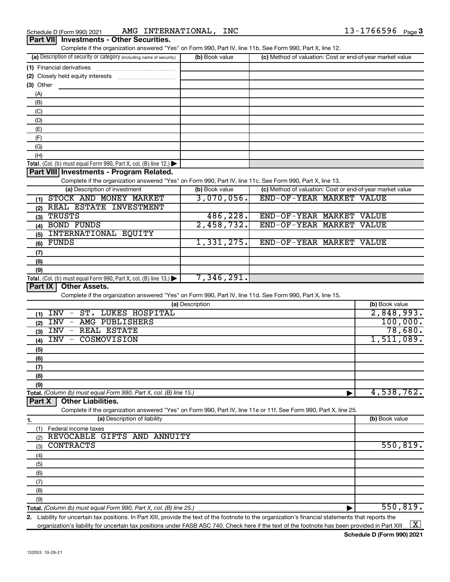| Schedule D (Form 990) 2021             | <b>INTERNATIONAL</b><br>INC<br>AMG | $3 - 1766596$<br>Page $3$ |
|----------------------------------------|------------------------------------|---------------------------|
| Dert VIII Investmente Other Securities |                                    |                           |

| Complete if the organization answered "Yes" on Form 990, Part IV, line 11b. See Form 990, Part X, line 12.<br>(a) Description of security or category (including name of security) | (b) Book value  | (c) Method of valuation: Cost or end-of-year market value |                |
|------------------------------------------------------------------------------------------------------------------------------------------------------------------------------------|-----------------|-----------------------------------------------------------|----------------|
| (1) Financial derivatives                                                                                                                                                          |                 |                                                           |                |
|                                                                                                                                                                                    |                 |                                                           |                |
| $(3)$ Other                                                                                                                                                                        |                 |                                                           |                |
| (A)                                                                                                                                                                                |                 |                                                           |                |
| (B)                                                                                                                                                                                |                 |                                                           |                |
| (C)                                                                                                                                                                                |                 |                                                           |                |
| (D)                                                                                                                                                                                |                 |                                                           |                |
| (E)                                                                                                                                                                                |                 |                                                           |                |
| (F)                                                                                                                                                                                |                 |                                                           |                |
| (G)                                                                                                                                                                                |                 |                                                           |                |
| (H)                                                                                                                                                                                |                 |                                                           |                |
|                                                                                                                                                                                    |                 |                                                           |                |
| Total. (Col. (b) must equal Form 990, Part X, col. (B) line 12.) $\blacktriangleright$<br>Part VIII Investments - Program Related.                                                 |                 |                                                           |                |
|                                                                                                                                                                                    |                 |                                                           |                |
| Complete if the organization answered "Yes" on Form 990, Part IV, line 11c. See Form 990, Part X, line 13.<br>(a) Description of investment                                        | (b) Book value  | (c) Method of valuation: Cost or end-of-year market value |                |
|                                                                                                                                                                                    |                 |                                                           |                |
| (1) STOCK AND MONEY MARKET                                                                                                                                                         | 3,070,056.      | END-OF-YEAR MARKET VALUE                                  |                |
| (2) REAL ESTATE INVESTMENT                                                                                                                                                         |                 |                                                           |                |
| $(3)$ TRUSTS                                                                                                                                                                       | 486, 228.       | END-OF-YEAR MARKET VALUE                                  |                |
| (4) BOND FUNDS                                                                                                                                                                     | 2,458,732.      | END-OF-YEAR MARKET VALUE                                  |                |
| INTERNATIONAL EQUITY<br>(5)                                                                                                                                                        |                 |                                                           |                |
| FUNDS<br>(6)                                                                                                                                                                       | 1,331,275.      | END-OF-YEAR MARKET VALUE                                  |                |
| (7)                                                                                                                                                                                |                 |                                                           |                |
| (8)                                                                                                                                                                                |                 |                                                           |                |
| (9)                                                                                                                                                                                |                 |                                                           |                |
| Total. (Col. (b) must equal Form 990, Part X, col. (B) line $13.$ )                                                                                                                | 7,346,291.      |                                                           |                |
| <b>Other Assets.</b><br>Part IX                                                                                                                                                    |                 |                                                           |                |
| Complete if the organization answered "Yes" on Form 990, Part IV, line 11d. See Form 990, Part X, line 15.                                                                         |                 |                                                           |                |
|                                                                                                                                                                                    | (a) Description |                                                           | (b) Book value |
| $INV -$<br><b>ST. LUKES HOSPITAL</b><br>(1)                                                                                                                                        |                 |                                                           | 2,848,993.     |
| INV - AMG PUBLISHERS<br>(2)                                                                                                                                                        |                 |                                                           | 100,000.       |
| <b>INV - REAL ESTATE</b><br>(3)                                                                                                                                                    |                 |                                                           | 78,680.        |
| COSMOVISION<br>INV -<br>(4)                                                                                                                                                        |                 |                                                           | 1,511,089.     |
| (5)                                                                                                                                                                                |                 |                                                           |                |
| (6)                                                                                                                                                                                |                 |                                                           |                |
| (7)                                                                                                                                                                                |                 |                                                           |                |
| (8)                                                                                                                                                                                |                 |                                                           |                |
| (9)                                                                                                                                                                                |                 |                                                           |                |
| Total. (Column (b) must equal Form 990, Part X, col. (B) line 15.)                                                                                                                 |                 |                                                           | 4,538,762.     |
| Part X<br><b>Other Liabilities.</b>                                                                                                                                                |                 |                                                           |                |
| Complete if the organization answered "Yes" on Form 990, Part IV, line 11e or 11f. See Form 990, Part X, line 25.                                                                  |                 |                                                           |                |
| (a) Description of liability                                                                                                                                                       |                 |                                                           | (b) Book value |
| 1.<br>Federal income taxes                                                                                                                                                         |                 |                                                           |                |
| (1)<br>REVOCABLE GIFTS AND ANNUITY                                                                                                                                                 |                 |                                                           |                |
| (2)<br><b>CONTRACTS</b>                                                                                                                                                            |                 |                                                           | 550, 819.      |
| (3)                                                                                                                                                                                |                 |                                                           |                |
| (4)                                                                                                                                                                                |                 |                                                           |                |
| (5)                                                                                                                                                                                |                 |                                                           |                |
| (6)                                                                                                                                                                                |                 |                                                           |                |
| (7)                                                                                                                                                                                |                 |                                                           |                |
| (8)                                                                                                                                                                                |                 |                                                           |                |
|                                                                                                                                                                                    |                 |                                                           |                |
| (9)                                                                                                                                                                                |                 |                                                           | 550, 819.      |

**2.** Liability for uncertain tax positions. In Part XIII, provide the text of the footnote to the organization's financial statements that reports the organization's liability for uncertain tax positions under FASB ASC 740. Check here if the text of the footnote has been provided in Part XIII ...  $\fbox{\bf X}$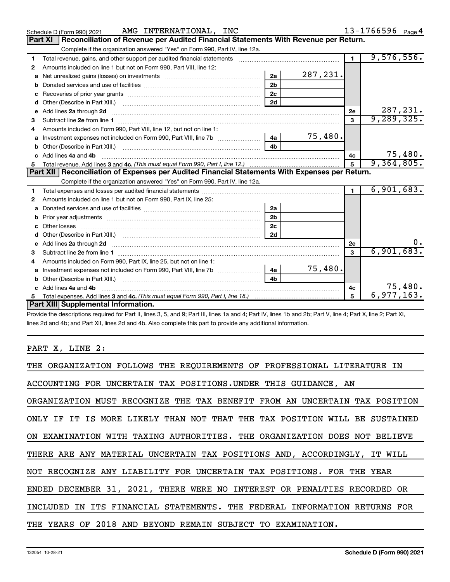|   | AMG INTERNATIONAL, INC<br>Schedule D (Form 990) 2021                                                                            |                |          |                | 13-1766596 Page 4 |
|---|---------------------------------------------------------------------------------------------------------------------------------|----------------|----------|----------------|-------------------|
|   | Reconciliation of Revenue per Audited Financial Statements With Revenue per Return.<br>Part XI                                  |                |          |                |                   |
|   | Complete if the organization answered "Yes" on Form 990, Part IV, line 12a.                                                     |                |          |                |                   |
| 1 | Total revenue, gains, and other support per audited financial statements                                                        |                |          |                | 9,576,556.        |
| 2 | Amounts included on line 1 but not on Form 990, Part VIII, line 12:                                                             |                |          |                |                   |
| a | Net unrealized gains (losses) on investments [111] [12] matter was uncontracted by the unrealized gains (losses) on investments | 2a             | 287,231. |                |                   |
| b |                                                                                                                                 | 2 <sub>b</sub> |          |                |                   |
|   |                                                                                                                                 | 2c             |          |                |                   |
| d |                                                                                                                                 | 2d             |          |                |                   |
| е | Add lines 2a through 2d                                                                                                         |                |          | 2e             | 287,231.          |
| 3 |                                                                                                                                 |                |          | 3              | 9, 289, 325.      |
|   | Amounts included on Form 990, Part VIII, line 12, but not on line 1:                                                            |                |          |                |                   |
| a |                                                                                                                                 | $\overline{a}$ | 75,480.  |                |                   |
| b |                                                                                                                                 | 4 <sub>h</sub> |          |                |                   |
|   | Add lines 4a and 4b                                                                                                             |                |          | 4c             | 75,480.           |
| 5 |                                                                                                                                 |                |          | $\overline{5}$ | 9,364,805.        |
|   |                                                                                                                                 |                |          |                |                   |
|   | Part XII   Reconciliation of Expenses per Audited Financial Statements With Expenses per Return.                                |                |          |                |                   |
|   | Complete if the organization answered "Yes" on Form 990, Part IV, line 12a.                                                     |                |          |                |                   |
| 1 |                                                                                                                                 |                |          |                | 6,901,683.        |
| 2 | Amounts included on line 1 but not on Form 990, Part IX, line 25:                                                               |                |          |                |                   |
| a |                                                                                                                                 | 2a             |          |                |                   |
| b |                                                                                                                                 | 2 <sub>b</sub> |          |                |                   |
| c |                                                                                                                                 | 2 <sub>c</sub> |          |                |                   |
|   |                                                                                                                                 |                |          |                |                   |
|   | e Add lines 2a through 2d                                                                                                       |                |          | 2e             |                   |
| з |                                                                                                                                 |                |          | 3              | 6,901,683.        |
| 4 | Amounts included on Form 990, Part IX, line 25, but not on line 1:                                                              |                |          |                |                   |
| a |                                                                                                                                 | 4a             | 75,480.  |                |                   |
| b |                                                                                                                                 | 4 <sub>h</sub> |          |                |                   |
|   | c Add lines 4a and 4b                                                                                                           |                |          | 4с             | 75,480.           |
|   | Part XIII Supplemental Information.                                                                                             |                |          | 5              | 6,977,163.        |

Provide the descriptions required for Part II, lines 3, 5, and 9; Part III, lines 1a and 4; Part IV, lines 1b and 2b; Part V, line 4; Part X, line 2; Part XI, lines 2d and 4b; and Part XII, lines 2d and 4b. Also complete this part to provide any additional information.

# PART X, LINE 2:

| THE ORGANIZATION FOLLOWS THE REQUIREMENTS OF PROFESSIONAL LITERATURE IN    |
|----------------------------------------------------------------------------|
| ACCOUNTING FOR UNCERTAIN TAX POSITIONS. UNDER THIS GUIDANCE, AN            |
| ORGANIZATION MUST RECOGNIZE THE TAX BENEFIT FROM AN UNCERTAIN TAX POSITION |
| ONLY IF IT IS MORE LIKELY THAN NOT THAT THE TAX POSITION WILL BE SUSTAINED |
| ON EXAMINATION WITH TAXING AUTHORITIES. THE ORGANIZATION DOES NOT BELIEVE  |
| THERE ARE ANY MATERIAL UNCERTAIN TAX POSITIONS AND, ACCORDINGLY, IT WILL   |
| NOT RECOGNIZE ANY LIABILITY FOR UNCERTAIN TAX POSITIONS. FOR THE YEAR      |
| ENDED DECEMBER 31, 2021, THERE WERE NO INTEREST OR PENALTIES RECORDED OR   |
| INCLUDED IN ITS FINANCIAL STATEMENTS. THE FEDERAL INFORMATION RETURNS FOR  |
| THE YEARS OF 2018 AND BEYOND REMAIN SUBJECT TO EXAMINATION.                |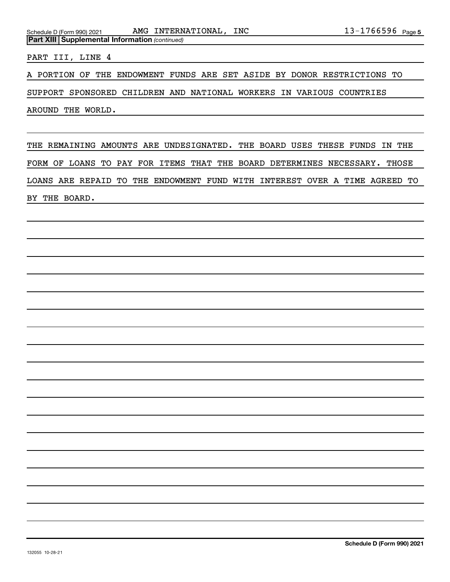Schedule D (Form 990) 2021 Page AMG INTERNATIONAL, INC 13-1766596

PART III, LINE 4

*(continued)* **Part XIII Supplemental Information** 

A PORTION OF THE ENDOWMENT FUNDS ARE SET ASIDE BY DONOR RESTRICTIONS TO

SUPPORT SPONSORED CHILDREN AND NATIONAL WORKERS IN VARIOUS COUNTRIES

AROUND THE WORLD.

THE REMAINING AMOUNTS ARE UNDESIGNATED. THE BOARD USES THESE FUNDS IN THE FORM OF LOANS TO PAY FOR ITEMS THAT THE BOARD DETERMINES NECESSARY. THOSE LOANS ARE REPAID TO THE ENDOWMENT FUND WITH INTEREST OVER A TIME AGREED TO BY THE BOARD.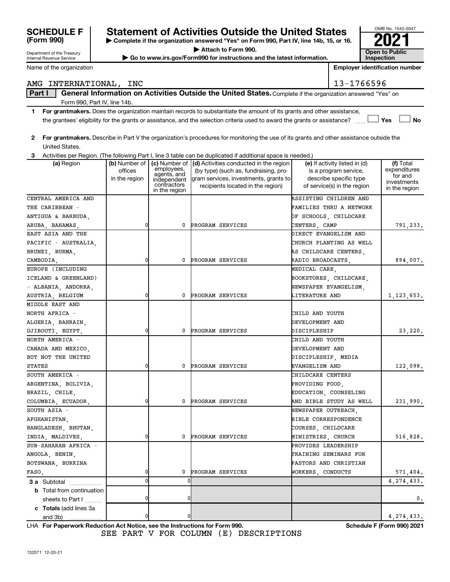| Name of the organization                                     |                          |                                                                          |                                                                                                                                                                                               |                             | <b>Employer identification number</b>                                                                           |                                                                      |
|--------------------------------------------------------------|--------------------------|--------------------------------------------------------------------------|-----------------------------------------------------------------------------------------------------------------------------------------------------------------------------------------------|-----------------------------|-----------------------------------------------------------------------------------------------------------------|----------------------------------------------------------------------|
| AMG INTERNATIONAL, INC                                       |                          |                                                                          |                                                                                                                                                                                               |                             | 13-1766596                                                                                                      |                                                                      |
| Part I                                                       |                          |                                                                          | General Information on Activities Outside the United States. Complete if the organization answered "Yes" on                                                                                   |                             |                                                                                                                 |                                                                      |
| Form 990, Part IV, line 14b.                                 |                          |                                                                          |                                                                                                                                                                                               |                             |                                                                                                                 |                                                                      |
| 1.                                                           |                          |                                                                          | For grantmakers. Does the organization maintain records to substantiate the amount of its grants and other assistance,                                                                        |                             |                                                                                                                 |                                                                      |
|                                                              |                          |                                                                          | the grantees' eligibility for the grants or assistance, and the selection criteria used to award the grants or assistance?                                                                    |                             |                                                                                                                 | Yes<br><b>No</b>                                                     |
| 2<br>United States.                                          |                          |                                                                          | For grantmakers. Describe in Part V the organization's procedures for monitoring the use of its grants and other assistance outside the                                                       |                             |                                                                                                                 |                                                                      |
| 3                                                            |                          |                                                                          | Activities per Region. (The following Part I, line 3 table can be duplicated if additional space is needed.)                                                                                  |                             |                                                                                                                 |                                                                      |
| (a) Region                                                   | offices<br>in the region | employees,<br>agents, and<br>independent<br>contractors<br>in the region | (b) Number of   (c) Number of   (d) Activities conducted in the region<br>(by type) (such as, fundraising, pro-<br>gram services, investments, grants to<br>recipients located in the region) |                             | (e) If activity listed in (d)<br>is a program service,<br>describe specific type<br>of service(s) in the region | (f) Total<br>expenditures<br>for and<br>investments<br>in the region |
| CENTRAL AMERICA AND<br>THE CARIBBEAN -<br>ANTIGUA & BARBUDA, |                          |                                                                          |                                                                                                                                                                                               | OF SCHOOLS, CHILDCARE       | ASSISTING CHILDREN AND<br>FAMILIES THRU A NETWORK                                                               |                                                                      |
| ARUBA, BAHAMAS,                                              | 0                        | 0                                                                        | PROGRAM SERVICES                                                                                                                                                                              | CENTERS, CAMP               |                                                                                                                 | 791,233.                                                             |
| EAST ASIA AND THE                                            |                          |                                                                          |                                                                                                                                                                                               | DIRECT EVANGELISM AND       |                                                                                                                 |                                                                      |
| PACIFIC - AUSTRALIA,                                         |                          |                                                                          |                                                                                                                                                                                               |                             | CHURCH PLANTING AS WELL                                                                                         |                                                                      |
| BRUNEI, BURMA,                                               |                          |                                                                          |                                                                                                                                                                                               | AS CHILDCARE CENTERS,       |                                                                                                                 |                                                                      |
| CAMBODIA.                                                    | 0                        | 0                                                                        | PROGRAM SERVICES                                                                                                                                                                              | RADIO BROADCASTS.           |                                                                                                                 | 894,007.                                                             |
| EUROPE (INCLUDING                                            |                          |                                                                          |                                                                                                                                                                                               | MEDICAL CARE.               |                                                                                                                 |                                                                      |
| ICELAND & GREENLAND)                                         |                          |                                                                          |                                                                                                                                                                                               |                             | BOOKSTORES, CHILDCARE,                                                                                          |                                                                      |
| - ALBANIA, ANDORRA,                                          |                          |                                                                          |                                                                                                                                                                                               | NEWSPAPER EVANGELISM,       |                                                                                                                 |                                                                      |
| AUSTRIA, BELGIUM                                             | 0                        | 0                                                                        | PROGRAM SERVICES                                                                                                                                                                              | LITERATURE AND              |                                                                                                                 | 1, 123, 653.                                                         |
| MIDDLE EAST AND                                              |                          |                                                                          |                                                                                                                                                                                               |                             |                                                                                                                 |                                                                      |
| NORTH AFRICA -                                               |                          |                                                                          |                                                                                                                                                                                               | CHILD AND YOUTH             |                                                                                                                 |                                                                      |
| ALGERIA, BAHRAIN,                                            |                          |                                                                          |                                                                                                                                                                                               | DEVELOPMENT AND             |                                                                                                                 |                                                                      |
| DJIBOUTI, EGYPT,                                             | $\Omega$                 | 0                                                                        | <b>PROGRAM SERVICES</b>                                                                                                                                                                       | DISCIPLESHIP                |                                                                                                                 | 23,220.                                                              |
| NORTH AMERICA -                                              |                          |                                                                          |                                                                                                                                                                                               | CHILD AND YOUTH             |                                                                                                                 |                                                                      |
| CANADA AND MEXICO,                                           |                          |                                                                          |                                                                                                                                                                                               | DEVELOPMENT AND             |                                                                                                                 |                                                                      |
| BUT NOT THE UNITED                                           |                          |                                                                          |                                                                                                                                                                                               | DISCIPLESHIP, MEDIA         |                                                                                                                 |                                                                      |
| <b>STATES</b>                                                | 0                        | 0                                                                        | PROGRAM SERVICES                                                                                                                                                                              | EVANGELISM AND              |                                                                                                                 | 122,098.                                                             |
| SOUTH AMERICA -                                              |                          |                                                                          |                                                                                                                                                                                               | CHILDCARE CENTERS           |                                                                                                                 |                                                                      |
| ARGENTINA, BOLIVIA,                                          |                          |                                                                          |                                                                                                                                                                                               | PROVIDING FOOD,             |                                                                                                                 |                                                                      |
| BRAZIL, CHILE,                                               |                          |                                                                          |                                                                                                                                                                                               | EDUCATION, COUNSELING       |                                                                                                                 |                                                                      |
| COLUMBIA, ECUADOR,                                           | 0                        | 0                                                                        | PROGRAM SERVICES                                                                                                                                                                              |                             | AND BIBLE STUDY AS WELL                                                                                         | 231,990.                                                             |
| SOUTH ASIA -                                                 |                          |                                                                          |                                                                                                                                                                                               | NEWSPAPER OUTREACH,         |                                                                                                                 |                                                                      |
| AFGHANISTAN,                                                 |                          |                                                                          |                                                                                                                                                                                               | <b>BIBLE CORRESPONDENCE</b> |                                                                                                                 |                                                                      |
| BANGLADESH, BHUTAN,                                          |                          |                                                                          |                                                                                                                                                                                               | COURSES, CHILDCARE          |                                                                                                                 |                                                                      |
| INDIA, MALDIVES,                                             | 0                        | 0                                                                        | PROGRAM SERVICES                                                                                                                                                                              | MINISTRIES, CHURCH          |                                                                                                                 | 516,828.                                                             |
| SUB-SAHARAN AFRICA -                                         |                          |                                                                          |                                                                                                                                                                                               | PROVIDES LEADERSHIP         |                                                                                                                 |                                                                      |

**| Complete if the organization answered "Yes" on Form 990, Part IV, line 14b, 15, or 16. | Attach to Form 990.**

**SCHEDULE F Statement of Activities Outside the United States 2021**

**| Go to www.irs.gov/Form990 for instructions and the latest information. Open to Public** 

**For Paperwork Reduction Act Notice, see the Instructions for Form 990. Schedule F (Form 990) 2021** LHA SEE PART V FOR COLUMN (E) DESCRIPTIONS

ANGOLA, BENIN, TRAINING SEMINARS FOR TRAINING SEMINARS FOR BOTSWANA, BURKINA PASTORS AND CHRISTIAN

FASO, STILLED 1 0 PROGRAM SERVICES WORKERS, CONDUCTS 571,404.

0 0 4,274,433.

0 0 0.

0 0 4,274,433.

OMB No. 1545-0047

**Inspection**

and 3b)

**3 a** Subtotal .................. **b** Total from continuation

**c Totals**  (add lines 3a

sheets to Part  $1$   $\ldots$ ...

Department of the Treasury Internal Revenue Service

**(Form 990)**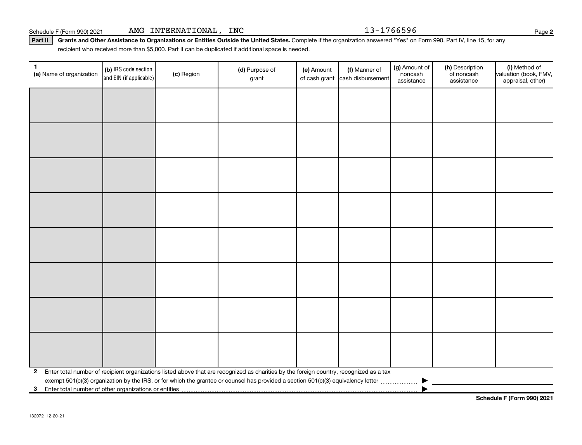# Schedule F (Form 990) 2021 AMG INTERNATIONAL, INC 13-1766596

Part II | Grants and Other Assistance to Organizations or Entities Outside the United States. Complete if the organization answered "Yes" on Form 990, Part IV, line 15, for any recipient who received more than \$5,000. Part II can be duplicated if additional space is needed.

| 1<br>(a) Name of organization                           | (b) IRS code section<br>and EIN (if applicable) | (c) Region | (d) Purpose of<br>grant                                                                                                                 | (e) Amount<br>of cash grant | (f) Manner of<br>cash disbursement | (g) Amount of<br>noncash<br>assistance | (h) Description<br>of noncash<br>assistance | (i) Method of<br>valuation (book, FMV,<br>appraisal, other) |
|---------------------------------------------------------|-------------------------------------------------|------------|-----------------------------------------------------------------------------------------------------------------------------------------|-----------------------------|------------------------------------|----------------------------------------|---------------------------------------------|-------------------------------------------------------------|
|                                                         |                                                 |            |                                                                                                                                         |                             |                                    |                                        |                                             |                                                             |
|                                                         |                                                 |            |                                                                                                                                         |                             |                                    |                                        |                                             |                                                             |
|                                                         |                                                 |            |                                                                                                                                         |                             |                                    |                                        |                                             |                                                             |
|                                                         |                                                 |            |                                                                                                                                         |                             |                                    |                                        |                                             |                                                             |
|                                                         |                                                 |            |                                                                                                                                         |                             |                                    |                                        |                                             |                                                             |
|                                                         |                                                 |            |                                                                                                                                         |                             |                                    |                                        |                                             |                                                             |
|                                                         |                                                 |            |                                                                                                                                         |                             |                                    |                                        |                                             |                                                             |
|                                                         |                                                 |            |                                                                                                                                         |                             |                                    |                                        |                                             |                                                             |
|                                                         |                                                 |            |                                                                                                                                         |                             |                                    |                                        |                                             |                                                             |
|                                                         |                                                 |            |                                                                                                                                         |                             |                                    |                                        |                                             |                                                             |
|                                                         |                                                 |            |                                                                                                                                         |                             |                                    |                                        |                                             |                                                             |
|                                                         |                                                 |            |                                                                                                                                         |                             |                                    |                                        |                                             |                                                             |
|                                                         |                                                 |            |                                                                                                                                         |                             |                                    |                                        |                                             |                                                             |
|                                                         |                                                 |            |                                                                                                                                         |                             |                                    |                                        |                                             |                                                             |
|                                                         |                                                 |            |                                                                                                                                         |                             |                                    |                                        |                                             |                                                             |
|                                                         |                                                 |            |                                                                                                                                         |                             |                                    |                                        |                                             |                                                             |
| $\mathbf{2}$                                            |                                                 |            | Enter total number of recipient organizations listed above that are recognized as charities by the foreign country, recognized as a tax |                             |                                    |                                        |                                             |                                                             |
| 3 Enter total number of other organizations or entities |                                                 |            |                                                                                                                                         |                             |                                    |                                        |                                             |                                                             |

**2**

**Schedule F (Form 990) 2021**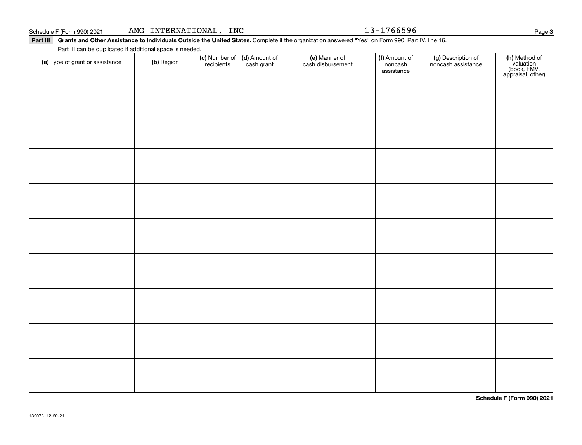# Schedule F (Form 990) 2021 AMG INTERNATIONAL, INC 13-1766596

Part III Grants and Other Assistance to Individuals Outside the United States. Complete if the organization answered "Yes" on Form 990, Part IV, line 16. Part III can be duplicated if additional space is needed.

| (a) Type of grant or assistance | (b) Region | (c) Number of (d) Amount of recipients cash grant | (e) Manner of<br>cash disbursement | (f) Amount of<br>noncash<br>assistance | (g) Description of<br>noncash assistance | (h) Method of<br>valuation<br>(book, FMV,<br>appraisal, other) |
|---------------------------------|------------|---------------------------------------------------|------------------------------------|----------------------------------------|------------------------------------------|----------------------------------------------------------------|
|                                 |            |                                                   |                                    |                                        |                                          |                                                                |
|                                 |            |                                                   |                                    |                                        |                                          |                                                                |
|                                 |            |                                                   |                                    |                                        |                                          |                                                                |
|                                 |            |                                                   |                                    |                                        |                                          |                                                                |
|                                 |            |                                                   |                                    |                                        |                                          |                                                                |
|                                 |            |                                                   |                                    |                                        |                                          |                                                                |
|                                 |            |                                                   |                                    |                                        |                                          |                                                                |
|                                 |            |                                                   |                                    |                                        |                                          |                                                                |
|                                 |            |                                                   |                                    |                                        |                                          |                                                                |
|                                 |            |                                                   |                                    |                                        |                                          |                                                                |

**Schedule F (Form 990) 2021**

**3**

| Schedule F (Form 990) 202 |
|---------------------------|
|---------------------------|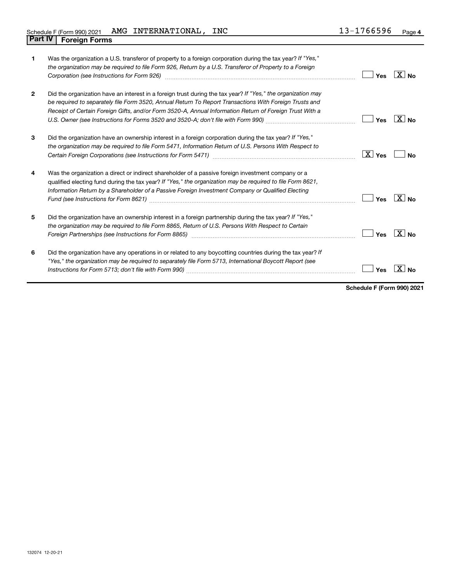| $\mathbf 1$    | Was the organization a U.S. transferor of property to a foreign corporation during the tax year? If "Yes,"<br>the organization may be required to file Form 926, Return by a U.S. Transferor of Property to a Foreign<br>Corporation (see Instructions for Form 926) manufactured controller controller than the control of the control of the control of the control of the control of the control of the control of the control of the control of the | Yes                    | ∣X∣no                |
|----------------|---------------------------------------------------------------------------------------------------------------------------------------------------------------------------------------------------------------------------------------------------------------------------------------------------------------------------------------------------------------------------------------------------------------------------------------------------------|------------------------|----------------------|
| $\overline{2}$ | Did the organization have an interest in a foreign trust during the tax year? If "Yes," the organization may<br>be required to separately file Form 3520, Annual Return To Report Transactions With Foreign Trusts and<br>Receipt of Certain Foreign Gifts, and/or Form 3520-A, Annual Information Return of Foreign Trust With a                                                                                                                       | Yes                    | ΧI<br><b>No</b>      |
| 3              | Did the organization have an ownership interest in a foreign corporation during the tax year? If "Yes,"<br>the organization may be required to file Form 5471, Information Return of U.S. Persons With Respect to                                                                                                                                                                                                                                       | $\boxed{\text{X}}$ Yes | Nο                   |
| 4              | Was the organization a direct or indirect shareholder of a passive foreign investment company or a<br>qualified electing fund during the tax year? If "Yes," the organization may be required to file Form 8621,<br>Information Return by a Shareholder of a Passive Foreign Investment Company or Qualified Electing                                                                                                                                   | Yes                    | No                   |
| 5              | Did the organization have an ownership interest in a foreign partnership during the tax year? If "Yes,"<br>the organization may be required to file Form 8865, Return of U.S. Persons With Respect to Certain                                                                                                                                                                                                                                           | Yes                    | ΧI<br>N <sub>0</sub> |
| 6              | Did the organization have any operations in or related to any boycotting countries during the tax year? If<br>"Yes," the organization may be required to separately file Form 5713, International Boycott Report (see                                                                                                                                                                                                                                   | Yes                    |                      |

**Schedule F (Form 990) 2021**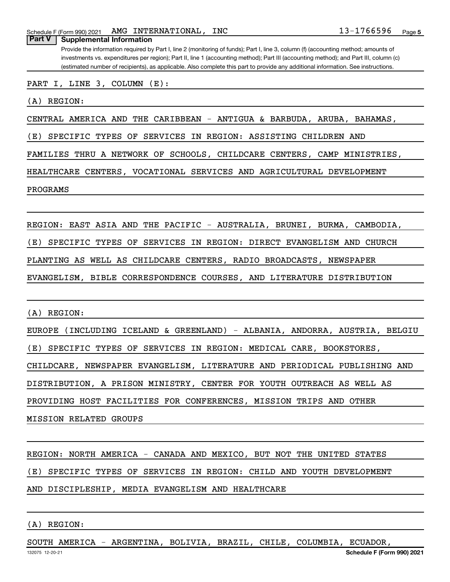Schedule F (Form 990) 2021 AMG INTERNATIONAL, INC  $13-1766596$  Page

Provide the information required by Part I, line 2 (monitoring of funds); Part I, line 3, column (f) (accounting method; amounts of **Part V Supplemental Information**

investments vs. expenditures per region); Part II, line 1 (accounting method); Part III (accounting method); and Part III, column (c) (estimated number of recipients), as applicable. Also complete this part to provide any additional information. See instructions.

PART I, LINE 3, COLUMN (E):

(A) REGION:

CENTRAL AMERICA AND THE CARIBBEAN - ANTIGUA & BARBUDA, ARUBA, BAHAMAS,

(E) SPECIFIC TYPES OF SERVICES IN REGION: ASSISTING CHILDREN AND

FAMILIES THRU A NETWORK OF SCHOOLS, CHILDCARE CENTERS, CAMP MINISTRIES,

HEALTHCARE CENTERS, VOCATIONAL SERVICES AND AGRICULTURAL DEVELOPMENT

PROGRAMS

REGION: EAST ASIA AND THE PACIFIC - AUSTRALIA, BRUNEI, BURMA, CAMBODIA,

(E) SPECIFIC TYPES OF SERVICES IN REGION: DIRECT EVANGELISM AND CHURCH

PLANTING AS WELL AS CHILDCARE CENTERS, RADIO BROADCASTS, NEWSPAPER

EVANGELISM, BIBLE CORRESPONDENCE COURSES, AND LITERATURE DISTRIBUTION

(A) REGION:

EUROPE (INCLUDING ICELAND & GREENLAND) - ALBANIA, ANDORRA, AUSTRIA, BELGIU (E) SPECIFIC TYPES OF SERVICES IN REGION: MEDICAL CARE, BOOKSTORES, CHILDCARE, NEWSPAPER EVANGELISM, LITERATURE AND PERIODICAL PUBLISHING AND DISTRIBUTION, A PRISON MINISTRY, CENTER FOR YOUTH OUTREACH AS WELL AS PROVIDING HOST FACILITIES FOR CONFERENCES, MISSION TRIPS AND OTHER MISSION RELATED GROUPS

REGION: NORTH AMERICA - CANADA AND MEXICO, BUT NOT THE UNITED STATES

(E) SPECIFIC TYPES OF SERVICES IN REGION: CHILD AND YOUTH DEVELOPMENT

AND DISCIPLESHIP, MEDIA EVANGELISM AND HEALTHCARE

### (A) REGION:

SOUTH AMERICA - ARGENTINA, BOLIVIA, BRAZIL, CHILE, COLUMBIA, ECUADOR,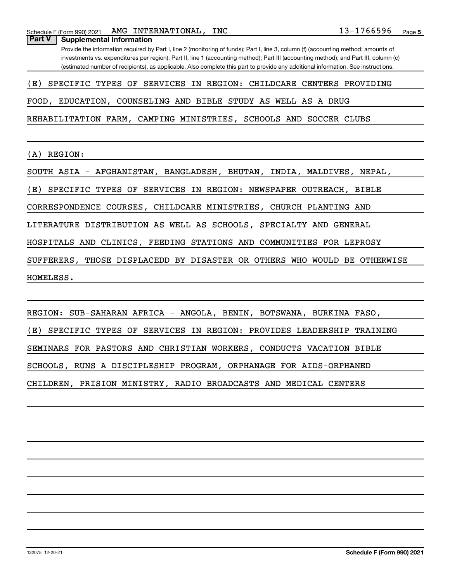Provide the information required by Part I, line 2 (monitoring of funds); Part I, line 3, column (f) (accounting method; amounts of investments vs. expenditures per region); Part II, line 1 (accounting method); Part III (accounting method); and Part III, column (c) (estimated number of recipients), as applicable. Also complete this part to provide any additional information. See instructions.

### (E) SPECIFIC TYPES OF SERVICES IN REGION: CHILDCARE CENTERS PROVIDING

FOOD, EDUCATION, COUNSELING AND BIBLE STUDY AS WELL AS A DRUG

REHABILITATION FARM, CAMPING MINISTRIES, SCHOOLS AND SOCCER CLUBS

(A) REGION:

SOUTH ASIA - AFGHANISTAN, BANGLADESH, BHUTAN, INDIA, MALDIVES, NEPAL,

(E) SPECIFIC TYPES OF SERVICES IN REGION: NEWSPAPER OUTREACH, BIBLE

CORRESPONDENCE COURSES, CHILDCARE MINISTRIES, CHURCH PLANTING AND

LITERATURE DISTRIBUTION AS WELL AS SCHOOLS, SPECIALTY AND GENERAL

HOSPITALS AND CLINICS, FEEDING STATIONS AND COMMUNITIES FOR LEPROSY

SUFFERERS, THOSE DISPLACEDD BY DISASTER OR OTHERS WHO WOULD BE OTHERWISE

HOMELESS.

REGION: SUB-SAHARAN AFRICA - ANGOLA, BENIN, BOTSWANA, BURKINA FASO, (E) SPECIFIC TYPES OF SERVICES IN REGION: PROVIDES LEADERSHIP TRAINING SEMINARS FOR PASTORS AND CHRISTIAN WORKERS, CONDUCTS VACATION BIBLE SCHOOLS, RUNS A DISCIPLESHIP PROGRAM, ORPHANAGE FOR AIDS-ORPHANED CHILDREN, PRISION MINISTRY, RADIO BROADCASTS AND MEDICAL CENTERS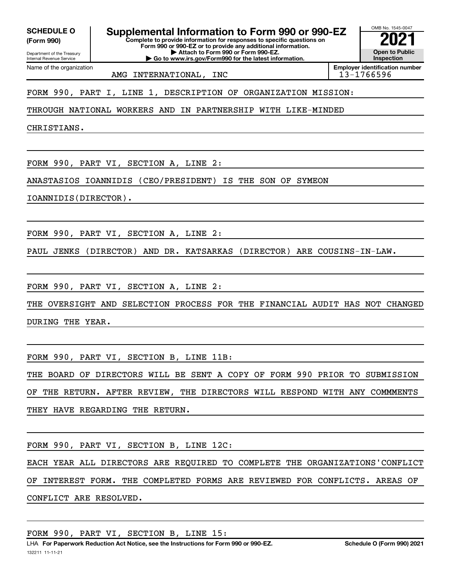**(Form 990)**

Department of the Treasury Internal Revenue Service

Name of the organization

**Complete to provide information for responses to specific questions on Form 990 or 990-EZ or to provide any additional information. SCHEDULE O Supplemental Information to Form 990 or 990-EZ**  $\frac{10008000}{202}$ 

**| Attach to Form 990 or Form 990-EZ.**

**| Go to www.irs.gov/Form990 for the latest information.**

**Open to Public Inspection Employer identification number**

OMB No. 1545-0047

AMG INTERNATIONAL, INC<br>
13-1766596

FORM 990, PART I, LINE 1, DESCRIPTION OF ORGANIZATION MISSION:

THROUGH NATIONAL WORKERS AND IN PARTNERSHIP WITH LIKE-MINDED

CHRISTIANS.

FORM 990, PART VI, SECTION A, LINE 2:

ANASTASIOS IOANNIDIS (CEO/PRESIDENT) IS THE SON OF SYMEON

IOANNIDIS(DIRECTOR).

FORM 990, PART VI, SECTION A, LINE 2:

PAUL JENKS (DIRECTOR) AND DR. KATSARKAS (DIRECTOR) ARE COUSINS-IN-LAW.

FORM 990, PART VI, SECTION A, LINE 2:

THE OVERSIGHT AND SELECTION PROCESS FOR THE FINANCIAL AUDIT HAS NOT CHANGED DURING THE YEAR.

FORM 990, PART VI, SECTION B, LINE 11B:

THE BOARD OF DIRECTORS WILL BE SENT A COPY OF FORM 990 PRIOR TO SUBMISSION OF THE RETURN. AFTER REVIEW, THE DIRECTORS WILL RESPOND WITH ANY COMMMENTS THEY HAVE REGARDING THE RETURN.

FORM 990, PART VI, SECTION B, LINE 12C:

EACH YEAR ALL DIRECTORS ARE REQUIRED TO COMPLETE THE ORGANIZATIONS'CONFLICT OF INTEREST FORM. THE COMPLETED FORMS ARE REVIEWED FOR CONFLICTS. AREAS OF CONFLICT ARE RESOLVED.

FORM 990, PART VI, SECTION B, LINE 15: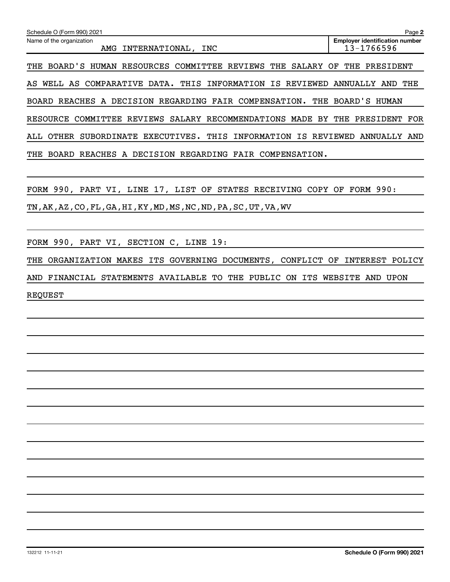| Schedule O (Form 990) 2021                                               | Page 2                                              |
|--------------------------------------------------------------------------|-----------------------------------------------------|
| Name of the organization<br>INTERNATIONAL,<br>INC<br>AMG                 | <b>Employer identification number</b><br>13-1766596 |
| BOARD'S HUMAN RESOURCES COMMITTEE REVIEWS<br>THE<br>SALARY<br>THE        | OF<br>THE<br>PRESIDENT                              |
| WELL AS COMPARATIVE DATA.<br>THIS<br>INFORMATION<br>IS REVIEWED<br>AS    | THE<br>ANNUALLY<br>AND.                             |
| REACHES A DECISION REGARDING FAIR COMPENSATION.<br>THE<br>BOARD          | BOARD'S<br>HUMAN                                    |
| SALARY RECOMMENDATIONS<br>REVIEWS<br>RESOURCE COMMITTEE<br>MADE<br>BY    | THE<br>PRESIDENT<br>FOR                             |
| EXECUTIVES.<br>THIS<br>INFORMATION<br>IS.<br>OTHER<br>SUBORDINATE<br>ALL | REVIEWED<br>ANNUALLY<br>AND                         |
| REACHES A DECISION REGARDING<br>FAIR COMPENSATION.<br>THE<br>BOARD       |                                                     |

FORM 990, PART VI, LINE 17, LIST OF STATES RECEIVING COPY OF FORM 990:

TN,AK,AZ,CO,FL,GA,HI,KY,MD,MS,NC,ND,PA,SC,UT,VA,WV

FORM 990, PART VI, SECTION C, LINE 19:

THE ORGANIZATION MAKES ITS GOVERNING DOCUMENTS, CONFLICT OF INTEREST POLICY AND FINANCIAL STATEMENTS AVAILABLE TO THE PUBLIC ON ITS WEBSITE AND UPON

REQUEST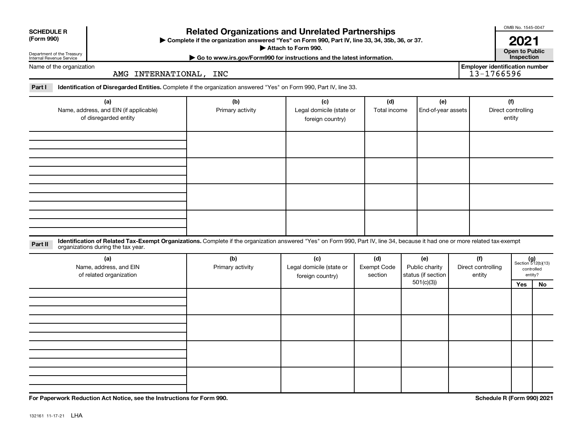| <b>Related Organizations and Unrelated Partnerships</b><br><b>SCHEDULE R</b><br>(Form 990)<br>> Complete if the organization answered "Yes" on Form 990, Part IV, line 33, 34, 35b, 36, or 37.<br>Attach to Form 990.<br>Department of the Treasury<br>Go to www.irs.gov/Form990 for instructions and the latest information.<br>Internal Revenue Service |                                                                                                                                                                                                                    |                         |                                                     |                               |                                             |  |                                                     |                                     |                                                      |  |  |
|-----------------------------------------------------------------------------------------------------------------------------------------------------------------------------------------------------------------------------------------------------------------------------------------------------------------------------------------------------------|--------------------------------------------------------------------------------------------------------------------------------------------------------------------------------------------------------------------|-------------------------|-----------------------------------------------------|-------------------------------|---------------------------------------------|--|-----------------------------------------------------|-------------------------------------|------------------------------------------------------|--|--|
| Name of the organization                                                                                                                                                                                                                                                                                                                                  | AMG INTERNATIONAL, INC                                                                                                                                                                                             |                         |                                                     |                               |                                             |  | <b>Employer identification number</b><br>13-1766596 |                                     |                                                      |  |  |
| Part I                                                                                                                                                                                                                                                                                                                                                    | Identification of Disregarded Entities. Complete if the organization answered "Yes" on Form 990, Part IV, line 33.                                                                                                 |                         |                                                     |                               |                                             |  |                                                     |                                     |                                                      |  |  |
|                                                                                                                                                                                                                                                                                                                                                           | (a)<br>Name, address, and EIN (if applicable)<br>of disregarded entity                                                                                                                                             | (b)<br>Primary activity | (c)<br>Legal domicile (state or<br>foreign country) | (d)<br>Total income           | (e)<br>End-of-year assets                   |  |                                                     | (f)<br>Direct controlling<br>entity |                                                      |  |  |
|                                                                                                                                                                                                                                                                                                                                                           |                                                                                                                                                                                                                    |                         |                                                     |                               |                                             |  |                                                     |                                     |                                                      |  |  |
|                                                                                                                                                                                                                                                                                                                                                           |                                                                                                                                                                                                                    |                         |                                                     |                               |                                             |  |                                                     |                                     |                                                      |  |  |
|                                                                                                                                                                                                                                                                                                                                                           |                                                                                                                                                                                                                    |                         |                                                     |                               |                                             |  |                                                     |                                     |                                                      |  |  |
|                                                                                                                                                                                                                                                                                                                                                           |                                                                                                                                                                                                                    |                         |                                                     |                               |                                             |  |                                                     |                                     |                                                      |  |  |
| Part II                                                                                                                                                                                                                                                                                                                                                   | Identification of Related Tax-Exempt Organizations. Complete if the organization answered "Yes" on Form 990, Part IV, line 34, because it had one or more related tax-exempt<br>organizations during the tax year. |                         |                                                     |                               |                                             |  |                                                     |                                     |                                                      |  |  |
|                                                                                                                                                                                                                                                                                                                                                           | (a)<br>Name, address, and EIN<br>of related organization                                                                                                                                                           | (b)<br>Primary activity | (c)<br>Legal domicile (state or<br>foreign country) | (d)<br>Exempt Code<br>section | (e)<br>Public charity<br>status (if section |  | (f)<br>Direct controlling<br>entity                 |                                     | $(g)$<br>Section 512(b)(13)<br>controlled<br>entity? |  |  |
|                                                                                                                                                                                                                                                                                                                                                           |                                                                                                                                                                                                                    |                         |                                                     |                               | 501(c)(3)                                   |  |                                                     | Yes                                 | No                                                   |  |  |
|                                                                                                                                                                                                                                                                                                                                                           |                                                                                                                                                                                                                    |                         |                                                     |                               |                                             |  |                                                     |                                     |                                                      |  |  |
|                                                                                                                                                                                                                                                                                                                                                           |                                                                                                                                                                                                                    |                         |                                                     |                               |                                             |  |                                                     |                                     |                                                      |  |  |

**For Paperwork Reduction Act Notice, see the Instructions for Form 990. Schedule R (Form 990) 2021**

OMB No. 1545-0047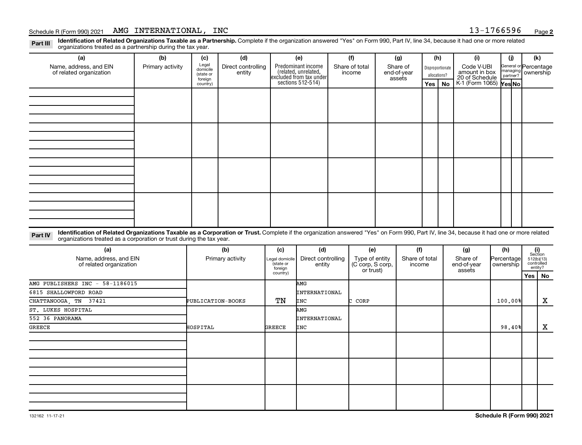### Schedule R (Form 990) 2021 Page AMG INTERNATIONAL, INC 13-1766596

Part III Identification of Related Organizations Taxable as a Partnership. Complete if the organization answered "Yes" on Form 990, Part IV, line 34, because it had one or more related<br>Read to the organizations tracted as organizations treated as a partnership during the tax year.

| (a)                                                                                                                                                                                                                                                                         | (b)              | (c)                                       | (d)                          |                             | (e)                                                                   | (f)                                                           | (g)                               |                          | (h)          |                  | (i)                                           | (i)                            | (k)                                         |
|-----------------------------------------------------------------------------------------------------------------------------------------------------------------------------------------------------------------------------------------------------------------------------|------------------|-------------------------------------------|------------------------------|-----------------------------|-----------------------------------------------------------------------|---------------------------------------------------------------|-----------------------------------|--------------------------|--------------|------------------|-----------------------------------------------|--------------------------------|---------------------------------------------|
| Name, address, and EIN<br>of related organization                                                                                                                                                                                                                           | Primary activity | Legal<br>domicile<br>(state or<br>foreign | Direct controlling<br>entity |                             | Predominant income<br>(related, unrelated,<br>excluded from tax under | Share of total<br>income                                      | Share of<br>end-of-year<br>assets |                          | allocations? | Disproportionate | Code V-UBI<br>amount in box<br>20 of Schedule |                                | General or Percentage<br>managing ownership |
|                                                                                                                                                                                                                                                                             |                  | country)                                  |                              |                             | sections 512-514)                                                     |                                                               |                                   |                          | Yes          | No               | K-1 (Form 1065) Yes No                        |                                |                                             |
|                                                                                                                                                                                                                                                                             |                  |                                           |                              |                             |                                                                       |                                                               |                                   |                          |              |                  |                                               |                                |                                             |
|                                                                                                                                                                                                                                                                             |                  |                                           |                              |                             |                                                                       |                                                               |                                   |                          |              |                  |                                               |                                |                                             |
|                                                                                                                                                                                                                                                                             |                  |                                           |                              |                             |                                                                       |                                                               |                                   |                          |              |                  |                                               |                                |                                             |
|                                                                                                                                                                                                                                                                             |                  |                                           |                              |                             |                                                                       |                                                               |                                   |                          |              |                  |                                               |                                |                                             |
|                                                                                                                                                                                                                                                                             |                  |                                           |                              |                             |                                                                       |                                                               |                                   |                          |              |                  |                                               |                                |                                             |
|                                                                                                                                                                                                                                                                             |                  |                                           |                              |                             |                                                                       |                                                               |                                   |                          |              |                  |                                               |                                |                                             |
|                                                                                                                                                                                                                                                                             |                  |                                           |                              |                             |                                                                       |                                                               |                                   |                          |              |                  |                                               |                                |                                             |
|                                                                                                                                                                                                                                                                             |                  |                                           |                              |                             |                                                                       |                                                               |                                   |                          |              |                  |                                               |                                |                                             |
|                                                                                                                                                                                                                                                                             |                  |                                           |                              |                             |                                                                       |                                                               |                                   |                          |              |                  |                                               |                                |                                             |
|                                                                                                                                                                                                                                                                             |                  |                                           |                              |                             |                                                                       |                                                               |                                   |                          |              |                  |                                               |                                |                                             |
|                                                                                                                                                                                                                                                                             |                  |                                           |                              |                             |                                                                       |                                                               |                                   |                          |              |                  |                                               |                                |                                             |
|                                                                                                                                                                                                                                                                             |                  |                                           |                              |                             |                                                                       |                                                               |                                   |                          |              |                  |                                               |                                |                                             |
|                                                                                                                                                                                                                                                                             |                  |                                           |                              |                             |                                                                       |                                                               |                                   |                          |              |                  |                                               |                                |                                             |
|                                                                                                                                                                                                                                                                             |                  |                                           |                              |                             |                                                                       |                                                               |                                   |                          |              |                  |                                               |                                |                                             |
|                                                                                                                                                                                                                                                                             |                  |                                           |                              |                             |                                                                       |                                                               |                                   |                          |              |                  |                                               |                                |                                             |
|                                                                                                                                                                                                                                                                             |                  |                                           |                              |                             |                                                                       |                                                               |                                   |                          |              |                  |                                               |                                |                                             |
| Identification of Related Organizations Taxable as a Corporation or Trust. Complete if the organization answered "Yes" on Form 990, Part IV, line 34, because it had one or more related<br>Part IV<br>organizations treated as a corporation or trust during the tax year. |                  |                                           |                              |                             |                                                                       |                                                               |                                   |                          |              |                  |                                               |                                |                                             |
| (a)                                                                                                                                                                                                                                                                         |                  |                                           | (b)                          | (c)                         | (d)                                                                   | (e)                                                           |                                   | (f)                      |              |                  | (g)                                           | (h)                            | (i)<br>Section                              |
| Name, address, and EIN<br>of related organization                                                                                                                                                                                                                           |                  |                                           | Primary activity             | Legal domicile<br>(state or | Direct controlling<br>antity                                          | Type of entity<br>$(C_{\text{corr}} \text{ S}_{\text{corr}})$ |                                   | Share of total<br>income |              |                  | Share of<br>$and$ $of$ $var$                  | Percentage<br><b>OWDArchin</b> | 512(b)(13)<br>controlled                    |

| $\mathbf{v}$                                      | $\mathbf{v}$      | $\mathbf{v}$                           | $\mathbf{v}$                 | $\sqrt{ }$                                     | $\mathbf{v}$             | $\sim$                            | $\mathbf{v}$            |                                                |
|---------------------------------------------------|-------------------|----------------------------------------|------------------------------|------------------------------------------------|--------------------------|-----------------------------------|-------------------------|------------------------------------------------|
| Name, address, and EIN<br>of related organization | Primary activity  | Legal domicile<br>(state or<br>foreign | Direct controlling<br>entity | Type of entity<br>C corp, S corp,<br>or trust) | Share of total<br>income | Share of<br>end-of-year<br>assets | Percentage<br>ownership | Section<br>512(b)(13)<br>controlled<br>entity? |
|                                                   |                   | country)                               |                              |                                                |                          |                                   |                         | Yes   No                                       |
| AMG PUBLISHERS INC - 58-1186015                   |                   |                                        | AMG                          |                                                |                          |                                   |                         |                                                |
| 6815 SHALLOWFORD ROAD                             |                   |                                        | INTERNATIONAL                |                                                |                          |                                   |                         |                                                |
| CHATTANOOGA, TN 37421                             | PUBLICATION-BOOKS | TN                                     | INC                          | C CORP                                         |                          |                                   | 100.00%                 | Χ                                              |
| ST. LUKES HOSPITAL                                |                   |                                        | AMG                          |                                                |                          |                                   |                         |                                                |
| 552 36 PANORAMA                                   |                   |                                        | INTERNATIONAL                |                                                |                          |                                   |                         |                                                |
| GREECE                                            | HOSPITAL          | <b>GREECE</b>                          | INC                          |                                                |                          |                                   | 98,40%                  | X                                              |
|                                                   |                   |                                        |                              |                                                |                          |                                   |                         |                                                |
|                                                   |                   |                                        |                              |                                                |                          |                                   |                         |                                                |
|                                                   |                   |                                        |                              |                                                |                          |                                   |                         |                                                |
|                                                   |                   |                                        |                              |                                                |                          |                                   |                         |                                                |
|                                                   |                   |                                        |                              |                                                |                          |                                   |                         |                                                |
|                                                   |                   |                                        |                              |                                                |                          |                                   |                         |                                                |
|                                                   |                   |                                        |                              |                                                |                          |                                   |                         |                                                |
|                                                   |                   |                                        |                              |                                                |                          |                                   |                         |                                                |
|                                                   |                   |                                        |                              |                                                |                          |                                   |                         |                                                |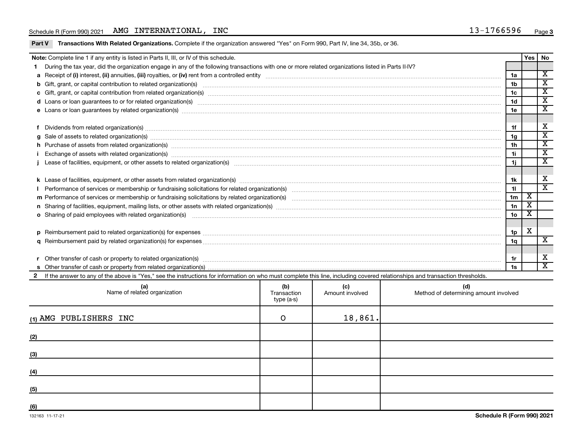### Schedule R (Form 990) 2021 Page AMG INTERNATIONAL, INC 13-1766596

Part V Transactions With Related Organizations. Complete if the organization answered "Yes" on Form 990, Part IV, line 34, 35b, or 36.

| Note: Complete line 1 if any entity is listed in Parts II, III, or IV of this schedule.                                                                                                                                        |                 | Yes   No |                             |
|--------------------------------------------------------------------------------------------------------------------------------------------------------------------------------------------------------------------------------|-----------------|----------|-----------------------------|
| During the tax year, did the organization engage in any of the following transactions with one or more related organizations listed in Parts II-IV?                                                                            |                 |          |                             |
|                                                                                                                                                                                                                                | 1a              |          | $\overline{\mathbf{x}}$     |
| b Gift, grant, or capital contribution to related organization(s) manufactured content content and contribution to related organization(s) manufactured content and contribution to related organization(s) manufactured conte | 1b              |          | $\mathbf x$                 |
|                                                                                                                                                                                                                                | 1c              |          | $\mathbf x$                 |
|                                                                                                                                                                                                                                | 1 <sub>d</sub>  |          | $\overline{\textnormal{x}}$ |
|                                                                                                                                                                                                                                | 1e              |          | $\overline{\text{x}}$       |
|                                                                                                                                                                                                                                |                 |          |                             |
| Dividends from related organization(s) www.andron.com/www.andron.com/www.andron.com/www.andron.com/www.andron.com/www.andron.com/www.andron.com/www.andron.com/www.andron.com/www.andron.com/www.andron.com/www.andron.com/www | 1f              |          | X                           |
| g Sale of assets to related organization(s) www.assettion.com/www.assettion.com/www.assettion.com/www.assettion.com/www.assettion.com/www.assettion.com/www.assettion.com/www.assettion.com/www.assettion.com/www.assettion.co | 1g              |          | х                           |
| h Purchase of assets from related organization(s) manufactured content and content and content and content and content and content and content and content and content and content and content and content and content and con | 1 <sub>h</sub>  |          | $\overline{\textbf{x}}$     |
| Exchange of assets with related organization(s) machinary material contracts and contract and contract and contract and contract and contract and contract and contract and contract and contract and contract and contract an | 11              |          | $\overline{\textnormal{x}}$ |
|                                                                                                                                                                                                                                | 1j              |          | $\overline{\textnormal{x}}$ |
|                                                                                                                                                                                                                                |                 |          |                             |
|                                                                                                                                                                                                                                | 1k              |          | х                           |
| Performance of services or membership or fundraising solicitations for related organization(s) manufaction.com manufactured content and the content of the content of the content of the content of the content of the content | 11              |          | $\overline{\mathbf{x}}$     |
|                                                                                                                                                                                                                                | 1m              | X        |                             |
|                                                                                                                                                                                                                                | 1n              | X        |                             |
| o Sharing of paid employees with related organization(s) material content to the content of the state of paid employees with related organization(s)                                                                           | 10 <sub>o</sub> |          |                             |
|                                                                                                                                                                                                                                |                 |          |                             |
|                                                                                                                                                                                                                                | 1p              | X        |                             |
|                                                                                                                                                                                                                                | 1 <sub>q</sub>  |          | $\overline{\mathbf{x}}$     |
|                                                                                                                                                                                                                                |                 |          |                             |
|                                                                                                                                                                                                                                | 1r              |          | х                           |
|                                                                                                                                                                                                                                |                 |          | X                           |
| If the answer to any of the above is "Yes," see the instructions for information on who must complete this line, including covered relationships and transaction thresholds.                                                   |                 |          |                             |

| (a)<br>Name of related organization | (b)<br>Transaction<br>type (a-s) | (c)<br>Amount involved | (d)<br>Method of determining amount involved |
|-------------------------------------|----------------------------------|------------------------|----------------------------------------------|
| (1) AMG PUBLISHERS INC              | $\circ$                          | 18,861.                |                                              |
| (2)                                 |                                  |                        |                                              |
| (3)                                 |                                  |                        |                                              |
| (4)                                 |                                  |                        |                                              |
| (5)                                 |                                  |                        |                                              |
| (6)                                 |                                  |                        |                                              |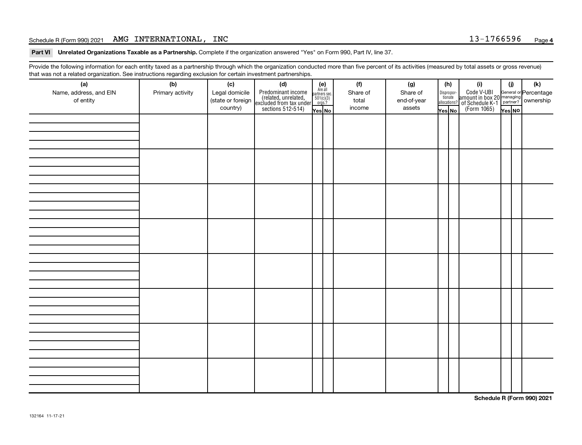### Schedule R (Form 990) 2021 Page AMG INTERNATIONAL, INC 13-1766596

Part VI Unrelated Organizations Taxable as a Partnership. Complete if the organization answered "Yes" on Form 990, Part IV, line 37.

Provide the following information for each entity taxed as a partnership through which the organization conducted more than five percent of its activities (measured by total assets or gross revenue) that was not a related organization. See instructions regarding exclusion for certain investment partnerships.

| <br>(a)                |                         | (c)                                 | . <b>. .</b><br><br>(d)                                                                    |                                                          | (f)      | (g)         | (h)                                   | (i)                                                                                                 | (i)    | $(\mathsf{k})$ |
|------------------------|-------------------------|-------------------------------------|--------------------------------------------------------------------------------------------|----------------------------------------------------------|----------|-------------|---------------------------------------|-----------------------------------------------------------------------------------------------------|--------|----------------|
| Name, address, and EIN | (b)<br>Primary activity |                                     |                                                                                            | (e)<br>Are all<br>partners sec.<br>$501(c)(3)$<br>orgs.? | Share of | Share of    |                                       |                                                                                                     |        |                |
| of entity              |                         | Legal domicile<br>(state or foreign |                                                                                            |                                                          | total    | end-of-year | $\fbox{Disproper} \label{eq:disprop}$ |                                                                                                     |        |                |
|                        |                         | country)                            | Predominant income<br>(related, unrelated,<br>excluded from tax under<br>sections 512-514) |                                                          | income   | assets      | allocations?                          | Code V-UBI<br>amount in box 20 managing<br>of Schedule K-1<br>(Form 1065)<br>$\sqrt{\text{res}}$ No |        |                |
|                        |                         |                                     |                                                                                            | Yes No                                                   |          |             | Yes No                                |                                                                                                     | Yes NO |                |
|                        |                         |                                     |                                                                                            |                                                          |          |             |                                       |                                                                                                     |        |                |
|                        |                         |                                     |                                                                                            |                                                          |          |             |                                       |                                                                                                     |        |                |
|                        |                         |                                     |                                                                                            |                                                          |          |             |                                       |                                                                                                     |        |                |
|                        |                         |                                     |                                                                                            |                                                          |          |             |                                       |                                                                                                     |        |                |
|                        |                         |                                     |                                                                                            |                                                          |          |             |                                       |                                                                                                     |        |                |
|                        |                         |                                     |                                                                                            |                                                          |          |             |                                       |                                                                                                     |        |                |
|                        |                         |                                     |                                                                                            |                                                          |          |             |                                       |                                                                                                     |        |                |
|                        |                         |                                     |                                                                                            |                                                          |          |             |                                       |                                                                                                     |        |                |
|                        |                         |                                     |                                                                                            |                                                          |          |             |                                       |                                                                                                     |        |                |
|                        |                         |                                     |                                                                                            |                                                          |          |             |                                       |                                                                                                     |        |                |
|                        |                         |                                     |                                                                                            |                                                          |          |             |                                       |                                                                                                     |        |                |
|                        |                         |                                     |                                                                                            |                                                          |          |             |                                       |                                                                                                     |        |                |
|                        |                         |                                     |                                                                                            |                                                          |          |             |                                       |                                                                                                     |        |                |
|                        |                         |                                     |                                                                                            |                                                          |          |             |                                       |                                                                                                     |        |                |
|                        |                         |                                     |                                                                                            |                                                          |          |             |                                       |                                                                                                     |        |                |
|                        |                         |                                     |                                                                                            |                                                          |          |             |                                       |                                                                                                     |        |                |
|                        |                         |                                     |                                                                                            |                                                          |          |             |                                       |                                                                                                     |        |                |
|                        |                         |                                     |                                                                                            |                                                          |          |             |                                       |                                                                                                     |        |                |
|                        |                         |                                     |                                                                                            |                                                          |          |             |                                       |                                                                                                     |        |                |
|                        |                         |                                     |                                                                                            |                                                          |          |             |                                       |                                                                                                     |        |                |
|                        |                         |                                     |                                                                                            |                                                          |          |             |                                       |                                                                                                     |        |                |
|                        |                         |                                     |                                                                                            |                                                          |          |             |                                       |                                                                                                     |        |                |
|                        |                         |                                     |                                                                                            |                                                          |          |             |                                       |                                                                                                     |        |                |
|                        |                         |                                     |                                                                                            |                                                          |          |             |                                       |                                                                                                     |        |                |
|                        |                         |                                     |                                                                                            |                                                          |          |             |                                       |                                                                                                     |        |                |
|                        |                         |                                     |                                                                                            |                                                          |          |             |                                       |                                                                                                     |        |                |
|                        |                         |                                     |                                                                                            |                                                          |          |             |                                       |                                                                                                     |        |                |
|                        |                         |                                     |                                                                                            |                                                          |          |             |                                       |                                                                                                     |        |                |
|                        |                         |                                     |                                                                                            |                                                          |          |             |                                       |                                                                                                     |        |                |
|                        |                         |                                     |                                                                                            |                                                          |          |             |                                       |                                                                                                     |        |                |
|                        |                         |                                     |                                                                                            |                                                          |          |             |                                       |                                                                                                     |        |                |
|                        |                         |                                     |                                                                                            |                                                          |          |             |                                       |                                                                                                     |        |                |
|                        |                         |                                     |                                                                                            |                                                          |          |             |                                       |                                                                                                     |        |                |
|                        |                         |                                     |                                                                                            |                                                          |          |             |                                       |                                                                                                     |        |                |
|                        |                         |                                     |                                                                                            |                                                          |          |             |                                       |                                                                                                     |        |                |

**Schedule R (Form 990) 2021**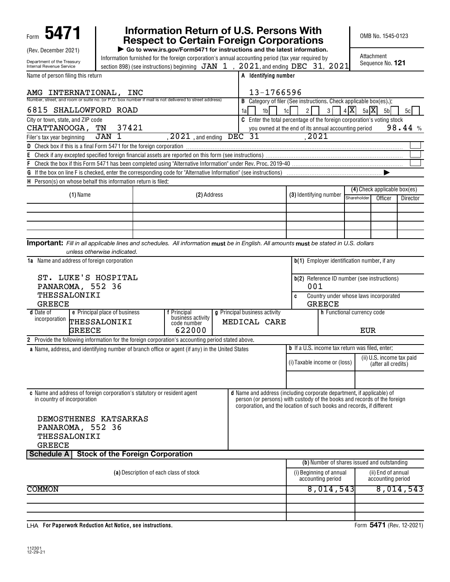| 5471<br>Form                                                                                                                                 |                                                                                                                |                                  | Information Return of U.S. Persons With<br><b>Respect to Certain Foreign Corporations</b>                                                         |                                                        |                                              |         | OMB No. 1545-0123                                |                          |
|----------------------------------------------------------------------------------------------------------------------------------------------|----------------------------------------------------------------------------------------------------------------|----------------------------------|---------------------------------------------------------------------------------------------------------------------------------------------------|--------------------------------------------------------|----------------------------------------------|---------|--------------------------------------------------|--------------------------|
| (Rev. December 2021)                                                                                                                         | Information furnished for the foreign corporation's annual accounting period (tax year required by             |                                  | Go to www.irs.gov/Form5471 for instructions and the latest information.                                                                           |                                                        |                                              |         | Attachment                                       |                          |
| Department of the Treasury<br>Internal Revenue Service                                                                                       | section 898) (see instructions) beginning $JAN$ 1, $2021$ , and ending DEC 31, $2021$                          |                                  |                                                                                                                                                   |                                                        |                                              |         | Sequence No. 121                                 |                          |
| Name of person filing this return                                                                                                            |                                                                                                                |                                  | A Identifying number                                                                                                                              |                                                        |                                              |         |                                                  |                          |
| AMG INTERNATIONAL,                                                                                                                           | INC                                                                                                            |                                  | 13-1766596                                                                                                                                        |                                                        |                                              |         |                                                  |                          |
| Number, street, and room or suite no. (or P.O. box number if mail is not delivered to street address)                                        |                                                                                                                |                                  | <b>B</b> Category of filer (See instructions. Check applicable box(es).):                                                                         |                                                        |                                              |         |                                                  |                          |
| 6815 SHALLOWFORD ROAD<br>City or town, state, and ZIP code                                                                                   |                                                                                                                |                                  | 1 <sub>b</sub><br>1al<br>C Enter the total percentage of the foreign corporation's voting stock                                                   | $\overline{2}$<br>1c                                   | 3 <sup>1</sup>                               | 4 X     | $5a \overline{X} $<br>5 <sub>b</sub>             | 5c                       |
| CHATTANOOGA,                                                                                                                                 | 37421<br>TN                                                                                                    |                                  | you owned at the end of its annual accounting period                                                                                              |                                                        |                                              |         |                                                  | 98.44%                   |
| Filer's tax year beginning                                                                                                                   | <b>JAN</b><br>1                                                                                                | $2021$ , and ending              | <b>DEC 31</b>                                                                                                                                     | 2021                                                   |                                              |         |                                                  |                          |
|                                                                                                                                              |                                                                                                                |                                  |                                                                                                                                                   |                                                        |                                              |         |                                                  |                          |
| Ε                                                                                                                                            |                                                                                                                |                                  |                                                                                                                                                   |                                                        |                                              |         |                                                  |                          |
| F                                                                                                                                            |                                                                                                                |                                  |                                                                                                                                                   |                                                        |                                              |         |                                                  |                          |
| G<br>H Person(s) on whose behalf this information return is filed:                                                                           | If the box on line F is checked, enter the corresponding code for "Alternative Information" (see instructions) |                                  |                                                                                                                                                   |                                                        |                                              |         |                                                  |                          |
|                                                                                                                                              |                                                                                                                |                                  |                                                                                                                                                   |                                                        |                                              |         | (4) Check applicable box(es)                     |                          |
| $(1)$ Name                                                                                                                                   |                                                                                                                | (2) Address                      |                                                                                                                                                   | (3) Identifying number                                 | Shareholder                                  | Officer | Director                                         |                          |
|                                                                                                                                              |                                                                                                                |                                  |                                                                                                                                                   |                                                        |                                              |         |                                                  |                          |
|                                                                                                                                              |                                                                                                                |                                  |                                                                                                                                                   |                                                        |                                              |         |                                                  |                          |
|                                                                                                                                              |                                                                                                                |                                  |                                                                                                                                                   |                                                        |                                              |         |                                                  |                          |
|                                                                                                                                              |                                                                                                                |                                  |                                                                                                                                                   |                                                        |                                              |         |                                                  |                          |
| <b>Important:</b> Fill in all applicable lines and schedules. All information must be in English. All amounts must be stated in U.S. dollars | unless otherwise indicated.                                                                                    |                                  |                                                                                                                                                   |                                                        |                                              |         |                                                  |                          |
| <b>1a</b> Name and address of foreign corporation                                                                                            |                                                                                                                |                                  |                                                                                                                                                   |                                                        |                                              |         | b(1) Employer identification number, if any      |                          |
|                                                                                                                                              |                                                                                                                |                                  |                                                                                                                                                   |                                                        |                                              |         |                                                  |                          |
| ST. LUKE'S HOSPITAL                                                                                                                          |                                                                                                                |                                  |                                                                                                                                                   |                                                        |                                              |         | b(2) Reference ID number (see instructions)      |                          |
| PANAROMA, 552 36                                                                                                                             |                                                                                                                |                                  |                                                                                                                                                   | 001                                                    |                                              |         |                                                  |                          |
| THESSALONIKI<br><b>GREECE</b>                                                                                                                |                                                                                                                |                                  |                                                                                                                                                   | C                                                      | <b>GREECE</b>                                |         | Country under whose laws incorporated            |                          |
| <b>d</b> Date of                                                                                                                             | e Principal place of business                                                                                  | f Principal                      | g Principal business activity                                                                                                                     |                                                        | h Functional currency code                   |         |                                                  |                          |
| incorporation THESSALONIKI                                                                                                                   |                                                                                                                | business activity<br>code number | MEDICAL CARE                                                                                                                                      |                                                        |                                              |         |                                                  |                          |
| <b>GREECE</b>                                                                                                                                |                                                                                                                | 622000                           |                                                                                                                                                   |                                                        |                                              |         | <b>EUR</b>                                       |                          |
| 2 Provide the following information for the foreign corporation's accounting period stated above.                                            |                                                                                                                |                                  |                                                                                                                                                   |                                                        |                                              |         |                                                  |                          |
|                                                                                                                                              | a Name, address, and identifying number of branch office or agent (if any) in the United States                |                                  |                                                                                                                                                   | <b>b</b> If a U.S. income tax return was filed, enter: |                                              |         |                                                  |                          |
|                                                                                                                                              |                                                                                                                |                                  |                                                                                                                                                   | (i) Taxable income or (loss)                           |                                              |         | (ii) U.S. income tax paid<br>(after all credits) |                          |
|                                                                                                                                              |                                                                                                                |                                  |                                                                                                                                                   |                                                        |                                              |         |                                                  |                          |
|                                                                                                                                              |                                                                                                                |                                  |                                                                                                                                                   |                                                        |                                              |         |                                                  |                          |
|                                                                                                                                              | c Name and address of foreign corporation's statutory or resident agent                                        |                                  | <b>d</b> Name and address (including corporate department, if applicable) of                                                                      |                                                        |                                              |         |                                                  |                          |
| in country of incorporation                                                                                                                  |                                                                                                                |                                  | person (or persons) with custody of the books and records of the foreign<br>corporation, and the location of such books and records, if different |                                                        |                                              |         |                                                  |                          |
|                                                                                                                                              |                                                                                                                |                                  |                                                                                                                                                   |                                                        |                                              |         |                                                  |                          |
| DEMOSTHENES KATSARKAS<br>PANAROMA, 552 36                                                                                                    |                                                                                                                |                                  |                                                                                                                                                   |                                                        |                                              |         |                                                  |                          |
| THESSALONIKI                                                                                                                                 |                                                                                                                |                                  |                                                                                                                                                   |                                                        |                                              |         |                                                  |                          |
| <b>GREECE</b>                                                                                                                                |                                                                                                                |                                  |                                                                                                                                                   |                                                        |                                              |         |                                                  |                          |
| <b>Schedule A</b>                                                                                                                            | <b>Stock of the Foreign Corporation</b>                                                                        |                                  |                                                                                                                                                   |                                                        |                                              |         |                                                  |                          |
|                                                                                                                                              |                                                                                                                |                                  |                                                                                                                                                   |                                                        |                                              |         | (b) Number of shares issued and outstanding      |                          |
|                                                                                                                                              | (a) Description of each class of stock                                                                         |                                  |                                                                                                                                                   |                                                        | (i) Beginning of annual<br>accounting period |         | (ii) End of annual<br>accounting period          |                          |
| <b>COMMON</b>                                                                                                                                |                                                                                                                |                                  |                                                                                                                                                   |                                                        | 8,014,543                                    |         |                                                  | 8,014,543                |
|                                                                                                                                              |                                                                                                                |                                  |                                                                                                                                                   |                                                        |                                              |         |                                                  |                          |
|                                                                                                                                              |                                                                                                                |                                  |                                                                                                                                                   |                                                        |                                              |         |                                                  |                          |
|                                                                                                                                              |                                                                                                                |                                  |                                                                                                                                                   |                                                        |                                              |         |                                                  |                          |
| LHA For Paperwork Reduction Act Notice, see instructions.                                                                                    |                                                                                                                |                                  |                                                                                                                                                   |                                                        |                                              |         |                                                  | Form 5471 (Rev. 12-2021) |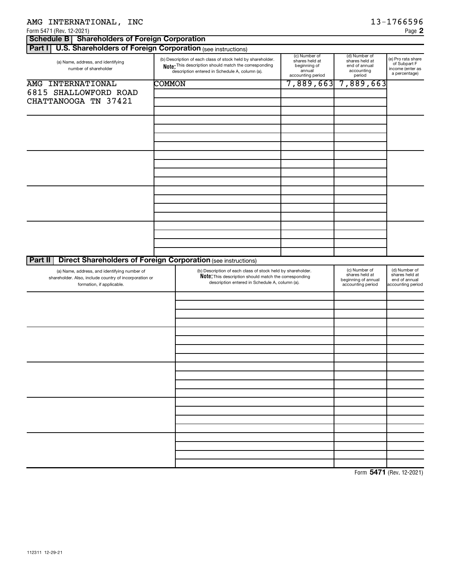| AMG INTERNATIONAL, INC                                                                                                              |        |                                                                                                                                                                               |                                                                                |                                                                             | 13-1766596                                                              |
|-------------------------------------------------------------------------------------------------------------------------------------|--------|-------------------------------------------------------------------------------------------------------------------------------------------------------------------------------|--------------------------------------------------------------------------------|-----------------------------------------------------------------------------|-------------------------------------------------------------------------|
| Form 5471 (Rev. 12-2021)                                                                                                            |        |                                                                                                                                                                               |                                                                                |                                                                             | Page 2                                                                  |
| Schedule B   Shareholders of Foreign Corporation                                                                                    |        |                                                                                                                                                                               |                                                                                |                                                                             |                                                                         |
| <b>U.S. Shareholders of Foreign Corporation (see instructions)</b><br>Part I                                                        |        |                                                                                                                                                                               |                                                                                |                                                                             |                                                                         |
| (a) Name, address, and identifying<br>number of shareholder                                                                         |        | (b) Description of each class of stock held by shareholder.<br>Note: This description should match the corresponding<br>description entered in Schedule A, column (a).        | (c) Number of<br>shares held at<br>beginning of<br>annual<br>accounting period | (d) Number of<br>shares held at<br>end of annual<br>accounting<br>period    | (e) Pro rata share<br>of Subpart F<br>income (enter as<br>a percentage) |
| AMG INTERNATIONAL                                                                                                                   | COMMON |                                                                                                                                                                               | 7,889,663                                                                      | 7,889,663                                                                   |                                                                         |
| 6815 SHALLOWFORD ROAD<br>CHATTANOOGA TN 37421                                                                                       |        |                                                                                                                                                                               |                                                                                |                                                                             |                                                                         |
|                                                                                                                                     |        |                                                                                                                                                                               |                                                                                |                                                                             |                                                                         |
|                                                                                                                                     |        |                                                                                                                                                                               |                                                                                |                                                                             |                                                                         |
|                                                                                                                                     |        |                                                                                                                                                                               |                                                                                |                                                                             |                                                                         |
|                                                                                                                                     |        |                                                                                                                                                                               |                                                                                |                                                                             |                                                                         |
|                                                                                                                                     |        |                                                                                                                                                                               |                                                                                |                                                                             |                                                                         |
|                                                                                                                                     |        |                                                                                                                                                                               |                                                                                |                                                                             |                                                                         |
|                                                                                                                                     |        |                                                                                                                                                                               |                                                                                |                                                                             |                                                                         |
| <b>Direct Shareholders of Foreign Corporation (see instructions)</b><br>Part II                                                     |        |                                                                                                                                                                               |                                                                                |                                                                             |                                                                         |
| (a) Name, address, and identifying number of<br>shareholder. Also, include country of incorporation or<br>formation, if applicable. |        | (b) Description of each class of stock held by shareholder.<br><b>Note:</b> This description should match the corresponding<br>description entered in Schedule A, column (a). |                                                                                | (c) Number of<br>shares held at<br>beginning of annual<br>accounting period | (d) Number of<br>shares held at<br>end of annual<br>accounting period   |
|                                                                                                                                     |        |                                                                                                                                                                               |                                                                                |                                                                             |                                                                         |
|                                                                                                                                     |        |                                                                                                                                                                               |                                                                                |                                                                             |                                                                         |
|                                                                                                                                     |        |                                                                                                                                                                               |                                                                                |                                                                             |                                                                         |
|                                                                                                                                     |        |                                                                                                                                                                               |                                                                                |                                                                             |                                                                         |
|                                                                                                                                     |        |                                                                                                                                                                               |                                                                                |                                                                             |                                                                         |
|                                                                                                                                     |        |                                                                                                                                                                               |                                                                                |                                                                             |                                                                         |
|                                                                                                                                     |        |                                                                                                                                                                               |                                                                                |                                                                             |                                                                         |
|                                                                                                                                     |        |                                                                                                                                                                               |                                                                                |                                                                             |                                                                         |
|                                                                                                                                     |        |                                                                                                                                                                               |                                                                                |                                                                             |                                                                         |
|                                                                                                                                     |        |                                                                                                                                                                               |                                                                                |                                                                             |                                                                         |

Form (Rev. 12-2021) **5471**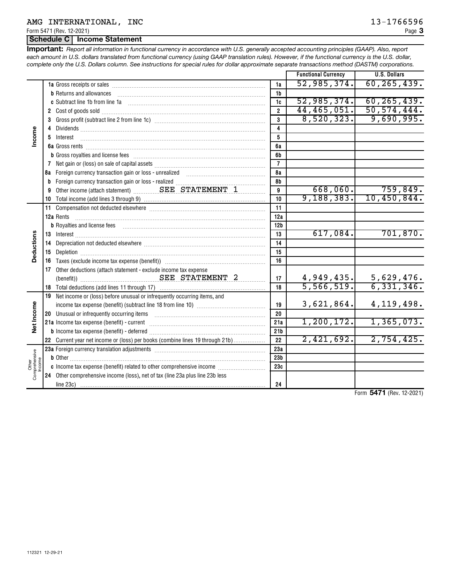Form 5471 (Rev. 12-2021)

# **Schedule C Income Statement**

*Report all information in functional currency in accordance with U.S. generally accepted accounting principles (GAAP). Also, report* **Important:** *each amount in U.S. dollars translated from functional currency (using GAAP translation rules). However, if the functional currency is the U.S. dollar, complete only the U.S. Dollars column. See instructions for special rules for dollar approximate separate transactions method (DASTM) corporations.*

|                               |                                                                                                                                                                                                                                                                                                                                                                                                                                          |                 | <b>Functional Currency</b> | <b>U.S. Dollars</b> |
|-------------------------------|------------------------------------------------------------------------------------------------------------------------------------------------------------------------------------------------------------------------------------------------------------------------------------------------------------------------------------------------------------------------------------------------------------------------------------------|-----------------|----------------------------|---------------------|
|                               |                                                                                                                                                                                                                                                                                                                                                                                                                                          | 1a              | 52,985,374.                | 60, 265, 439.       |
|                               | <b>b</b> Returns and allowances                                                                                                                                                                                                                                                                                                                                                                                                          | 1b              |                            |                     |
|                               |                                                                                                                                                                                                                                                                                                                                                                                                                                          | 1c              | 52,985,374.                | 60, 265, 439.       |
|                               |                                                                                                                                                                                                                                                                                                                                                                                                                                          | $\overline{2}$  | 44, 465, 051.              | 50, 574, 444.       |
|                               |                                                                                                                                                                                                                                                                                                                                                                                                                                          | 3               | 8,520,323.                 | 9,690,995.          |
|                               |                                                                                                                                                                                                                                                                                                                                                                                                                                          | 4               |                            |                     |
| ncome                         | 5 Interest<br>$\overline{a_1, \ldots, a_n, \ldots, a_n, \ldots, a_n, \ldots, a_n, \ldots, a_n, \ldots, a_n, \ldots, a_n, \ldots, a_n, \ldots, a_n, \ldots, a_n, \ldots, a_n, \ldots, a_n, \ldots, a_n, \ldots, a_n, \ldots, a_n, \ldots, a_n, \ldots, a_n, \ldots, a_n, \ldots, a_n, \ldots, a_n, \ldots, a_n, \ldots, a_n, \ldots, a_n, \ldots, a_n, \ldots, a_n, \ldots, a_n, \ldots, a_n, \ldots, a_n, \ldots, a_n, \ldots, a_n, \ld$ | 5               |                            |                     |
|                               |                                                                                                                                                                                                                                                                                                                                                                                                                                          | 6a              |                            |                     |
|                               |                                                                                                                                                                                                                                                                                                                                                                                                                                          | 6b              |                            |                     |
|                               |                                                                                                                                                                                                                                                                                                                                                                                                                                          | $\overline{7}$  |                            |                     |
|                               |                                                                                                                                                                                                                                                                                                                                                                                                                                          | 8а              |                            |                     |
|                               |                                                                                                                                                                                                                                                                                                                                                                                                                                          | 8b              |                            |                     |
|                               | 9 Other income (attach statement)  SEE STATEMENT 1                                                                                                                                                                                                                                                                                                                                                                                       | 9               | 668,060.                   | 759,849.            |
|                               |                                                                                                                                                                                                                                                                                                                                                                                                                                          | 10              | 9, 188, 383.               | 10,450,844.         |
|                               |                                                                                                                                                                                                                                                                                                                                                                                                                                          | 11              |                            |                     |
|                               | 12a Rents                                                                                                                                                                                                                                                                                                                                                                                                                                | 12a             |                            |                     |
|                               |                                                                                                                                                                                                                                                                                                                                                                                                                                          | 12 <sub>b</sub> |                            |                     |
|                               |                                                                                                                                                                                                                                                                                                                                                                                                                                          | 13              | 617,084.                   | 701,870.            |
|                               | 14 Depreciation not deducted elsewhere [[11,11]] Depreciation not deducted elsewhere [[11,11]] Depreciation not deducted elsewhere [[11,11]] Depreciation not deducted elsewhere [[11]] $\frac{1}{2}$                                                                                                                                                                                                                                    | 14              |                            |                     |
| Deductions                    |                                                                                                                                                                                                                                                                                                                                                                                                                                          | 15              |                            |                     |
|                               |                                                                                                                                                                                                                                                                                                                                                                                                                                          | 16              |                            |                     |
|                               | 17 Other deductions (attach statement - exclude income tax expense                                                                                                                                                                                                                                                                                                                                                                       |                 |                            |                     |
|                               |                                                                                                                                                                                                                                                                                                                                                                                                                                          | 17              | 4,949,435.                 | 5,629,476.          |
|                               |                                                                                                                                                                                                                                                                                                                                                                                                                                          | 18              | 5,566,519.                 | 6,331,346.          |
|                               | 19 Net income or (loss) before unusual or infrequently occurring items, and                                                                                                                                                                                                                                                                                                                                                              |                 |                            |                     |
| Net Income                    |                                                                                                                                                                                                                                                                                                                                                                                                                                          | 19              | 3,621,864.                 | 4, 119, 498.        |
|                               |                                                                                                                                                                                                                                                                                                                                                                                                                                          | 20              |                            |                     |
|                               |                                                                                                                                                                                                                                                                                                                                                                                                                                          | 21a             | 1,200,172.                 | 1,365,073.          |
|                               |                                                                                                                                                                                                                                                                                                                                                                                                                                          | 21 <sub>b</sub> |                            |                     |
|                               | 22 Current year net income or (loss) per books (combine lines 19 through 21b)                                                                                                                                                                                                                                                                                                                                                            | 22              | 2,421,692.                 | 2,754,425.          |
|                               |                                                                                                                                                                                                                                                                                                                                                                                                                                          | 23a             |                            |                     |
| Other<br>nprehensive<br>ncome |                                                                                                                                                                                                                                                                                                                                                                                                                                          | 23 <sub>b</sub> |                            |                     |
|                               | c Income tax expense (benefit) related to other comprehensive income                                                                                                                                                                                                                                                                                                                                                                     | 23c             |                            |                     |
| Com                           | 24 Other comprehensive income (loss), net of tax (line 23a plus line 23b less                                                                                                                                                                                                                                                                                                                                                            |                 |                            |                     |
|                               |                                                                                                                                                                                                                                                                                                                                                                                                                                          | 24              |                            |                     |

Form (Rev. 12-2021) **5471**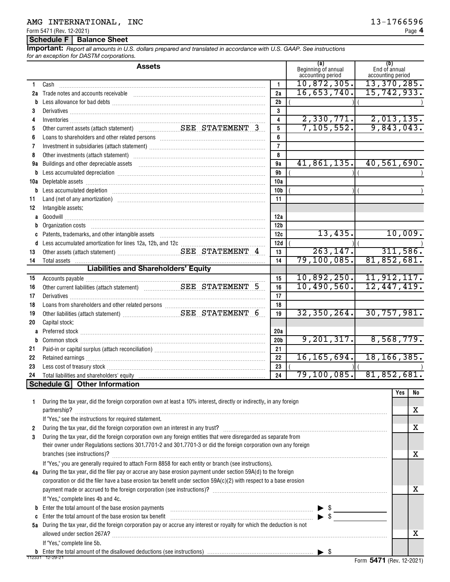# AMG INTERNATIONAL, INC<br>
13-1766596

Form 5471 (Rev. 12-2021)

## **Schedule F Balance Sheet**

*Report all amounts in U.S. dollars prepared and translated in accordance with U.S. GAAP. See instructions for an exception for DASTM corporations.* **Important:**

|              | <b>Assets</b>                                                                                                                                                                                                                        |                 | (a)<br>Beginning of annual<br>accounting period | (b)<br>End of annual<br>accounting period |     |          |
|--------------|--------------------------------------------------------------------------------------------------------------------------------------------------------------------------------------------------------------------------------------|-----------------|-------------------------------------------------|-------------------------------------------|-----|----------|
| 1.           | Cash                                                                                                                                                                                                                                 | 1               | 10,872,305.                                     | 13,370,285.                               |     |          |
| 2a           | Trade notes and accounts receivable                                                                                                                                                                                                  | 2a              | 16,653,740.                                     | 15,742,933.                               |     |          |
| b            |                                                                                                                                                                                                                                      | 2 <sub>b</sub>  |                                                 |                                           |     |          |
| 3            |                                                                                                                                                                                                                                      | 3               |                                                 |                                           |     |          |
| 4            |                                                                                                                                                                                                                                      | 4               | 2,330,771.                                      | 2,013,135.                                |     |          |
| 5            |                                                                                                                                                                                                                                      | 5               | 7, 105, 552.                                    | 9,843,043.                                |     |          |
| 6            |                                                                                                                                                                                                                                      | 6               |                                                 |                                           |     |          |
| 7            |                                                                                                                                                                                                                                      | $\overline{7}$  |                                                 |                                           |     |          |
| 8            |                                                                                                                                                                                                                                      | 8               |                                                 |                                           |     |          |
| 9a           | Buildings and other depreciable assets                                                                                                                                                                                               | 9a              | 41,861,135.                                     | 40,561,690.                               |     |          |
|              | b Less accumulated depreciation [111] Martin Martin Martin Martin Martin Martin Martin Martin Martin Martin Ma                                                                                                                       | 9 <b>b</b>      |                                                 |                                           |     |          |
| 10a          |                                                                                                                                                                                                                                      | 10a             |                                                 |                                           |     |          |
|              | b Less accumulated depletion [11] manufactured and the set of the set of the set of the set of the set of the set of the set of the set of the set of the set of the set of the set of the set of the set of the set of the se       | 10b             |                                                 |                                           |     |          |
| 11           | Land (net of any amortization) manufactured and control of the control of any amortization                                                                                                                                           | 11              |                                                 |                                           |     |          |
| 12           | Intangible assets:                                                                                                                                                                                                                   |                 |                                                 |                                           |     |          |
|              |                                                                                                                                                                                                                                      | 12a             |                                                 |                                           |     |          |
| b            | Organization costs [ www.communication costs ] www.communications.com                                                                                                                                                                | 12 <sub>b</sub> |                                                 |                                           |     |          |
| C            | Patents, trademarks, and other intangible assets [11] matter contains an intervention of the state of the state of the state of the state of the state of the state of the state of the state of the state of the state of the       | 12c             | 13,435.                                         |                                           |     | 10,009.  |
|              |                                                                                                                                                                                                                                      | 12d             |                                                 |                                           |     |          |
| 13           |                                                                                                                                                                                                                                      | 13              | 263, 147.                                       |                                           |     | 311,586. |
| 14           | Total assets <b>contract to the contract of the contract of the contract of the contract of the contract of the contract of the contract of the contract of the contract of the contract of the contract of the contract of the </b> | 14              | 79, 100, 085.                                   | 81,852,681.                               |     |          |
|              | <b>Liabilities and Shareholders' Equity</b>                                                                                                                                                                                          |                 |                                                 |                                           |     |          |
| 15           |                                                                                                                                                                                                                                      | 15              | 10,892,250.                                     | 11,912,117.                               |     |          |
| 16           |                                                                                                                                                                                                                                      | 16              | 10,490,560.                                     | 12,447,419.                               |     |          |
| 17           |                                                                                                                                                                                                                                      | 17              |                                                 |                                           |     |          |
| 18           |                                                                                                                                                                                                                                      | 18              |                                                 |                                           |     |          |
| 19           |                                                                                                                                                                                                                                      | 19              | 32, 350, 264.                                   | 30,757,981.                               |     |          |
| 20           | Capital stock:                                                                                                                                                                                                                       |                 |                                                 |                                           |     |          |
|              |                                                                                                                                                                                                                                      | 20a             |                                                 |                                           |     |          |
| b            |                                                                                                                                                                                                                                      | 20 <sub>b</sub> | 9, 201, 317.                                    | 8,568,779.                                |     |          |
| 21           |                                                                                                                                                                                                                                      | 21              | 16, 165, 694.                                   | 18, 166, 385.                             |     |          |
| 22           |                                                                                                                                                                                                                                      | 22              |                                                 |                                           |     |          |
| 23           |                                                                                                                                                                                                                                      | 23<br>24        | 79, 100, 085.                                   | 81,852,681.                               |     |          |
| 24           | Schedule G   Other Information                                                                                                                                                                                                       |                 |                                                 |                                           |     |          |
|              |                                                                                                                                                                                                                                      |                 |                                                 |                                           | Yes | NO       |
| 1            | During the tax year, did the foreign corporation own at least a 10% interest, directly or indirectly, in any foreign                                                                                                                 |                 |                                                 |                                           |     |          |
|              |                                                                                                                                                                                                                                      |                 |                                                 |                                           |     | х        |
|              | If "Yes," see the instructions for required statement.                                                                                                                                                                               |                 |                                                 |                                           |     |          |
| $\mathbf{2}$ |                                                                                                                                                                                                                                      |                 |                                                 |                                           |     | X        |
| 3            | During the tax year, did the foreign corporation own any foreign entities that were disregarded as separate from                                                                                                                     |                 |                                                 |                                           |     |          |
|              | their owner under Regulations sections 301.7701-2 and 301.7701-3 or did the foreign corporation own any foreign                                                                                                                      |                 |                                                 |                                           |     |          |
|              | branches (see instructions)?                                                                                                                                                                                                         |                 |                                                 |                                           |     | X        |
|              | If "Yes," you are generally required to attach Form 8858 for each entity or branch (see instructions).                                                                                                                               |                 |                                                 |                                           |     |          |
| 4a           | During the tax year, did the filer pay or accrue any base erosion payment under section 59A(d) to the foreign                                                                                                                        |                 |                                                 |                                           |     |          |
|              | corporation or did the filer have a base erosion tax benefit under section 59A(c)(2) with respect to a base erosion                                                                                                                  |                 |                                                 |                                           |     |          |
|              |                                                                                                                                                                                                                                      |                 |                                                 |                                           |     | х        |
|              | If "Yes," complete lines 4b and 4c.                                                                                                                                                                                                  |                 |                                                 |                                           |     |          |
| b            | Enter the total amount of the base erosion payments $\ldots \ldots \ldots \ldots \ldots \ldots \ldots \ldots \ldots \ldots \ldots \ldots \ldots \qquad \triangleright \$                                                             |                 |                                                 |                                           |     |          |
| C            | Enter the total amount of the base erosion tax benefit $\frac{1}{2}$                                                                                                                                                                 |                 |                                                 |                                           |     |          |
| 5a           | During the tax year, did the foreign corporation pay or accrue any interest or royalty for which the deduction is not                                                                                                                |                 |                                                 |                                           |     |          |
|              |                                                                                                                                                                                                                                      |                 |                                                 |                                           |     | х        |
|              | If "Yes," complete line 5b.                                                                                                                                                                                                          |                 |                                                 |                                           |     |          |
|              |                                                                                                                                                                                                                                      |                 |                                                 | $EAT4$ (Day                               |     |          |

Form (Rev. 12-2021) **5471**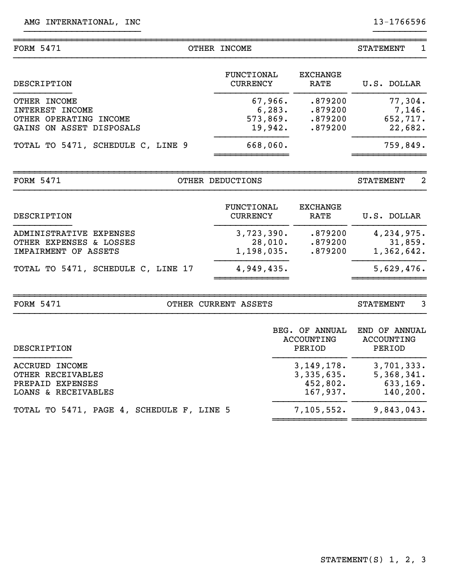| <b>FORM 5471</b>                                                                             | OTHER INCOME                                                                          |                                                    | 1<br><b>STATEMENT</b>                            |
|----------------------------------------------------------------------------------------------|---------------------------------------------------------------------------------------|----------------------------------------------------|--------------------------------------------------|
| DESCRIPTION                                                                                  | <b>FUNCTIONAL</b><br><b>CURRENCY</b>                                                  | <b>EXCHANGE</b><br>RATE                            | U.S. DOLLAR                                      |
| OTHER INCOME<br><b>INTEREST INCOME</b><br>OTHER OPERATING INCOME<br>GAINS ON ASSET DISPOSALS | 67,966.<br>.879200<br>6, 283.<br>.879200<br>573,869.<br>.879200<br>19,942.<br>.879200 |                                                    | 77,304.<br>7,146.<br>652,717.<br>22,682.         |
| TOTAL TO 5471, SCHEDULE C, LINE 9                                                            | 668,060.                                                                              |                                                    | 759,849.                                         |
| <b>FORM 5471</b>                                                                             | OTHER DEDUCTIONS                                                                      |                                                    | 2<br><b>STATEMENT</b>                            |
| DESCRIPTION                                                                                  | <b>FUNCTIONAL</b><br><b>CURRENCY</b>                                                  | <b>EXCHANGE</b><br><b>RATE</b>                     | U.S. DOLLAR                                      |
| ADMINISTRATIVE EXPENSES<br>OTHER EXPENSES & LOSSES<br>IMPAIRMENT OF ASSETS                   | 3,723,390.<br>28,010.<br>1,198,035.                                                   | .879200<br>.879200<br>.879200                      | 4,234,975.<br>31,859.<br>1,362,642.              |
| TOTAL TO 5471, SCHEDULE C, LINE 17                                                           | 4,949,435.                                                                            |                                                    | 5,629,476.                                       |
| <b>FORM 5471</b>                                                                             | OTHER CURRENT ASSETS                                                                  |                                                    | 3<br><b>STATEMENT</b>                            |
| DESCRIPTION                                                                                  |                                                                                       | BEG. OF ANNUAL<br><b>ACCOUNTING</b><br>PERIOD      | END OF ANNUAL<br><b>ACCOUNTING</b><br>PERIOD     |
| <b>ACCRUED INCOME</b><br>OTHER RECEIVABLES<br>PREPAID EXPENSES<br>LOANS & RECEIVABLES        |                                                                                       | 3, 149, 178.<br>3,335,635.<br>452,802.<br>167,937. | 3,701,333.<br>5,368,341.<br>633,169.<br>140,200. |
| TOTAL TO 5471, PAGE 4, SCHEDULE F, LINE 5                                                    |                                                                                       | 7,105,552.                                         | 9,843,043.                                       |

}}}}}}}}}}}}}}}}}}}}}} }}}}}}}}}}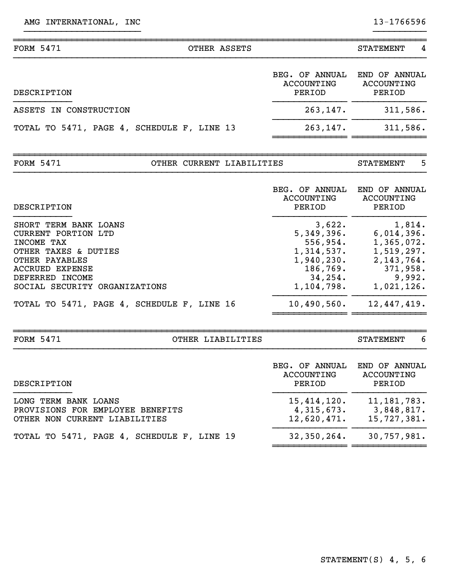| BEG. OF ANNUAL<br><b>ACCOUNTING</b><br>PERIOD<br>PERIOD<br>DESCRIPTION<br>263,147.<br>ASSETS IN CONSTRUCTION<br>263,147.<br>TOTAL TO 5471, PAGE 4, SCHEDULE F, LINE 13<br><b>FORM 5471</b><br>OTHER CURRENT LIABILITIES<br><b>STATEMENT</b><br>BEG. OF ANNUAL<br><b>ACCOUNTING</b><br>PERIOD<br>DESCRIPTION<br>PERIOD<br>3,622.<br>SHORT TERM BANK LOANS<br>5,349,396.<br>CURRENT PORTION LTD<br>556,954.<br>INCOME TAX<br>1,314,537.<br>OTHER TAXES & DUTIES<br>1,940,230.<br>OTHER PAYABLES<br>186,769.<br><b>ACCRUED EXPENSE</b><br>34, 254.<br>DEFERRED INCOME<br>1,104,798.<br>SOCIAL SECURITY ORGANIZATIONS<br>10,490,560.<br>TOTAL TO 5471, PAGE 4, SCHEDULE F, LINE 16 | <b>FORM 5471</b> | OTHER ASSETS | <b>STATEMENT</b>                                                                                     |
|--------------------------------------------------------------------------------------------------------------------------------------------------------------------------------------------------------------------------------------------------------------------------------------------------------------------------------------------------------------------------------------------------------------------------------------------------------------------------------------------------------------------------------------------------------------------------------------------------------------------------------------------------------------------------------|------------------|--------------|------------------------------------------------------------------------------------------------------|
|                                                                                                                                                                                                                                                                                                                                                                                                                                                                                                                                                                                                                                                                                |                  |              | END OF ANNUAL<br>ACCOUNTING                                                                          |
|                                                                                                                                                                                                                                                                                                                                                                                                                                                                                                                                                                                                                                                                                |                  |              | 311,586.                                                                                             |
|                                                                                                                                                                                                                                                                                                                                                                                                                                                                                                                                                                                                                                                                                |                  |              | 311,586.                                                                                             |
|                                                                                                                                                                                                                                                                                                                                                                                                                                                                                                                                                                                                                                                                                |                  |              |                                                                                                      |
|                                                                                                                                                                                                                                                                                                                                                                                                                                                                                                                                                                                                                                                                                |                  |              |                                                                                                      |
|                                                                                                                                                                                                                                                                                                                                                                                                                                                                                                                                                                                                                                                                                |                  |              | END OF ANNUAL<br><b>ACCOUNTING</b>                                                                   |
|                                                                                                                                                                                                                                                                                                                                                                                                                                                                                                                                                                                                                                                                                |                  |              | 1,814.<br>6,014,396.<br>1,365,072.<br>1,519,297.<br>2, 143, 764.<br>371,958.<br>9,992.<br>1,021,126. |
|                                                                                                                                                                                                                                                                                                                                                                                                                                                                                                                                                                                                                                                                                |                  |              | 12,447,419.                                                                                          |
| <b>FORM 5471</b><br>OTHER LIABILITIES<br><b>STATEMENT</b>                                                                                                                                                                                                                                                                                                                                                                                                                                                                                                                                                                                                                      |                  |              | 6                                                                                                    |

}}}}}}}}}}}}}}}}}}}}}} }}}}}}}}}}

| DESCRIPTION                                                                               | BEG. OF ANNUAL<br>ACCOUNTING<br>PERIOD   | END OF ANNUAL<br>ACCOUNTING<br>PERIOD      |
|-------------------------------------------------------------------------------------------|------------------------------------------|--------------------------------------------|
| LONG TERM BANK LOANS<br>PROVISIONS FOR EMPLOYEE BENEFITS<br>OTHER NON CURRENT LIABILITIES | 15,414,120.<br>4,315,673.<br>12,620,471. | 11, 181, 783.<br>3,848,817.<br>15,727,381. |
| TOTAL TO 5471, PAGE 4, SCHEDULE F, LINE 19                                                | 32,350,264.                              | 30,757,981.                                |

}}}}}}}}}}}}}}}}}}}}}}}}}}}}}}}}}}}}}}}}}}}}}}}}}}}}}}}}}}}}}}}}}}}}}}}}}}}}}}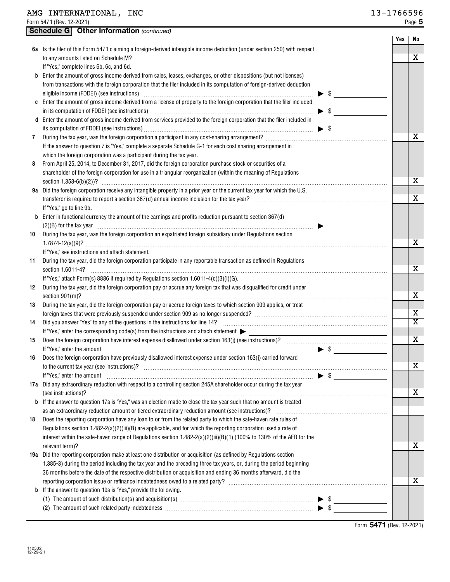|    |                          | <b>Schedule G</b> Other Information (continued)                                                                                                                                                                                                                                                                                              |                          |     |    |
|----|--------------------------|----------------------------------------------------------------------------------------------------------------------------------------------------------------------------------------------------------------------------------------------------------------------------------------------------------------------------------------------|--------------------------|-----|----|
|    |                          |                                                                                                                                                                                                                                                                                                                                              |                          | Yes | No |
|    |                          | 6a Is the filer of this Form 5471 claiming a foreign-derived intangible income deduction (under section 250) with respect                                                                                                                                                                                                                    |                          |     |    |
|    |                          |                                                                                                                                                                                                                                                                                                                                              |                          |     | X  |
|    |                          | If "Yes," complete lines 6b, 6c, and 6d.                                                                                                                                                                                                                                                                                                     |                          |     |    |
|    |                          | <b>b</b> Enter the amount of gross income derived from sales, leases, exchanges, or other dispositions (but not licenses)                                                                                                                                                                                                                    |                          |     |    |
|    |                          | from transactions with the foreign corporation that the filer included in its computation of foreign-derived deduction                                                                                                                                                                                                                       |                          |     |    |
|    |                          |                                                                                                                                                                                                                                                                                                                                              | $\blacktriangleright$ \$ |     |    |
|    |                          | c Enter the amount of gross income derived from a license of property to the foreign corporation that the filer included                                                                                                                                                                                                                     |                          |     |    |
|    |                          | in its computation of FDDEI (see instructions) manufactured and contain an according to the computation of FDDEI (see instructions)                                                                                                                                                                                                          | $\blacktriangleright$ \$ |     |    |
|    |                          | d Enter the amount of gross income derived from services provided to the foreign corporation that the filer included in                                                                                                                                                                                                                      |                          |     |    |
|    |                          |                                                                                                                                                                                                                                                                                                                                              | $\blacktriangleright$ \$ |     | х  |
| 7  |                          |                                                                                                                                                                                                                                                                                                                                              |                          |     |    |
|    |                          | If the answer to question 7 is "Yes," complete a separate Schedule G-1 for each cost sharing arrangement in<br>which the foreign corporation was a participant during the tax year.                                                                                                                                                          |                          |     |    |
| 8  |                          | From April 25, 2014, to December 31, 2017, did the foreign corporation purchase stock or securities of a                                                                                                                                                                                                                                     |                          |     |    |
|    |                          | shareholder of the foreign corporation for use in a triangular reorganization (within the meaning of Regulations                                                                                                                                                                                                                             |                          |     |    |
|    |                          |                                                                                                                                                                                                                                                                                                                                              |                          |     | x  |
|    |                          | 9a Did the foreign corporation receive any intangible property in a prior year or the current tax year for which the U.S.                                                                                                                                                                                                                    |                          |     |    |
|    |                          |                                                                                                                                                                                                                                                                                                                                              |                          |     | х  |
|    | If "Yes," go to line 9b. |                                                                                                                                                                                                                                                                                                                                              |                          |     |    |
|    |                          | <b>b</b> Enter in functional currency the amount of the earnings and profits reduction pursuant to section 367(d)                                                                                                                                                                                                                            |                          |     |    |
|    |                          | $(2)(B)$ for the tax year $\ldots$ $\ldots$ $\ldots$ $\ldots$ $\ldots$ $\ldots$ $\ldots$ $\ldots$ $\ldots$ $\ldots$ $\ldots$ $\ldots$ $\ldots$ $\ldots$ $\ldots$ $\ldots$                                                                                                                                                                    |                          |     |    |
| 10 |                          | During the tax year, was the foreign corporation an expatriated foreign subsidiary under Regulations section                                                                                                                                                                                                                                 |                          |     |    |
|    |                          |                                                                                                                                                                                                                                                                                                                                              |                          |     | х  |
|    |                          | If "Yes," see instructions and attach statement.                                                                                                                                                                                                                                                                                             |                          |     |    |
| 11 |                          | During the tax year, did the foreign corporation participate in any reportable transaction as defined in Regulations                                                                                                                                                                                                                         |                          |     |    |
|    | section 1.6011-4?        |                                                                                                                                                                                                                                                                                                                                              |                          |     | x  |
|    |                          | If "Yes," attach Form(s) 8886 if required by Regulations section 1.6011-4(c)(3)(i)(G).                                                                                                                                                                                                                                                       |                          |     |    |
| 12 |                          | During the tax year, did the foreign corporation pay or accrue any foreign tax that was disqualified for credit under                                                                                                                                                                                                                        |                          |     |    |
|    |                          |                                                                                                                                                                                                                                                                                                                                              |                          |     | х  |
| 13 |                          | During the tax year, did the foreign corporation pay or accrue foreign taxes to which section 909 applies, or treat                                                                                                                                                                                                                          |                          |     | Х  |
|    |                          |                                                                                                                                                                                                                                                                                                                                              |                          |     | X  |
| 14 |                          | Did you answer "Yes" to any of the questions in the instructions for line 14? [100] content to the manufacture was the questions in the instructions for line 14? [100] content to the substitute of the questions in the inst<br>If "Yes," enter the corresponding code(s) from the instructions and attach statement $\blacktriangleright$ |                          |     |    |
| 15 |                          |                                                                                                                                                                                                                                                                                                                                              |                          |     | х  |
|    |                          | If "Yes," enter the amount <i>matter is a community of the set of the set of the set of the set of the set of the set of the set of the set of the set of the set of the set of the set of the set of the set of the set of the</i>                                                                                                          |                          |     |    |
|    |                          | 16 Does the foreign corporation have previously disallowed interest expense under section 163(j) carried forward                                                                                                                                                                                                                             |                          |     |    |
|    |                          |                                                                                                                                                                                                                                                                                                                                              |                          |     | X  |
|    |                          | If "Yes," enter the amount $\qquad \qquad$ \$                                                                                                                                                                                                                                                                                                |                          |     |    |
|    |                          | 17a Did any extraordinary reduction with respect to a controlling section 245A shareholder occur during the tax year                                                                                                                                                                                                                         |                          |     |    |
|    |                          | (see instructions)? www.administeration.com/news/contract/ensurer/ensurer/ensurer/ensurer/ensurer/ensurer/ensurer/ensurer/ensurer/ensurer/ensurer/ensurer/ensurer/ensurer/ensurer/ensurer/ensurer/ensurer/ensurer/ensurer/ensu                                                                                                               |                          |     | х  |
|    |                          | <b>b</b> If the answer to question 17a is "Yes," was an election made to close the tax year such that no amount is treated                                                                                                                                                                                                                   |                          |     |    |
|    |                          | as an extraordinary reduction amount or tiered extraordinary reduction amount (see instructions)?                                                                                                                                                                                                                                            |                          |     |    |
| 18 |                          | Does the reporting corporation have any loan to or from the related party to which the safe-haven rate rules of                                                                                                                                                                                                                              |                          |     |    |
|    |                          | Regulations section $1.482-2(a)(2)(iii)(B)$ are applicable, and for which the reporting corporation used a rate of                                                                                                                                                                                                                           |                          |     |    |
|    |                          | interest within the safe-haven range of Regulations section 1.482-2(a)(2)(iii)(B)(1) (100% to 130% of the AFR for the                                                                                                                                                                                                                        |                          |     |    |
|    |                          |                                                                                                                                                                                                                                                                                                                                              |                          |     | х  |
|    |                          | 19a Did the reporting corporation make at least one distribution or acquisition (as defined by Regulations section                                                                                                                                                                                                                           |                          |     |    |
|    |                          | 1.385-3) during the period including the tax year and the preceding three tax years, or, during the period beginning                                                                                                                                                                                                                         |                          |     |    |
|    |                          | 36 months before the date of the respective distribution or acquisition and ending 36 months afterward, did the                                                                                                                                                                                                                              |                          |     | х  |
|    |                          | <b>b</b> If the answer to question 19a is "Yes," provide the following.                                                                                                                                                                                                                                                                      |                          |     |    |
|    |                          |                                                                                                                                                                                                                                                                                                                                              |                          |     |    |
|    |                          |                                                                                                                                                                                                                                                                                                                                              |                          |     |    |
|    |                          |                                                                                                                                                                                                                                                                                                                                              |                          |     |    |

Form (Rev. 12-2021) **5471**

a ka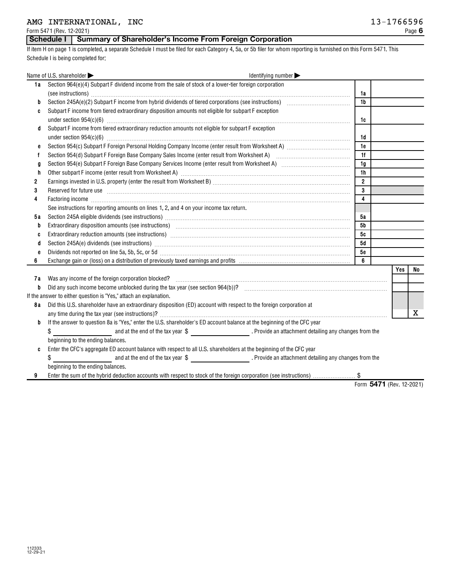Form 5471 (Rev. 12-2021)

# **Schedule I Summary of Shareholder's Income From Foreign Corporation**

If item H on page 1 is completed, a separate Schedule I must be filed for each Category 4, 5a, or 5b filer for whom reporting is furnished on this Form 5471. This Schedule I is being completed for:

|     | Name of U.S. shareholder<br>Identifying number                                                                                                                                                                                 |                         |                          |     |    |
|-----|--------------------------------------------------------------------------------------------------------------------------------------------------------------------------------------------------------------------------------|-------------------------|--------------------------|-----|----|
| 1a  | Section 964(e)(4) Subpart F dividend income from the sale of stock of a lower-tier foreign corporation                                                                                                                         |                         |                          |     |    |
|     |                                                                                                                                                                                                                                | 1a                      |                          |     |    |
| b   |                                                                                                                                                                                                                                | 1 <sub>b</sub>          |                          |     |    |
| C   | Subpart F income from tiered extraordinary disposition amounts not eligible for subpart F exception                                                                                                                            |                         |                          |     |    |
|     |                                                                                                                                                                                                                                | 1c                      |                          |     |    |
| d   | Subpart F income from tiered extraordinary reduction amounts not eligible for subpart F exception                                                                                                                              |                         |                          |     |    |
|     |                                                                                                                                                                                                                                | 1d                      |                          |     |    |
| e   |                                                                                                                                                                                                                                | 1e                      |                          |     |    |
| f   |                                                                                                                                                                                                                                | 1f                      |                          |     |    |
| g   |                                                                                                                                                                                                                                | 1g                      |                          |     |    |
| h   |                                                                                                                                                                                                                                | 1h                      |                          |     |    |
| 2   |                                                                                                                                                                                                                                | $\overline{2}$          |                          |     |    |
| 3   | Reserved for future use with an accommodal contract the contract of the contract of the contract of the contract of the contract of the contract of the contract of the contract of the contract of the contract of the contra | 3                       |                          |     |    |
| 4   |                                                                                                                                                                                                                                | $\overline{\mathbf{4}}$ |                          |     |    |
|     | See instructions for reporting amounts on lines 1, 2, and 4 on your income tax return.                                                                                                                                         |                         |                          |     |    |
| 5 a |                                                                                                                                                                                                                                | 5a                      |                          |     |    |
| b   | Extraordinary disposition amounts (see instructions) material content and accordinate disposition amounts (see                                                                                                                 | 5 <sub>b</sub>          |                          |     |    |
| C   | Extraordinary reduction amounts (see instructions) manufactured and contain an accordinary reduction amounts (                                                                                                                 | 5c                      |                          |     |    |
| d   |                                                                                                                                                                                                                                | 5d                      |                          |     |    |
| e   | Dividends not reported on line 5a, 5b, 5c, or 5d [11] manufactures manufactures in the state of the state of the state of the state of the state of the state of the state of the state of the state of the state of the state | 5e                      |                          |     |    |
| 6   |                                                                                                                                                                                                                                | 6                       |                          |     |    |
|     |                                                                                                                                                                                                                                |                         |                          | Yes | No |
| 7а  |                                                                                                                                                                                                                                |                         |                          |     |    |
| b   |                                                                                                                                                                                                                                |                         |                          |     |    |
|     | If the answer to either question is "Yes," attach an explanation.                                                                                                                                                              |                         |                          |     |    |
| 8 a | Did this U.S. shareholder have an extraordinary disposition (ED) account with respect to the foreign corporation at                                                                                                            |                         |                          |     |    |
|     |                                                                                                                                                                                                                                |                         |                          |     | x  |
| b   | If the answer to question 8a is "Yes," enter the U.S. shareholder's ED account balance at the beginning of the CFC year                                                                                                        |                         |                          |     |    |
|     | and at the end of the tax year \$ Provide an attachment detailing any changes from the<br>\$                                                                                                                                   |                         |                          |     |    |
|     | beginning to the ending balances.                                                                                                                                                                                              |                         |                          |     |    |
| C   | Enter the CFC's aggregate ED account balance with respect to all U.S. shareholders at the beginning of the CFC year                                                                                                            |                         |                          |     |    |
|     | \$                                                                                                                                                                                                                             |                         |                          |     |    |
|     | beginning to the ending balances.                                                                                                                                                                                              |                         |                          |     |    |
|     | Enter the sum of the hybrid deduction accounts with respect to stock of the foreign corporation (see instructions) \$                                                                                                          |                         |                          |     |    |
|     |                                                                                                                                                                                                                                |                         | Form 5471 (Rev. 12-2021) |     |    |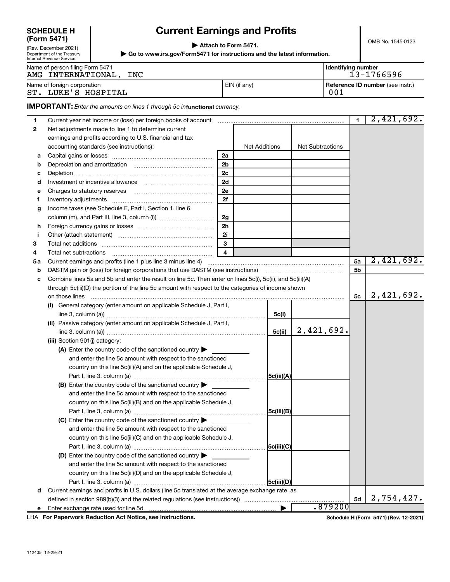# **SCHEDULE H (Form 5471)**

Department of the Treasury Internal Revenue Service

# **Current Earnings and Profits**

OMB No. 1545-0123

(Rev. December 2021) **| Attach to Form 5471.**

**| Go to www.irs.gov/Form5471 for instructions and the latest information.**

| <b>THE THAT LIGAGITAL OCLAIG</b>                             |              |                    |                                  |
|--------------------------------------------------------------|--------------|--------------------|----------------------------------|
| Name of person filing Form 5471<br>AMG INTERNATIONAL,<br>INC |              | Identifying number | 13-1766596                       |
| Name of foreign corporation<br>LUKE'S HOSPITAL<br>ST.        | EIN (if any) | 001                | Reference ID number (see instr.) |

**IMPORTANT:** Enter the amounts on lines 1 through 5c infunctional currency.

| 1  |                                                                                                               |                |                      |            |                  | $\mathbf{1}$   | 2,421,692. |
|----|---------------------------------------------------------------------------------------------------------------|----------------|----------------------|------------|------------------|----------------|------------|
| 2  | Net adjustments made to line 1 to determine current                                                           |                |                      |            |                  |                |            |
|    | earnings and profits according to U.S. financial and tax                                                      |                |                      |            |                  |                |            |
|    | accounting standards (see instructions):                                                                      |                | <b>Net Additions</b> |            | Net Subtractions |                |            |
| а  |                                                                                                               | 2a             |                      |            |                  |                |            |
| b  |                                                                                                               | 2 <sub>b</sub> |                      |            |                  |                |            |
| с  |                                                                                                               | 2c             |                      |            |                  |                |            |
| d  |                                                                                                               | 2d             |                      |            |                  |                |            |
| е  |                                                                                                               | 2e             |                      |            |                  |                |            |
| f  |                                                                                                               | 2f             |                      |            |                  |                |            |
| g  | Income taxes (see Schedule E, Part I, Section 1, line 6,                                                      |                |                      |            |                  |                |            |
|    |                                                                                                               | 2g             |                      |            |                  |                |            |
| h  |                                                                                                               | 2 <sub>h</sub> |                      |            |                  |                |            |
| j  |                                                                                                               | 2i             |                      |            |                  |                |            |
| З  |                                                                                                               | $\mathbf{3}$   |                      |            |                  |                |            |
| 4  | Total net subtractions                                                                                        | 4              |                      |            |                  |                |            |
| 5а |                                                                                                               |                |                      |            |                  | 5a             | 2,421,692. |
| b  | DASTM gain or (loss) for foreign corporations that use DASTM (see instructions) manufactured in the parameter |                |                      |            |                  | 5 <sub>b</sub> |            |
| c  | Combine lines 5a and 5b and enter the result on line 5c. Then enter on lines 5c(i), 5c(ii), and 5c(iii)(A)    |                |                      |            |                  |                |            |
|    | through 5c(iii)(D) the portion of the line 5c amount with respect to the categories of income shown           |                |                      |            |                  |                |            |
|    |                                                                                                               |                |                      |            |                  | 5с             | 2,421,692. |
|    | General category (enter amount on applicable Schedule J, Part I,<br>(i)                                       |                |                      |            |                  |                |            |
|    |                                                                                                               |                |                      | 5c(i)      |                  |                |            |
|    | (ii) Passive category (enter amount on applicable Schedule J, Part I,                                         |                |                      |            |                  |                |            |
|    |                                                                                                               |                |                      | 5c(ii)     | 2,421,692.       |                |            |
|    | (iii) Section 901(j) category:                                                                                |                |                      |            |                  |                |            |
|    | (A) Enter the country code of the sanctioned country $\blacktriangleright$                                    |                |                      |            |                  |                |            |
|    | and enter the line 5c amount with respect to the sanctioned                                                   |                |                      |            |                  |                |            |
|    | country on this line 5c(iii)(A) and on the applicable Schedule J,                                             |                |                      |            |                  |                |            |
|    |                                                                                                               |                |                      | 5c(iii)(A) |                  |                |            |
|    | (B) Enter the country code of the sanctioned country $\blacktriangleright$                                    |                |                      |            |                  |                |            |
|    | and enter the line 5c amount with respect to the sanctioned                                                   |                |                      |            |                  |                |            |
|    | country on this line 5c(iii)(B) and on the applicable Schedule J,                                             |                |                      |            |                  |                |            |
|    |                                                                                                               |                |                      | 5c(iii)(B) |                  |                |            |
|    | (C) Enter the country code of the sanctioned country $\blacktriangleright$                                    |                |                      |            |                  |                |            |
|    | and enter the line 5c amount with respect to the sanctioned                                                   |                |                      |            |                  |                |            |
|    | country on this line 5c(iii)(C) and on the applicable Schedule J,                                             |                |                      |            |                  |                |            |
|    |                                                                                                               |                |                      | 5c(iii)(C) |                  |                |            |
|    | (D) Enter the country code of the sanctioned country $\blacktriangleright$                                    |                |                      |            |                  |                |            |
|    | and enter the line 5c amount with respect to the sanctioned                                                   |                |                      |            |                  |                |            |
|    | country on this line 5c(iii)(D) and on the applicable Schedule J,                                             |                |                      |            |                  |                |            |
|    | Current earnings and profits in U.S. dollars (line 5c translated at the average exchange rate, as             |                |                      | 5c(iii)(D) |                  |                |            |
| d  |                                                                                                               |                |                      |            |                  | 5d             | 2,754,427. |
|    |                                                                                                               |                |                      |            | .879200          |                |            |
| е  |                                                                                                               |                |                      |            |                  |                |            |

**For Paperwork Reduction Act Notice, see instructions.** LHA

**Schedule H (Form 5471) (Rev. 12-2021)**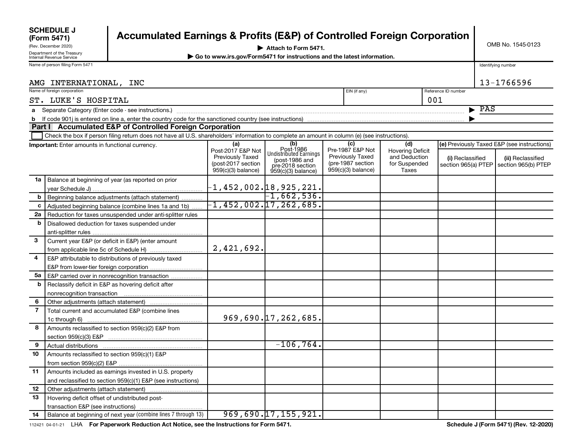|                | <b>SCHEDULE J</b><br>(Form 5471)                       | <b>Accumulated Earnings &amp; Profits (E&amp;P) of Controlled Foreign Corporation</b>                                                          |                          |                                    |  |                         |                                |                     |                           |                                             |  |
|----------------|--------------------------------------------------------|------------------------------------------------------------------------------------------------------------------------------------------------|--------------------------|------------------------------------|--|-------------------------|--------------------------------|---------------------|---------------------------|---------------------------------------------|--|
|                | (Rev. December 2020)                                   | OMB No. 1545-0123<br>Attach to Form 5471.                                                                                                      |                          |                                    |  |                         |                                |                     |                           |                                             |  |
|                | Department of the Treasury<br>Internal Revenue Service | ▶ Go to www.irs.gov/Form5471 for instructions and the latest information.                                                                      |                          |                                    |  |                         |                                |                     |                           |                                             |  |
|                | Name of person filing Form 5471                        |                                                                                                                                                |                          |                                    |  |                         |                                |                     |                           | Identifying number                          |  |
|                |                                                        |                                                                                                                                                |                          |                                    |  |                         |                                |                     |                           |                                             |  |
|                | AMG INTERNATIONAL, INC                                 |                                                                                                                                                |                          |                                    |  |                         |                                |                     |                           | 13-1766596                                  |  |
|                | Name of foreign corporation                            |                                                                                                                                                |                          |                                    |  | EIN (if any)            |                                | Reference ID number |                           |                                             |  |
|                | ST. LUKE'S HOSPITAL                                    |                                                                                                                                                |                          |                                    |  |                         |                                | 001                 |                           |                                             |  |
|                |                                                        |                                                                                                                                                |                          |                                    |  |                         |                                |                     | $\blacktriangleright$ PAS |                                             |  |
| b              |                                                        |                                                                                                                                                |                          |                                    |  |                         |                                |                     |                           |                                             |  |
|                |                                                        | Part I Accumulated E&P of Controlled Foreign Corporation                                                                                       |                          |                                    |  |                         |                                |                     |                           |                                             |  |
|                |                                                        | Check the box if person filing return does not have all U.S. shareholders' information to complete an amount in column (e) (see instructions). |                          |                                    |  |                         |                                |                     |                           |                                             |  |
|                | Important: Enter amounts in functional currency.       |                                                                                                                                                | (a)<br>Post-2017 E&P Not | $(b)$<br>Post-1986                 |  | (c)<br>Pre-1987 E&P Not | (d)<br><b>Hovering Deficit</b> |                     |                           | (e) Previously Taxed E&P (see instructions) |  |
|                |                                                        |                                                                                                                                                | <b>Previously Taxed</b>  | <b>Undistributed Earnings</b>      |  | <b>Previously Taxed</b> | and Deduction                  | (i) Reclassified    |                           | (ii) Reclassified                           |  |
|                |                                                        |                                                                                                                                                | (post-2017 section       | (post-1986 and<br>pre-2018 section |  | (pre-1987 section       | for Suspended                  | section 965(a) PTEP |                           | section 965(b) PTEP                         |  |
|                |                                                        |                                                                                                                                                | 959(c)(3) balance)       | $959(c)(3)$ balance)               |  | $959(c)(3)$ balance)    | Taxes                          |                     |                           |                                             |  |
| 1a             |                                                        | Balance at beginning of year (as reported on prior                                                                                             |                          |                                    |  |                         |                                |                     |                           |                                             |  |
|                |                                                        |                                                                                                                                                |                          | -1,452,002.18,925,221.             |  |                         |                                |                     |                           |                                             |  |
| b              |                                                        | Beginning balance adjustments (attach statement)                                                                                               |                          | $-1,662,536.$                      |  |                         |                                |                     |                           |                                             |  |
| $\mathbf{c}$   |                                                        | Adjusted beginning balance (combine lines 1a and 1b)                                                                                           |                          | $-1,452,002.17,262,685.$           |  |                         |                                |                     |                           |                                             |  |
| 2a             |                                                        | Reduction for taxes unsuspended under anti-splitter rules                                                                                      |                          |                                    |  |                         |                                |                     |                           |                                             |  |
| b              |                                                        | Disallowed deduction for taxes suspended under                                                                                                 |                          |                                    |  |                         |                                |                     |                           |                                             |  |
|                |                                                        |                                                                                                                                                |                          |                                    |  |                         |                                |                     |                           |                                             |  |
| $\mathbf{3}$   |                                                        | Current year E&P (or deficit in E&P) (enter amount                                                                                             |                          |                                    |  |                         |                                |                     |                           |                                             |  |
|                |                                                        | from applicable line 5c of Schedule H)                                                                                                         | 2,421,692.               |                                    |  |                         |                                |                     |                           |                                             |  |
| 4              |                                                        | E&P attributable to distributions of previously taxed                                                                                          |                          |                                    |  |                         |                                |                     |                           |                                             |  |
|                |                                                        |                                                                                                                                                |                          |                                    |  |                         |                                |                     |                           |                                             |  |
| 5а<br>b        |                                                        | E&P carried over in nonrecognition transaction                                                                                                 |                          |                                    |  |                         |                                |                     |                           |                                             |  |
|                |                                                        | Reclassify deficit in E&P as hovering deficit after                                                                                            |                          |                                    |  |                         |                                |                     |                           |                                             |  |
| 6              |                                                        |                                                                                                                                                |                          |                                    |  |                         |                                |                     |                           |                                             |  |
| $\overline{7}$ |                                                        | Total current and accumulated E&P (combine lines                                                                                               |                          |                                    |  |                         |                                |                     |                           |                                             |  |
|                |                                                        |                                                                                                                                                |                          | 969,690.17,262,685.                |  |                         |                                |                     |                           |                                             |  |
| 8              |                                                        | Amounts reclassified to section 959(c)(2) E&P from                                                                                             |                          |                                    |  |                         |                                |                     |                           |                                             |  |
|                |                                                        |                                                                                                                                                |                          |                                    |  |                         |                                |                     |                           |                                             |  |
| 9              |                                                        |                                                                                                                                                |                          | $-106, 764.$                       |  |                         |                                |                     |                           |                                             |  |
| 10             | Amounts reclassified to section 959(c)(1) E&P          |                                                                                                                                                |                          |                                    |  |                         |                                |                     |                           |                                             |  |
|                |                                                        |                                                                                                                                                |                          |                                    |  |                         |                                |                     |                           |                                             |  |
| 11             |                                                        | Amounts included as earnings invested in U.S. property                                                                                         |                          |                                    |  |                         |                                |                     |                           |                                             |  |
|                |                                                        | and reclassified to section 959(c)(1) E&P (see instructions)                                                                                   |                          |                                    |  |                         |                                |                     |                           |                                             |  |
| 12             |                                                        | Other adjustments (attach statement)                                                                                                           |                          |                                    |  |                         |                                |                     |                           |                                             |  |
| 13             | Hovering deficit offset of undistributed post-         |                                                                                                                                                |                          |                                    |  |                         |                                |                     |                           |                                             |  |
|                | transaction E&P (see instructions)                     |                                                                                                                                                |                          |                                    |  |                         |                                |                     |                           |                                             |  |
| 14             |                                                        | Balance at beginning of next year (combine lines 7 through 13)                                                                                 |                          | 969,690.17,155,921.                |  |                         |                                |                     |                           |                                             |  |

112421 04-01-21 LHA For Paperwork Reduction Act Notice, see the Instructions for Form 5471.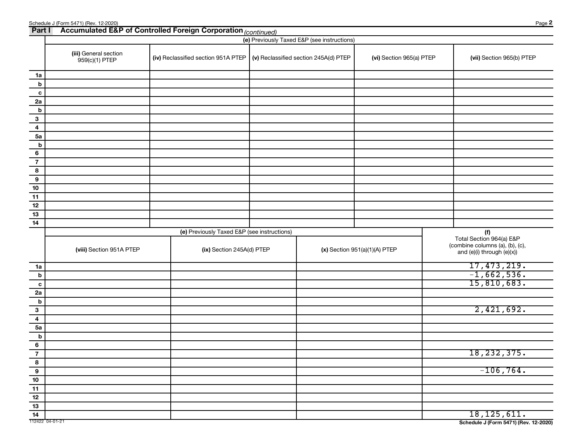|                               | Schedule J (Form 5471) (Rev. 12-2020)<br><b>Part I</b> Accumulated E&P of Controlled Foreign Corporation (continued) |                                             |                                             |                                 | Page 2                                                                                        |
|-------------------------------|----------------------------------------------------------------------------------------------------------------------|---------------------------------------------|---------------------------------------------|---------------------------------|-----------------------------------------------------------------------------------------------|
|                               |                                                                                                                      |                                             | (e) Previously Taxed E&P (see instructions) |                                 |                                                                                               |
|                               | (iii) General section<br>959(c)(1) PTEP                                                                              | (iv) Reclassified section 951A PTEP         | (v) Reclassified section 245A(d) PTEP       | (vi) Section 965(a) PTEP        | (vii) Section 965(b) PTEP                                                                     |
| 1a                            |                                                                                                                      |                                             |                                             |                                 |                                                                                               |
| b                             |                                                                                                                      |                                             |                                             |                                 |                                                                                               |
| c                             |                                                                                                                      |                                             |                                             |                                 |                                                                                               |
| 2a                            |                                                                                                                      |                                             |                                             |                                 |                                                                                               |
| b                             |                                                                                                                      |                                             |                                             |                                 |                                                                                               |
| $\mathbf{3}$                  |                                                                                                                      |                                             |                                             |                                 |                                                                                               |
| $\overline{\mathbf{4}}$<br>5a |                                                                                                                      |                                             |                                             |                                 |                                                                                               |
| b                             |                                                                                                                      |                                             |                                             |                                 |                                                                                               |
| 6                             |                                                                                                                      |                                             |                                             |                                 |                                                                                               |
| $\overline{7}$                |                                                                                                                      |                                             |                                             |                                 |                                                                                               |
| 8                             |                                                                                                                      |                                             |                                             |                                 |                                                                                               |
| 9                             |                                                                                                                      |                                             |                                             |                                 |                                                                                               |
| 10                            |                                                                                                                      |                                             |                                             |                                 |                                                                                               |
| 11                            |                                                                                                                      |                                             |                                             |                                 |                                                                                               |
| 12<br>13                      |                                                                                                                      |                                             |                                             |                                 |                                                                                               |
| 14                            |                                                                                                                      |                                             |                                             |                                 |                                                                                               |
|                               |                                                                                                                      | (e) Previously Taxed E&P (see instructions) |                                             |                                 | (f)                                                                                           |
|                               | (viii) Section 951A PTEP                                                                                             | (ix) Section 245A(d) PTEP                   |                                             | $(x)$ Section 951(a)(1)(A) PTEP | Total Section 964(a) E&P<br>(combine columns (a), (b), (c),<br>and $(e)(i)$ through $(e)(x))$ |
| 1a                            |                                                                                                                      |                                             |                                             |                                 | 17, 473, 219.                                                                                 |
| b                             |                                                                                                                      |                                             |                                             |                                 | $-1,662,536.$                                                                                 |
| c                             |                                                                                                                      |                                             |                                             |                                 | 15,810,683.                                                                                   |
| 2a                            |                                                                                                                      |                                             |                                             |                                 |                                                                                               |
| b                             |                                                                                                                      |                                             |                                             |                                 |                                                                                               |
| 3                             |                                                                                                                      |                                             |                                             |                                 | 2,421,692.                                                                                    |
| 4<br>5a                       |                                                                                                                      |                                             |                                             |                                 |                                                                                               |
| b                             |                                                                                                                      |                                             |                                             |                                 |                                                                                               |
| $6\phantom{a}$                |                                                                                                                      |                                             |                                             |                                 |                                                                                               |
| $\overline{7}$                |                                                                                                                      |                                             |                                             |                                 | 18, 232, 375.                                                                                 |
| 8                             |                                                                                                                      |                                             |                                             |                                 |                                                                                               |
| $\overline{9}$                |                                                                                                                      |                                             |                                             |                                 | $-106, 764.$                                                                                  |
| $10$                          |                                                                                                                      |                                             |                                             |                                 |                                                                                               |
| $\frac{11}{1}$                |                                                                                                                      |                                             |                                             |                                 |                                                                                               |
| $12$<br>$13$                  |                                                                                                                      |                                             |                                             |                                 |                                                                                               |
| $\overline{14}$               |                                                                                                                      |                                             |                                             |                                 | 18, 125, 611.                                                                                 |
| 112422 04-01-21               |                                                                                                                      |                                             |                                             |                                 | Schedule J (Form 5471) (Rev. 12-2020)                                                         |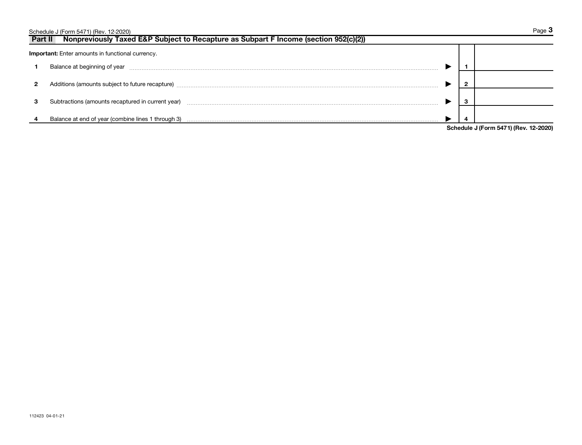|         | Schedule J (Form 5471) (Rev. 12-2020)                                                |  | Page 3                                       |
|---------|--------------------------------------------------------------------------------------|--|----------------------------------------------|
| Part II | Nonpreviously Taxed E&P Subject to Recapture as Subpart F Income (section 952(c)(2)) |  |                                              |
|         | <b>Important:</b> Enter amounts in functional currency.                              |  |                                              |
|         | Balance at beginning of year                                                         |  |                                              |
| 2       | Additions (amounts subject to future recapture)                                      |  |                                              |
| з       | Subtractions (amounts recaptured in current year)                                    |  |                                              |
|         | Balance at end of year (combine lines 1 through 3)                                   |  |                                              |
|         |                                                                                      |  | Cahadule <i>LIFerm E474)</i> (Dev. 10, 0000) |

**Schedule J (Form 5471) (Rev. 12-2020)**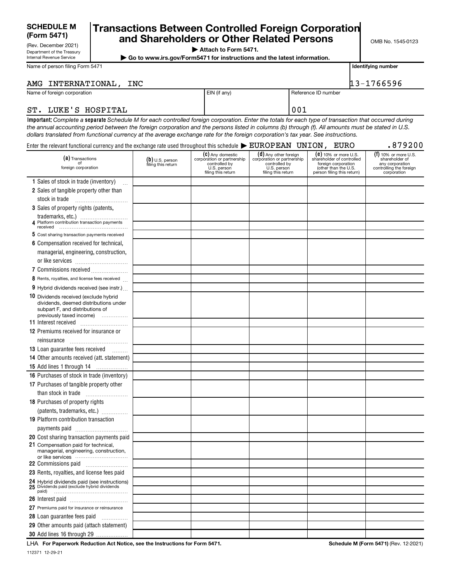# **SCHEDULE M**

Department of the Treasury Internal Revenue Service

# (Form 5471) **and Shareholders or Other Related Persons** MB No. 1545-0123 **(Form 5471) Transactions Between Controlled Foreign Corporation**

**| Attach to Form 5471.**

**| Go to www.irs.gov/Form5471 for instructions and the latest information.**

**Identifying number**

# AMG INTERNATIONAL, INC 13-1766596

Name of foreign corporation **EIN** (if any) Reference ID number

Name of person filing Form 5471

## ST. LUKE'S HOSPITAL **DESAULT AND ST.** (001)

Important: Complete a separate Schedule M for each controlled foreign corporation. Enter the totals for each type of transaction that occurred during *the annual accounting period between the foreign corporation and the persons listed in columns (b) through (f). All amounts must be stated in U.S. dollars translated from functional currency at the average exchange rate for the foreign corporation's tax year. See instructions.*

| Enter the relevant functional currency and the exchange rate used throughout this schedule $\blacktriangleright$ $\texttt{EUROPEAN}$ $\;\;\texttt{UNION}$ , $\;\;\texttt{EURO}$ |                                         |                                                                                                      |                                                                                                           |                                                                                                                                | .879200                                                                                               |
|---------------------------------------------------------------------------------------------------------------------------------------------------------------------------------|-----------------------------------------|------------------------------------------------------------------------------------------------------|-----------------------------------------------------------------------------------------------------------|--------------------------------------------------------------------------------------------------------------------------------|-------------------------------------------------------------------------------------------------------|
| (a) Transactions<br>of<br>foreign corporation                                                                                                                                   | $(b)$ U.S. person<br>filing this return | (C) Any domestic<br>corporation or partnership<br>controlled by<br>U.S. person<br>filing this return | (d) Any other foreign<br>corporation or partnership<br>controlled by<br>U.S. person<br>filing this return | (e) 10% or more U.S.<br>shareholder of controlled<br>foreign corporation<br>(other than the U.S.<br>person filing this return) | $(1)$ 10% or more U.S.<br>shareholder of<br>any corporation<br>controlling the foreign<br>corporation |
| 1 Sales of stock in trade (inventory)                                                                                                                                           |                                         |                                                                                                      |                                                                                                           |                                                                                                                                |                                                                                                       |
| 2 Sales of tangible property other than                                                                                                                                         |                                         |                                                                                                      |                                                                                                           |                                                                                                                                |                                                                                                       |
| stock in trade                                                                                                                                                                  |                                         |                                                                                                      |                                                                                                           |                                                                                                                                |                                                                                                       |
| 3 Sales of property rights (patents,                                                                                                                                            |                                         |                                                                                                      |                                                                                                           |                                                                                                                                |                                                                                                       |
|                                                                                                                                                                                 |                                         |                                                                                                      |                                                                                                           |                                                                                                                                |                                                                                                       |
| 4 Platform contribution transaction payments                                                                                                                                    |                                         |                                                                                                      |                                                                                                           |                                                                                                                                |                                                                                                       |
| 5 Cost sharing transaction payments received                                                                                                                                    |                                         |                                                                                                      |                                                                                                           |                                                                                                                                |                                                                                                       |
| 6 Compensation received for technical,                                                                                                                                          |                                         |                                                                                                      |                                                                                                           |                                                                                                                                |                                                                                                       |
| managerial, engineering, construction,                                                                                                                                          |                                         |                                                                                                      |                                                                                                           |                                                                                                                                |                                                                                                       |
|                                                                                                                                                                                 |                                         |                                                                                                      |                                                                                                           |                                                                                                                                |                                                                                                       |
| 7 Commissions received                                                                                                                                                          |                                         |                                                                                                      |                                                                                                           |                                                                                                                                |                                                                                                       |
| 8 Rents, royalties, and license fees received                                                                                                                                   |                                         |                                                                                                      |                                                                                                           |                                                                                                                                |                                                                                                       |
| 9 Hybrid dividends received (see instr.)                                                                                                                                        |                                         |                                                                                                      |                                                                                                           |                                                                                                                                |                                                                                                       |
| 10 Dividends received (exclude hybrid                                                                                                                                           |                                         |                                                                                                      |                                                                                                           |                                                                                                                                |                                                                                                       |
| dividends, deemed distributions under                                                                                                                                           |                                         |                                                                                                      |                                                                                                           |                                                                                                                                |                                                                                                       |
| subpart F, and distributions of<br>previously taxed income)                                                                                                                     |                                         |                                                                                                      |                                                                                                           |                                                                                                                                |                                                                                                       |
|                                                                                                                                                                                 |                                         |                                                                                                      |                                                                                                           |                                                                                                                                |                                                                                                       |
| <b>12</b> Premiums received for insurance or                                                                                                                                    |                                         |                                                                                                      |                                                                                                           |                                                                                                                                |                                                                                                       |
| reinsurance                                                                                                                                                                     |                                         |                                                                                                      |                                                                                                           |                                                                                                                                |                                                                                                       |
| <b>13</b> Loan guarantee fees received<br>.                                                                                                                                     |                                         |                                                                                                      |                                                                                                           |                                                                                                                                |                                                                                                       |
| 14 Other amounts received (att. statement)                                                                                                                                      |                                         |                                                                                                      |                                                                                                           |                                                                                                                                |                                                                                                       |
| 15 Add lines 1 through 14                                                                                                                                                       |                                         |                                                                                                      |                                                                                                           |                                                                                                                                |                                                                                                       |
| <b>16</b> Purchases of stock in trade (inventory)                                                                                                                               |                                         |                                                                                                      |                                                                                                           |                                                                                                                                |                                                                                                       |
| 17 Purchases of tangible property other                                                                                                                                         |                                         |                                                                                                      |                                                                                                           |                                                                                                                                |                                                                                                       |
| than stock in trade                                                                                                                                                             |                                         |                                                                                                      |                                                                                                           |                                                                                                                                |                                                                                                       |
| 18 Purchases of property rights                                                                                                                                                 |                                         |                                                                                                      |                                                                                                           |                                                                                                                                |                                                                                                       |
| (patents, trademarks, etc.)                                                                                                                                                     |                                         |                                                                                                      |                                                                                                           |                                                                                                                                |                                                                                                       |
| 19 Platform contribution transaction                                                                                                                                            |                                         |                                                                                                      |                                                                                                           |                                                                                                                                |                                                                                                       |
| payments paid                                                                                                                                                                   |                                         |                                                                                                      |                                                                                                           |                                                                                                                                |                                                                                                       |
| 20 Cost sharing transaction payments paid                                                                                                                                       |                                         |                                                                                                      |                                                                                                           |                                                                                                                                |                                                                                                       |
| 21 Compensation paid for technical,                                                                                                                                             |                                         |                                                                                                      |                                                                                                           |                                                                                                                                |                                                                                                       |
| managerial, engineering, construction,<br>or like services                                                                                                                      |                                         |                                                                                                      |                                                                                                           |                                                                                                                                |                                                                                                       |
|                                                                                                                                                                                 |                                         |                                                                                                      |                                                                                                           |                                                                                                                                |                                                                                                       |
| 23 Rents, royalties, and license fees paid                                                                                                                                      |                                         |                                                                                                      |                                                                                                           |                                                                                                                                |                                                                                                       |
|                                                                                                                                                                                 |                                         |                                                                                                      |                                                                                                           |                                                                                                                                |                                                                                                       |
| 24 Hybrid dividends paid (see instructions)<br>25 Dividends paid (exclude hybrid dividends                                                                                      |                                         |                                                                                                      |                                                                                                           |                                                                                                                                |                                                                                                       |
|                                                                                                                                                                                 |                                         |                                                                                                      |                                                                                                           |                                                                                                                                |                                                                                                       |
| 27 Premiums paid for insurance or reinsurance                                                                                                                                   |                                         |                                                                                                      |                                                                                                           |                                                                                                                                |                                                                                                       |
| 28 Loan guarantee fees paid                                                                                                                                                     |                                         |                                                                                                      |                                                                                                           |                                                                                                                                |                                                                                                       |
| 29 Other amounts paid (attach statement)                                                                                                                                        |                                         |                                                                                                      |                                                                                                           |                                                                                                                                |                                                                                                       |
| 30 Add lines 16 through 29                                                                                                                                                      |                                         |                                                                                                      |                                                                                                           |                                                                                                                                |                                                                                                       |
|                                                                                                                                                                                 |                                         |                                                                                                      |                                                                                                           |                                                                                                                                |                                                                                                       |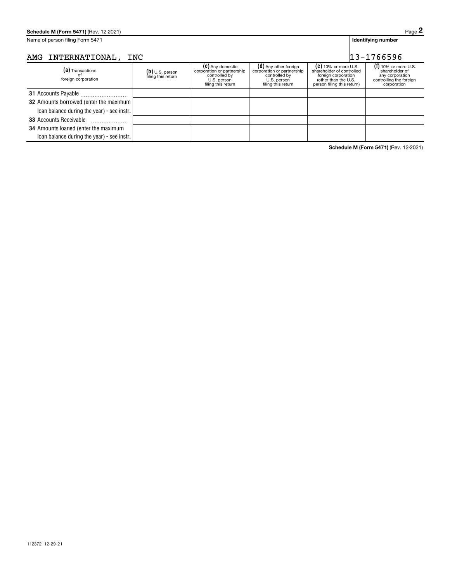| Schedule M (Form 5471) (Rev. 12-2021)          |                                         |                                                                                                      |                                                                                                           |                                                                                                                                  | Page 2                                                                                                |
|------------------------------------------------|-----------------------------------------|------------------------------------------------------------------------------------------------------|-----------------------------------------------------------------------------------------------------------|----------------------------------------------------------------------------------------------------------------------------------|-------------------------------------------------------------------------------------------------------|
| Name of person filing Form 5471                |                                         |                                                                                                      |                                                                                                           |                                                                                                                                  | Identifying number                                                                                    |
| AMG INTERNATIONAL,                             | <b>INC</b>                              |                                                                                                      |                                                                                                           |                                                                                                                                  | $13 - 1766596$                                                                                        |
| (a) Transactions<br>foreign corporation        | $(b)$ U.S. person<br>filing this return | (C) Any domestic<br>corporation or partnership<br>controlled by<br>U.S. person<br>filing this return | (d) Any other foreign<br>corporation or partnership<br>controlled by<br>U.S. person<br>filing this return | $(e)$ 10% or more U.S.<br>shareholder of controlled<br>foreign corporation<br>(other than the U.S.<br>person filing this return) | $(f)$ 10% or more U.S.<br>shareholder of<br>any corporation<br>controlling the foreign<br>corporation |
| 31 Accounts Payable                            |                                         |                                                                                                      |                                                                                                           |                                                                                                                                  |                                                                                                       |
| <b>32</b> Amounts borrowed (enter the maximum) |                                         |                                                                                                      |                                                                                                           |                                                                                                                                  |                                                                                                       |
| loan balance during the year) - see instr.     |                                         |                                                                                                      |                                                                                                           |                                                                                                                                  |                                                                                                       |
| <b>33 Accounts Receivable</b>                  |                                         |                                                                                                      |                                                                                                           |                                                                                                                                  |                                                                                                       |
| <b>34</b> Amounts loaned (enter the maximum    |                                         |                                                                                                      |                                                                                                           |                                                                                                                                  |                                                                                                       |
| loan balance during the year) - see instr.     |                                         |                                                                                                      |                                                                                                           |                                                                                                                                  |                                                                                                       |

**Schedule M (Form 5471)** (Rev. 12-2021)